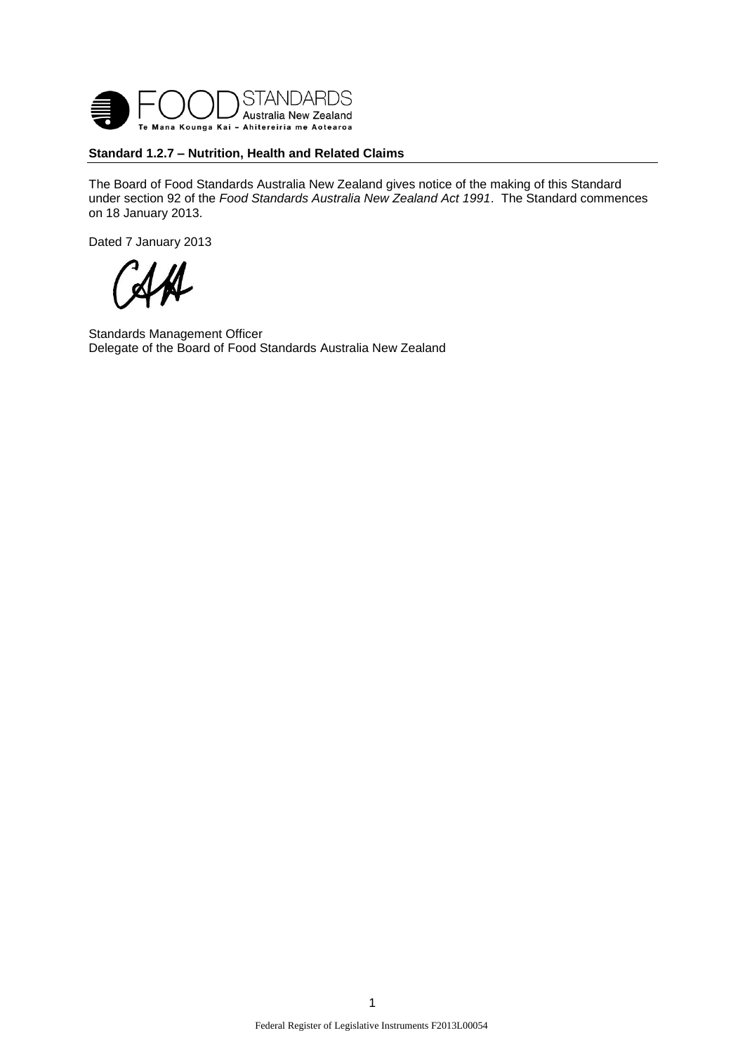

### **Standard 1.2.7 – Nutrition, Health and Related Claims**

The Board of Food Standards Australia New Zealand gives notice of the making of this Standard under section 92 of the *Food Standards Australia New Zealand Act 1991*. The Standard commences on 18 January 2013.

Dated 7 January 2013

Standards Management Officer Delegate of the Board of Food Standards Australia New Zealand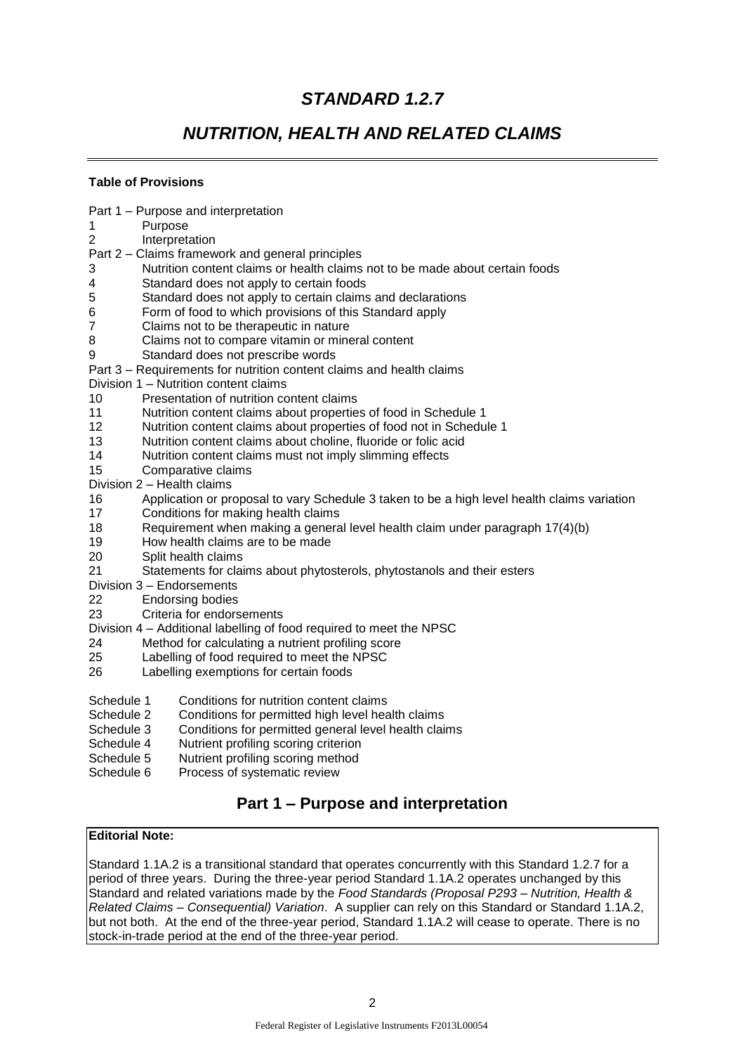# *STANDARD 1.2.7*

# *NUTRITION, HEALTH AND RELATED CLAIMS*

## **Table of Provisions**

| Purpose<br>1               | Part 1 – Purpose and interpretation                                                         |
|----------------------------|---------------------------------------------------------------------------------------------|
| 2                          | Interpretation                                                                              |
|                            | Part 2 – Claims framework and general principles                                            |
| 3                          | Nutrition content claims or health claims not to be made about certain foods                |
| 4                          | Standard does not apply to certain foods                                                    |
| 5                          | Standard does not apply to certain claims and declarations                                  |
| 6                          | Form of food to which provisions of this Standard apply                                     |
| $\overline{7}$             | Claims not to be therapeutic in nature                                                      |
| 8                          | Claims not to compare vitamin or mineral content                                            |
| 9                          | Standard does not prescribe words                                                           |
|                            | Part 3 – Requirements for nutrition content claims and health claims                        |
|                            | Division 1 - Nutrition content claims                                                       |
| 10                         | Presentation of nutrition content claims                                                    |
| 11                         | Nutrition content claims about properties of food in Schedule 1                             |
| 12                         | Nutrition content claims about properties of food not in Schedule 1                         |
| 13                         | Nutrition content claims about choline, fluoride or folic acid                              |
| 14                         | Nutrition content claims must not imply slimming effects                                    |
| 15                         | Comparative claims                                                                          |
| Division 2 - Health claims |                                                                                             |
| 16                         | Application or proposal to vary Schedule 3 taken to be a high level health claims variation |
| 17                         | Conditions for making health claims                                                         |
| 18                         | Requirement when making a general level health claim under paragraph 17(4)(b)               |
| 19                         | How health claims are to be made                                                            |
| 20                         | Split health claims                                                                         |
| 21                         | Statements for claims about phytosterols, phytostanols and their esters                     |
| Division 3 - Endorsements  |                                                                                             |
| 22                         | <b>Endorsing bodies</b>                                                                     |
| 23                         | Criteria for endorsements                                                                   |
|                            | Division 4 – Additional labelling of food required to meet the NPSC                         |
| 24                         | Method for calculating a nutrient profiling score                                           |
| 25                         | Labelling of food required to meet the NPSC                                                 |
| 26                         | Labelling exemptions for certain foods                                                      |
| Schedule 1                 | Conditions for nutrition content claims                                                     |
| Schedule 2                 | Conditions for permitted high level health claims                                           |
| Schedule 3                 | Conditions for permitted general level health claims                                        |
| Schedule 4                 | Nutrient profiling scoring criterion                                                        |
| Schedule 5                 | Nutrient profiling scoring method                                                           |
| Schedule 6                 | Process of systematic review                                                                |
|                            | Part 1 – Purpose and interpretation                                                         |
|                            |                                                                                             |
| <b>Editorial Note:</b>     |                                                                                             |
|                            |                                                                                             |

Standard 1.1A.2 is a transitional standard that operates concurrently with this Standard 1.2.7 for a period of three years. During the three-year period Standard 1.1A.2 operates unchanged by this Standard and related variations made by the *Food Standards (Proposal P293 – Nutrition, Health & Related Claims – Consequential) Variation*. A supplier can rely on this Standard or Standard 1.1A.2, but not both. At the end of the three-year period, Standard 1.1A.2 will cease to operate. There is no stock-in-trade period at the end of the three-year period.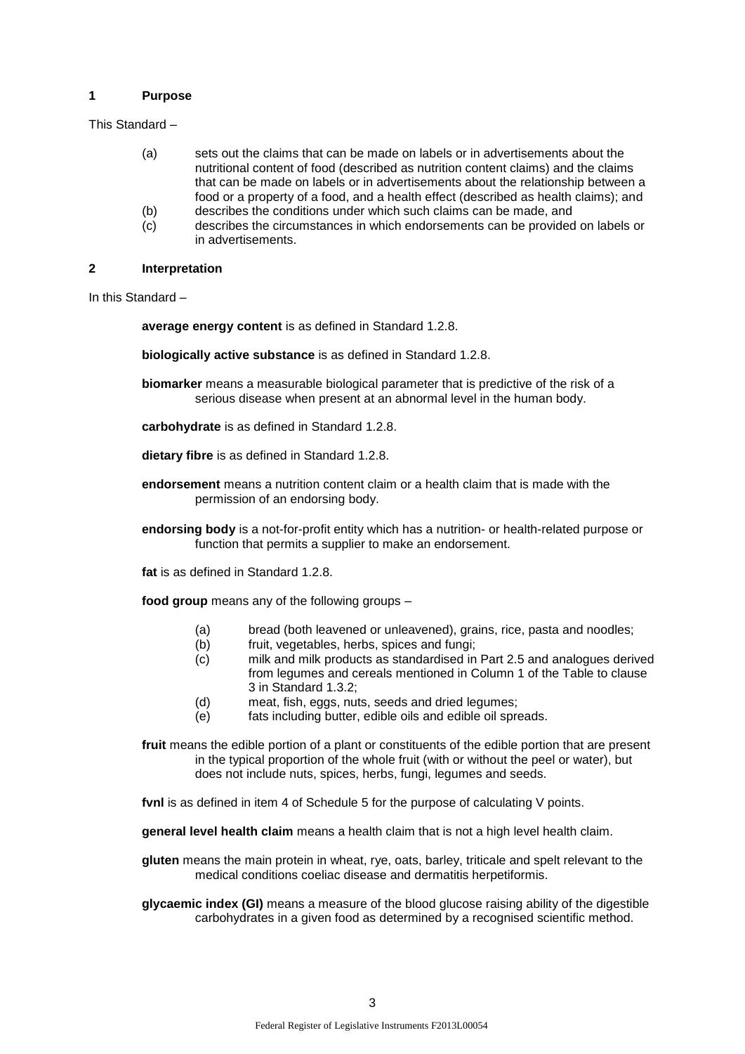#### **1 Purpose**

This Standard –

- (a) sets out the claims that can be made on labels or in advertisements about the nutritional content of food (described as nutrition content claims) and the claims that can be made on labels or in advertisements about the relationship between a food or a property of a food, and a health effect (described as health claims); and
- (b) describes the conditions under which such claims can be made, and
- (c) describes the circumstances in which endorsements can be provided on labels or in advertisements.

### **2 Interpretation**

In this Standard –

**average energy content** is as defined in Standard 1.2.8.

- **biologically active substance** is as defined in Standard 1.2.8.
- **biomarker** means a measurable biological parameter that is predictive of the risk of a serious disease when present at an abnormal level in the human body.
- **carbohydrate** is as defined in Standard 1.2.8.
- **dietary fibre** is as defined in Standard 1.2.8.
- **endorsement** means a nutrition content claim or a health claim that is made with the permission of an endorsing body.
- **endorsing body** is a not-for-profit entity which has a nutrition- or health-related purpose or function that permits a supplier to make an endorsement.

**fat** is as defined in Standard 1.2.8.

**food group** means any of the following groups –

- (a) bread (both leavened or unleavened), grains, rice, pasta and noodles;
- (b) fruit, vegetables, herbs, spices and fungi;
- (c) milk and milk products as standardised in Part 2.5 and analogues derived from legumes and cereals mentioned in Column 1 of the Table to clause 3 in Standard 1.3.2;
- (d) meat, fish, eggs, nuts, seeds and dried legumes;
- (e) fats including butter, edible oils and edible oil spreads.

**fruit** means the edible portion of a plant or constituents of the edible portion that are present in the typical proportion of the whole fruit (with or without the peel or water), but does not include nuts, spices, herbs, fungi, legumes and seeds.

**fvnl** is as defined in item 4 of Schedule 5 for the purpose of calculating V points.

**general level health claim** means a health claim that is not a high level health claim.

**gluten** means the main protein in wheat, rye, oats, barley, triticale and spelt relevant to the medical conditions coeliac disease and dermatitis herpetiformis.

**glycaemic index (GI)** means a measure of the blood glucose raising ability of the digestible carbohydrates in a given food as determined by a recognised scientific method.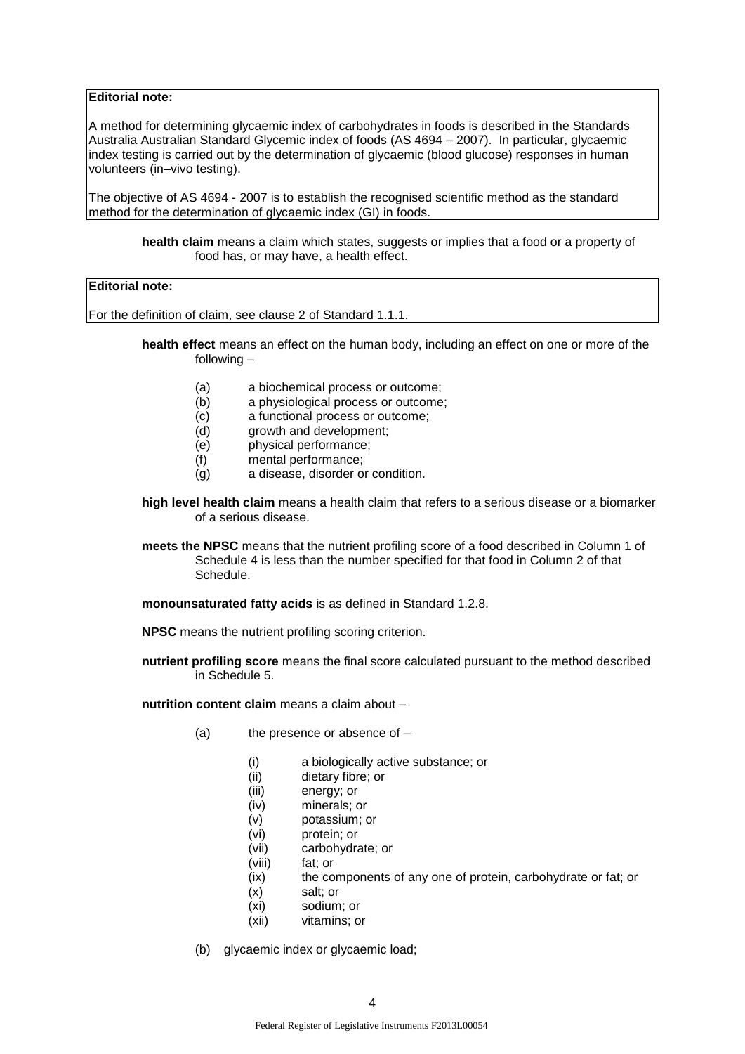### **Editorial note:**

A method for determining glycaemic index of carbohydrates in foods is described in the Standards Australia Australian Standard Glycemic index of foods (AS 4694 – 2007). In particular, glycaemic index testing is carried out by the determination of glycaemic (blood glucose) responses in human volunteers (in–vivo testing).

The objective of AS 4694 - 2007 is to establish the recognised scientific method as the standard method for the determination of glycaemic index (GI) in foods.

**health claim** means a claim which states, suggests or implies that a food or a property of food has, or may have, a health effect.

## **Editorial note:**

For the definition of claim, see clause 2 of Standard 1.1.1.

**health effect** means an effect on the human body, including an effect on one or more of the following –

- (a) a biochemical process or outcome;
- (b) a physiological process or outcome;
- (c) a functional process or outcome;
- (d) growth and development;
- (e) physical performance;
- (f) mental performance;
- (g) a disease, disorder or condition.
- **high level health claim** means a health claim that refers to a serious disease or a biomarker of a serious disease.
- **meets the NPSC** means that the nutrient profiling score of a food described in Column 1 of Schedule 4 is less than the number specified for that food in Column 2 of that Schedule.

**monounsaturated fatty acids** is as defined in Standard 1.2.8.

**NPSC** means the nutrient profiling scoring criterion.

**nutrient profiling score** means the final score calculated pursuant to the method described in Schedule 5.

**nutrition content claim** means a claim about –

- $(a)$  the presence or absence of  $-$ 
	- (i) a biologically active substance; or
	- (ii) dietary fibre; or
	- (iii) energy; or
	- (iv) minerals; or
	- (v) potassium; or
	- (vi) protein; or
	- (vii) carbohydrate; or
	- (viii) fat; or
	- (ix) the components of any one of protein, carbohydrate or fat; or
	- (x) salt; or
	- (xi) sodium; or
	- (xii) vitamins; or
- (b) glycaemic index or glycaemic load;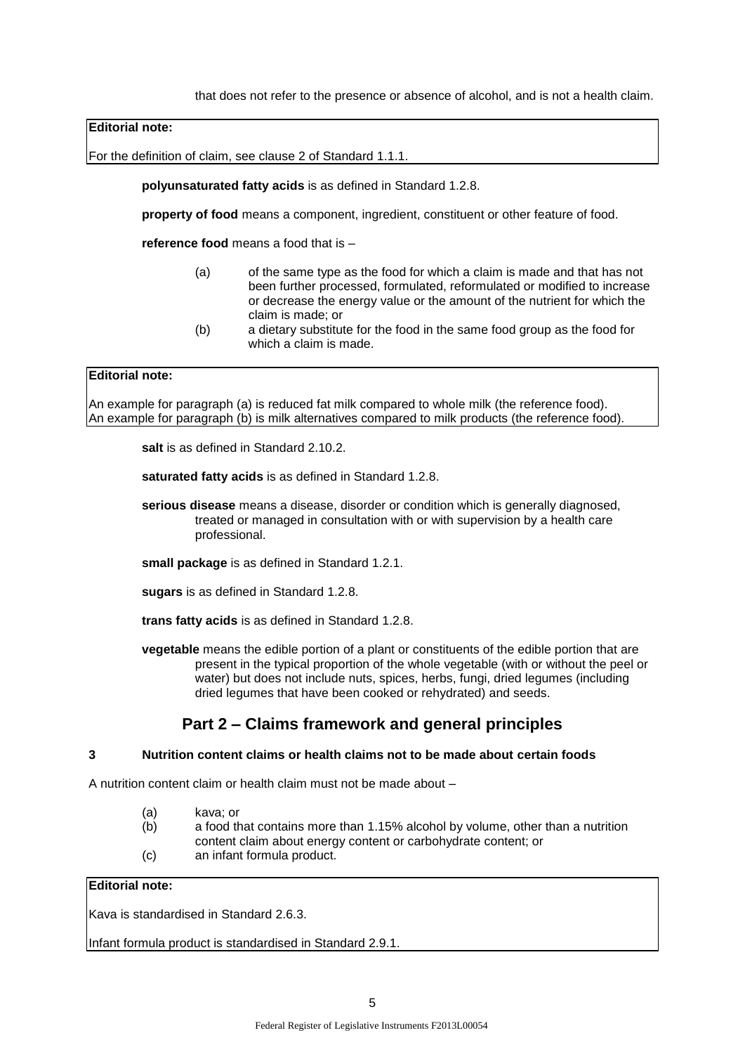that does not refer to the presence or absence of alcohol, and is not a health claim.

#### **Editorial note:**

For the definition of claim, see clause 2 of Standard 1.1.1.

**polyunsaturated fatty acids** is as defined in Standard 1.2.8.

**property of food** means a component, ingredient, constituent or other feature of food.

**reference food** means a food that is –

- (a) of the same type as the food for which a claim is made and that has not been further processed, formulated, reformulated or modified to increase or decrease the energy value or the amount of the nutrient for which the claim is made; or
- (b) a dietary substitute for the food in the same food group as the food for which a claim is made.

#### **Editorial note:**

An example for paragraph (a) is reduced fat milk compared to whole milk (the reference food). An example for paragraph (b) is milk alternatives compared to milk products (the reference food).

salt is as defined in Standard 2.10.2.

**saturated fatty acids** is as defined in Standard 1.2.8.

**serious disease** means a disease, disorder or condition which is generally diagnosed, treated or managed in consultation with or with supervision by a health care professional.

**small package** is as defined in Standard 1.2.1.

**sugars** is as defined in Standard 1.2.8.

**trans fatty acids** is as defined in Standard 1.2.8.

**vegetable** means the edible portion of a plant or constituents of the edible portion that are present in the typical proportion of the whole vegetable (with or without the peel or water) but does not include nuts, spices, herbs, fungi, dried legumes (including dried legumes that have been cooked or rehydrated) and seeds.

## **Part 2 – Claims framework and general principles**

#### **3 Nutrition content claims or health claims not to be made about certain foods**

A nutrition content claim or health claim must not be made about –

- (a) kava; or
- (b) a food that contains more than 1.15% alcohol by volume, other than a nutrition content claim about energy content or carbohydrate content; or
- (c) an infant formula product.

## **Editorial note:**

Kava is standardised in Standard 2.6.3.

Infant formula product is standardised in Standard 2.9.1.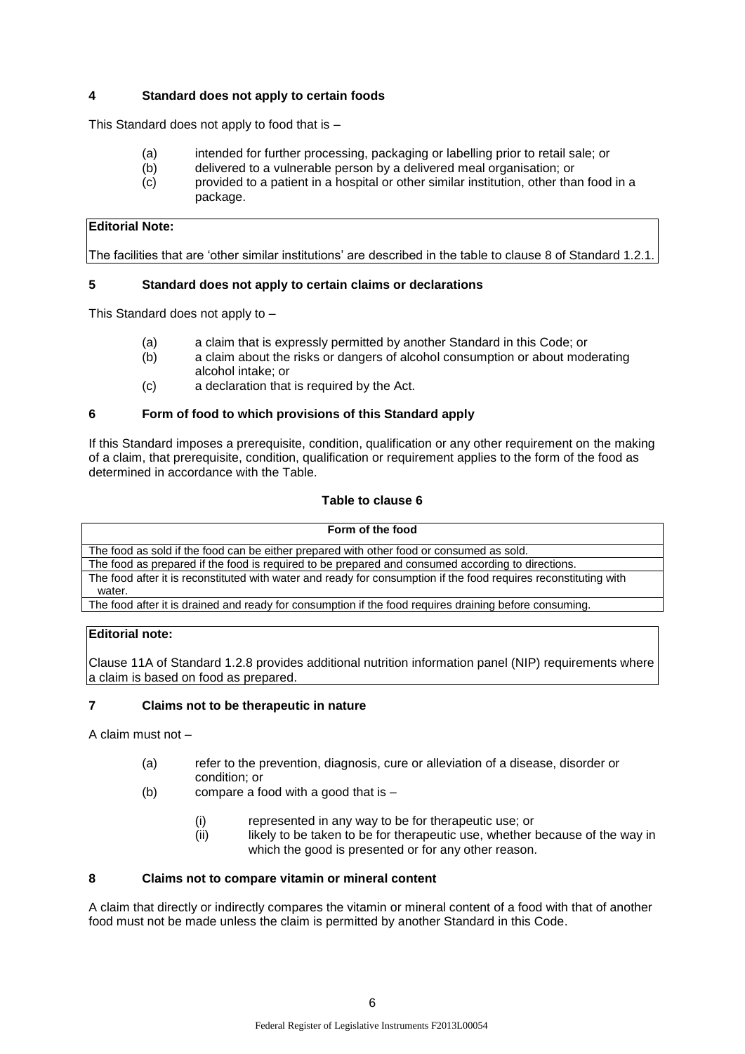## **4 Standard does not apply to certain foods**

This Standard does not apply to food that is –

- (a) intended for further processing, packaging or labelling prior to retail sale; or
- (b) delivered to a vulnerable person by a delivered meal organisation; or
- (c) provided to a patient in a hospital or other similar institution, other than food in a package.

## **Editorial Note:**

The facilities that are 'other similar institutions' are described in the table to clause 8 of Standard 1.2.1.

## **5 Standard does not apply to certain claims or declarations**

This Standard does not apply to –

- (a) a claim that is expressly permitted by another Standard in this Code; or
- (b) a claim about the risks or dangers of alcohol consumption or about moderating alcohol intake; or
- (c) a declaration that is required by the Act.

## **6 Form of food to which provisions of this Standard apply**

If this Standard imposes a prerequisite, condition, qualification or any other requirement on the making of a claim, that prerequisite, condition, qualification or requirement applies to the form of the food as determined in accordance with the Table.

## **Table to clause 6**

| Form of the food                                                                                                 |
|------------------------------------------------------------------------------------------------------------------|
| The food as sold if the food can be either prepared with other food or consumed as sold.                         |
| The food as prepared if the food is required to be prepared and consumed according to directions.                |
| The food after it is reconstituted with water and ready for consumption if the food requires reconstituting with |
| water.                                                                                                           |
| The food after it is drained and ready for consumption if the food requires draining before consuming.           |

## **Editorial note:**

Clause 11A of Standard 1.2.8 provides additional nutrition information panel (NIP) requirements where a claim is based on food as prepared.

## **7 Claims not to be therapeutic in nature**

A claim must not –

- (a) refer to the prevention, diagnosis, cure or alleviation of a disease, disorder or condition; or
- (b) compare a food with a good that is
	- (i) represented in any way to be for therapeutic use; or
	- (ii) likely to be taken to be for therapeutic use, whether because of the way in which the good is presented or for any other reason.

## **8 Claims not to compare vitamin or mineral content**

A claim that directly or indirectly compares the vitamin or mineral content of a food with that of another food must not be made unless the claim is permitted by another Standard in this Code.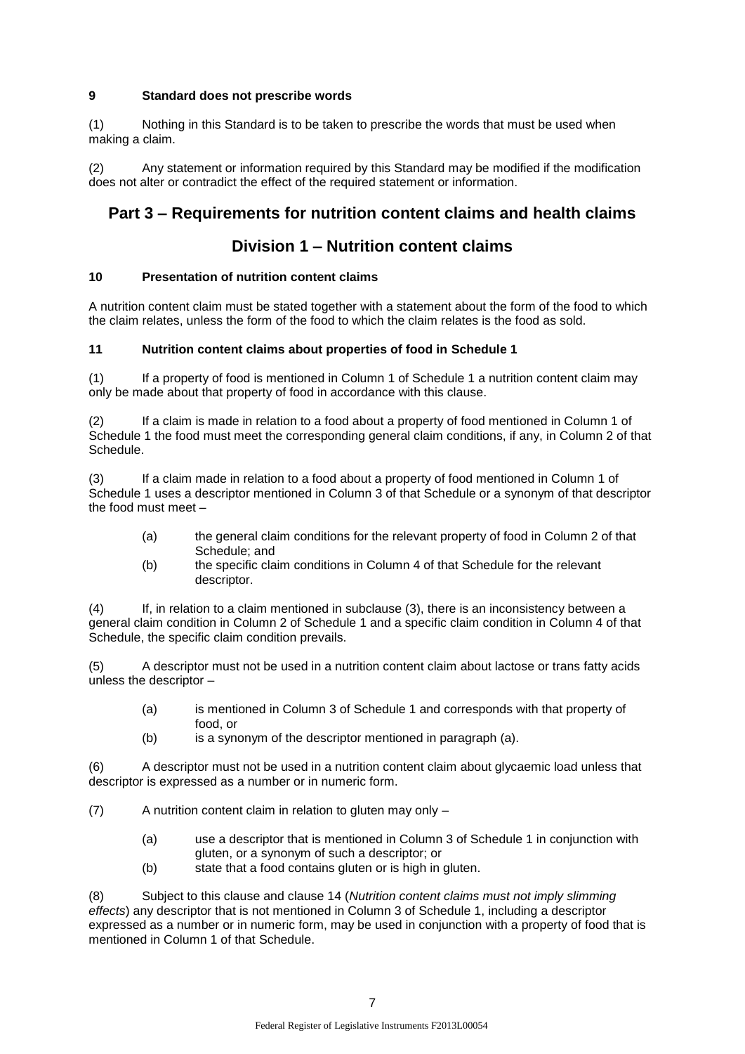## **9 Standard does not prescribe words**

(1) Nothing in this Standard is to be taken to prescribe the words that must be used when making a claim.

(2) Any statement or information required by this Standard may be modified if the modification does not alter or contradict the effect of the required statement or information.

# **Part 3 – Requirements for nutrition content claims and health claims**

# **Division 1 – Nutrition content claims**

## **10 Presentation of nutrition content claims**

A nutrition content claim must be stated together with a statement about the form of the food to which the claim relates, unless the form of the food to which the claim relates is the food as sold.

## **11 Nutrition content claims about properties of food in Schedule 1**

(1) If a property of food is mentioned in Column 1 of Schedule 1 a nutrition content claim may only be made about that property of food in accordance with this clause.

(2) If a claim is made in relation to a food about a property of food mentioned in Column 1 of Schedule 1 the food must meet the corresponding general claim conditions, if any, in Column 2 of that Schedule.

(3) If a claim made in relation to a food about a property of food mentioned in Column 1 of Schedule 1 uses a descriptor mentioned in Column 3 of that Schedule or a synonym of that descriptor the food must meet –

- (a) the general claim conditions for the relevant property of food in Column 2 of that Schedule; and
- (b) the specific claim conditions in Column 4 of that Schedule for the relevant descriptor.

(4) If, in relation to a claim mentioned in subclause (3), there is an inconsistency between a general claim condition in Column 2 of Schedule 1 and a specific claim condition in Column 4 of that Schedule, the specific claim condition prevails.

(5) A descriptor must not be used in a nutrition content claim about lactose or trans fatty acids unless the descriptor –

- (a) is mentioned in Column 3 of Schedule 1 and corresponds with that property of food, or
- (b) is a synonym of the descriptor mentioned in paragraph (a).

(6) A descriptor must not be used in a nutrition content claim about glycaemic load unless that descriptor is expressed as a number or in numeric form.

(7) A nutrition content claim in relation to gluten may only –

- (a) use a descriptor that is mentioned in Column 3 of Schedule 1 in conjunction with gluten, or a synonym of such a descriptor; or
- (b) state that a food contains gluten or is high in gluten.

(8) Subject to this clause and clause 14 (*Nutrition content claims must not imply slimming effects*) any descriptor that is not mentioned in Column 3 of Schedule 1, including a descriptor expressed as a number or in numeric form, may be used in conjunction with a property of food that is mentioned in Column 1 of that Schedule.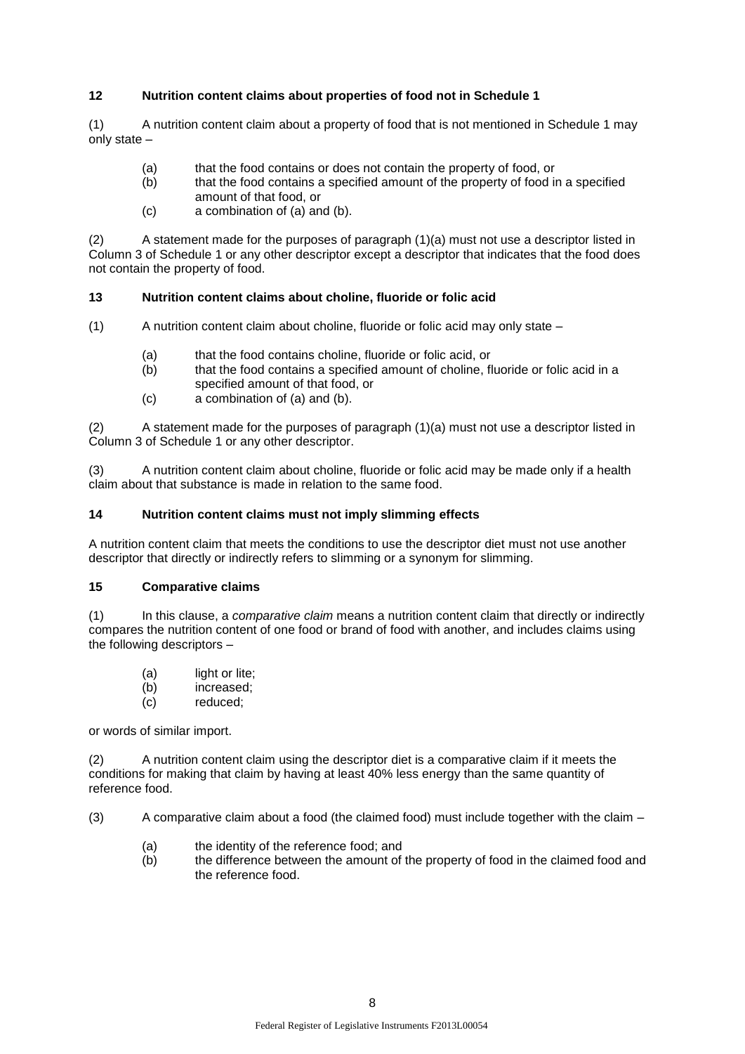## **12 Nutrition content claims about properties of food not in Schedule 1**

(1) A nutrition content claim about a property of food that is not mentioned in Schedule 1 may only state –

- (a) that the food contains or does not contain the property of food, or
- (b) that the food contains a specified amount of the property of food in a specified amount of that food, or
- (c) a combination of (a) and (b).

(2) A statement made for the purposes of paragraph (1)(a) must not use a descriptor listed in Column 3 of Schedule 1 or any other descriptor except a descriptor that indicates that the food does not contain the property of food.

### **13 Nutrition content claims about choline, fluoride or folic acid**

(1) A nutrition content claim about choline, fluoride or folic acid may only state –

- (a) that the food contains choline, fluoride or folic acid, or
- (b) that the food contains a specified amount of choline, fluoride or folic acid in a specified amount of that food, or
- (c) a combination of (a) and (b).

A statement made for the purposes of paragraph (1)(a) must not use a descriptor listed in Column 3 of Schedule 1 or any other descriptor.

(3) A nutrition content claim about choline, fluoride or folic acid may be made only if a health claim about that substance is made in relation to the same food.

### **14 Nutrition content claims must not imply slimming effects**

A nutrition content claim that meets the conditions to use the descriptor diet must not use another descriptor that directly or indirectly refers to slimming or a synonym for slimming.

### **15 Comparative claims**

(1) In this clause, a *comparative claim* means a nutrition content claim that directly or indirectly compares the nutrition content of one food or brand of food with another, and includes claims using the following descriptors –

- (a) light or lite;
- (b) increased;
- (c) reduced;

or words of similar import.

(2) A nutrition content claim using the descriptor diet is a comparative claim if it meets the conditions for making that claim by having at least 40% less energy than the same quantity of reference food.

(3) A comparative claim about a food (the claimed food) must include together with the claim –

- (a) the identity of the reference food; and
- (b) the difference between the amount of the property of food in the claimed food and the reference food.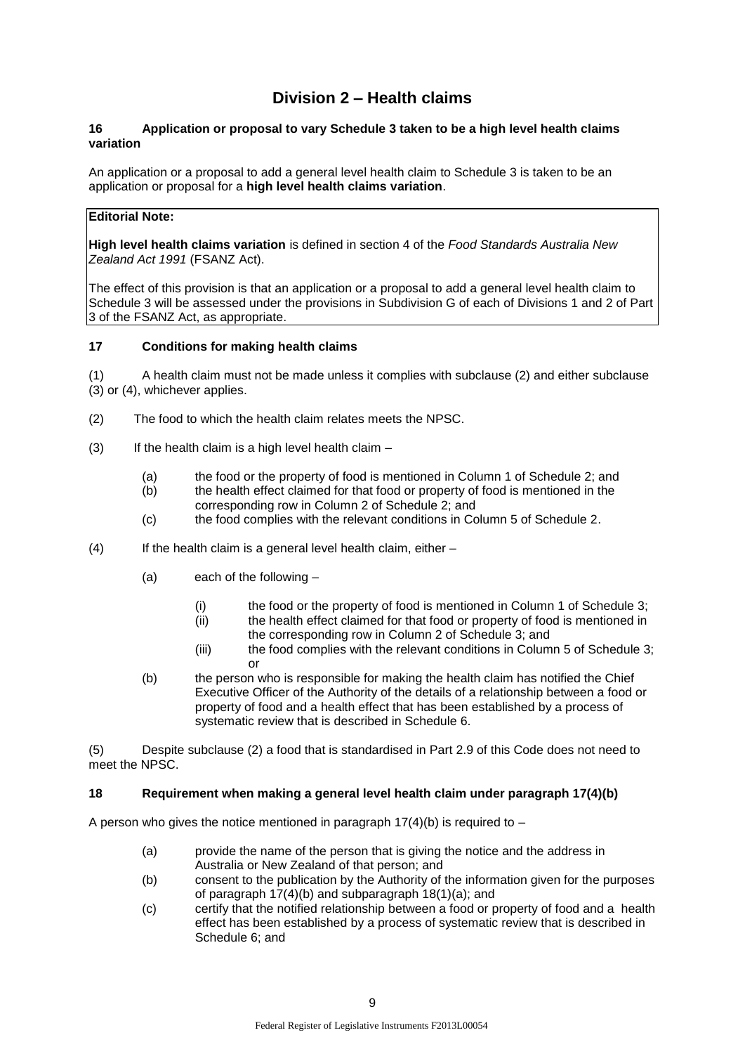# **Division 2 – Health claims**

### **16 Application or proposal to vary Schedule 3 taken to be a high level health claims variation**

An application or a proposal to add a general level health claim to Schedule 3 is taken to be an application or proposal for a **high level health claims variation**.

## **Editorial Note:**

**High level health claims variation** is defined in section 4 of the *Food Standards Australia New Zealand Act 1991* (FSANZ Act).

The effect of this provision is that an application or a proposal to add a general level health claim to Schedule 3 will be assessed under the provisions in Subdivision G of each of Divisions 1 and 2 of Part 3 of the FSANZ Act, as appropriate.

### **17 Conditions for making health claims**

(1) A health claim must not be made unless it complies with subclause (2) and either subclause (3) or (4), whichever applies.

- (2) The food to which the health claim relates meets the NPSC.
- $(3)$  If the health claim is a high level health claim
	- (a) the food or the property of food is mentioned in Column 1 of Schedule 2; and
	- (b) the health effect claimed for that food or property of food is mentioned in the corresponding row in Column 2 of Schedule 2; and
	- (c) the food complies with the relevant conditions in Column 5 of Schedule 2.
- (4) If the health claim is a general level health claim, either
	- (a) each of the following
		- (i) the food or the property of food is mentioned in Column 1 of Schedule 3;
		- (ii) the health effect claimed for that food or property of food is mentioned in
		- the corresponding row in Column 2 of Schedule 3; and
		- (iii) the food complies with the relevant conditions in Column 5 of Schedule 3; or
	- (b) the person who is responsible for making the health claim has notified the Chief Executive Officer of the Authority of the details of a relationship between a food or property of food and a health effect that has been established by a process of systematic review that is described in Schedule 6.

(5) Despite subclause (2) a food that is standardised in Part 2.9 of this Code does not need to meet the NPSC.

### **18 Requirement when making a general level health claim under paragraph 17(4)(b)**

A person who gives the notice mentioned in paragraph  $17(4)(b)$  is required to –

- (a) provide the name of the person that is giving the notice and the address in Australia or New Zealand of that person; and
- (b) consent to the publication by the Authority of the information given for the purposes of paragraph 17(4)(b) and subparagraph 18(1)(a); and
- (c) certify that the notified relationship between a food or property of food and a health effect has been established by a process of systematic review that is described in Schedule 6; and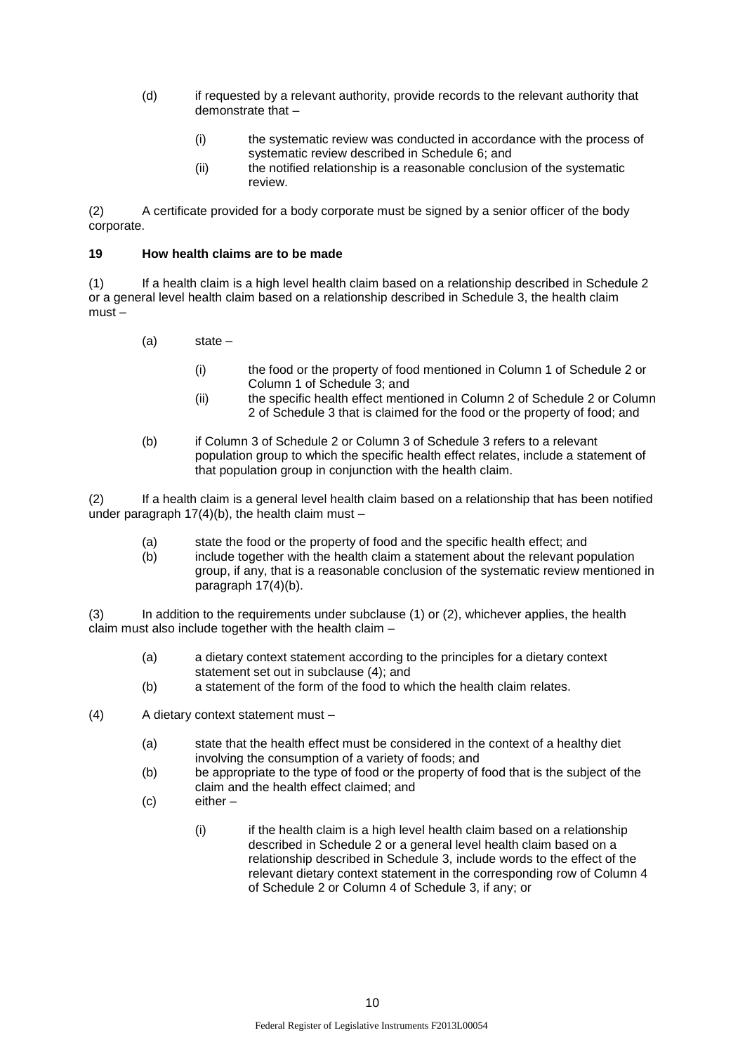- (d) if requested by a relevant authority, provide records to the relevant authority that demonstrate that –
	- (i) the systematic review was conducted in accordance with the process of systematic review described in Schedule 6; and
	- (ii) the notified relationship is a reasonable conclusion of the systematic review.

(2) A certificate provided for a body corporate must be signed by a senior officer of the body corporate.

### **19 How health claims are to be made**

(1) If a health claim is a high level health claim based on a relationship described in Schedule 2 or a general level health claim based on a relationship described in Schedule 3, the health claim must –

- (a) state
	- (i) the food or the property of food mentioned in Column 1 of Schedule 2 or Column 1 of Schedule 3; and
	- (ii) the specific health effect mentioned in Column 2 of Schedule 2 or Column 2 of Schedule 3 that is claimed for the food or the property of food; and
- (b) if Column 3 of Schedule 2 or Column 3 of Schedule 3 refers to a relevant population group to which the specific health effect relates, include a statement of that population group in conjunction with the health claim.

(2) If a health claim is a general level health claim based on a relationship that has been notified under paragraph  $17(4)(b)$ , the health claim must –

- (a) state the food or the property of food and the specific health effect; and
- $(b)$  include together with the health claim a statement about the relevant population group, if any, that is a reasonable conclusion of the systematic review mentioned in paragraph 17(4)(b).

(3) In addition to the requirements under subclause (1) or (2), whichever applies, the health claim must also include together with the health claim –

- (a) a dietary context statement according to the principles for a dietary context statement set out in subclause (4); and
- (b) a statement of the form of the food to which the health claim relates.
- (4) A dietary context statement must
	- (a) state that the health effect must be considered in the context of a healthy diet involving the consumption of a variety of foods; and
	- (b) be appropriate to the type of food or the property of food that is the subject of the claim and the health effect claimed; and
	- (c) either
		- (i) if the health claim is a high level health claim based on a relationship described in Schedule 2 or a general level health claim based on a relationship described in Schedule 3, include words to the effect of the relevant dietary context statement in the corresponding row of Column 4 of Schedule 2 or Column 4 of Schedule 3, if any; or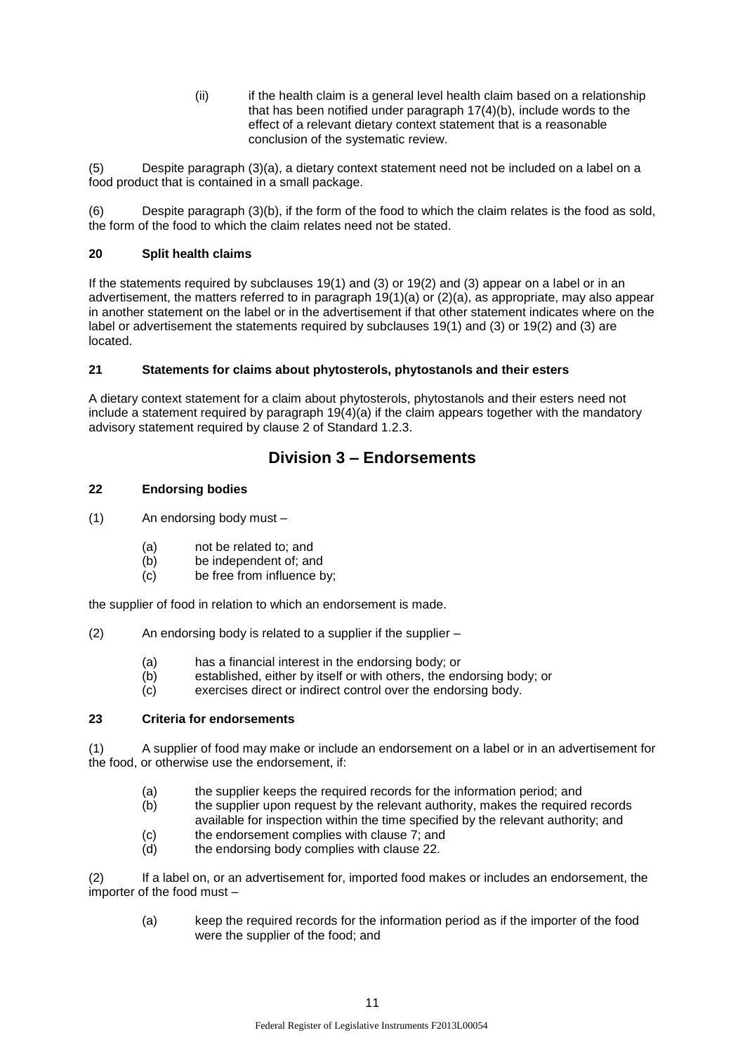(ii) if the health claim is a general level health claim based on a relationship that has been notified under paragraph 17(4)(b), include words to the effect of a relevant dietary context statement that is a reasonable conclusion of the systematic review.

(5) Despite paragraph (3)(a), a dietary context statement need not be included on a label on a food product that is contained in a small package.

(6) Despite paragraph (3)(b), if the form of the food to which the claim relates is the food as sold, the form of the food to which the claim relates need not be stated.

## **20 Split health claims**

If the statements required by subclauses 19(1) and (3) or 19(2) and (3) appear on a label or in an advertisement, the matters referred to in paragraph 19(1)(a) or (2)(a), as appropriate, may also appear in another statement on the label or in the advertisement if that other statement indicates where on the label or advertisement the statements required by subclauses 19(1) and (3) or 19(2) and (3) are located.

## **21 Statements for claims about phytosterols, phytostanols and their esters**

A dietary context statement for a claim about phytosterols, phytostanols and their esters need not include a statement required by paragraph  $19(4)(a)$  if the claim appears together with the mandatory advisory statement required by clause 2 of Standard 1.2.3.

# **Division 3 – Endorsements**

## **22 Endorsing bodies**

- (1) An endorsing body must
	- (a) not be related to; and
	- (b) be independent of; and
	- (c) be free from influence by;

the supplier of food in relation to which an endorsement is made.

(2) An endorsing body is related to a supplier if the supplier –

- (a) has a financial interest in the endorsing body; or
- (b) established, either by itself or with others, the endorsing body; or
- (c) exercises direct or indirect control over the endorsing body.

## **23 Criteria for endorsements**

(1) A supplier of food may make or include an endorsement on a label or in an advertisement for the food, or otherwise use the endorsement, if:

- (a) the supplier keeps the required records for the information period; and (b) the supplier upon request by the relevant authority, makes the required
- the supplier upon request by the relevant authority, makes the required records available for inspection within the time specified by the relevant authority; and
- $(c)$  the endorsement complies with clause 7; and  $(d)$  the endorsing body complies with clause 22.

(2) If a label on, or an advertisement for, imported food makes or includes an endorsement, the importer of the food must –

(a) keep the required records for the information period as if the importer of the food were the supplier of the food; and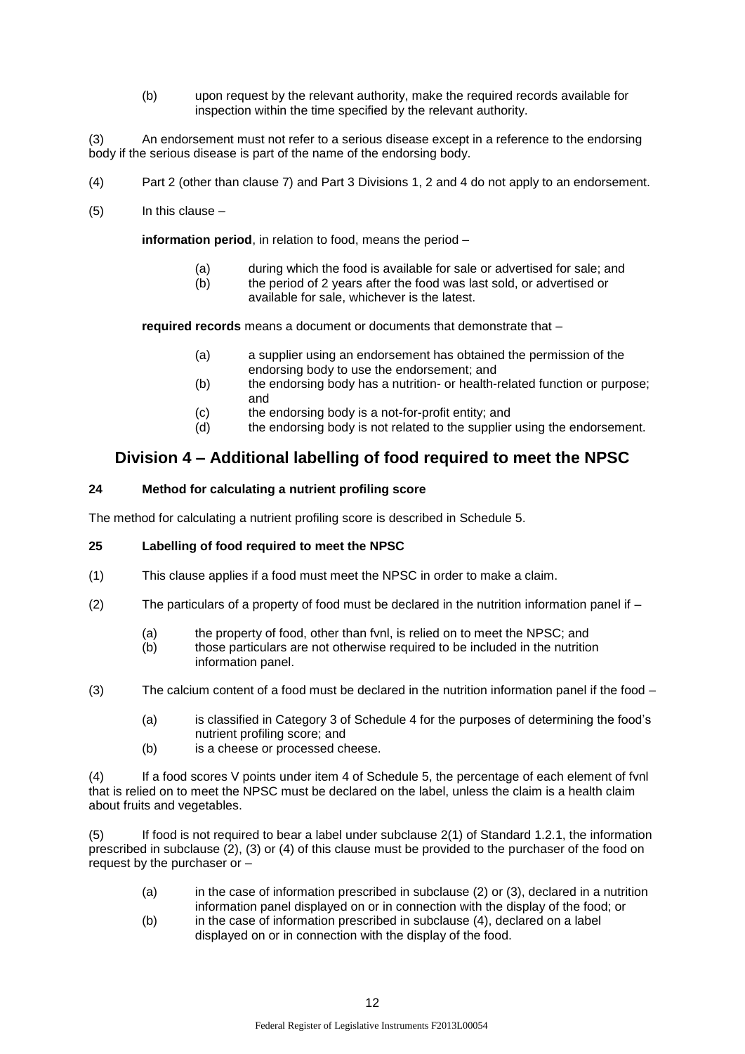(b) upon request by the relevant authority, make the required records available for inspection within the time specified by the relevant authority.

(3) An endorsement must not refer to a serious disease except in a reference to the endorsing body if the serious disease is part of the name of the endorsing body.

- (4) Part 2 (other than clause 7) and Part 3 Divisions 1, 2 and 4 do not apply to an endorsement.
- (5) In this clause –

**information period**, in relation to food, means the period –

- (a) during which the food is available for sale or advertised for sale; and
- $(h)$  the period of 2 years after the food was last sold, or advertised or available for sale, whichever is the latest.

**required records** means a document or documents that demonstrate that –

- (a) a supplier using an endorsement has obtained the permission of the endorsing body to use the endorsement; and
- (b) the endorsing body has a nutrition- or health-related function or purpose; and
- (c) the endorsing body is a not-for-profit entity; and
- (d) the endorsing body is not related to the supplier using the endorsement.

# **Division 4 – Additional labelling of food required to meet the NPSC**

### **24 Method for calculating a nutrient profiling score**

The method for calculating a nutrient profiling score is described in Schedule 5.

### **25 Labelling of food required to meet the NPSC**

- (1) This clause applies if a food must meet the NPSC in order to make a claim.
- $(2)$  The particulars of a property of food must be declared in the nutrition information panel if  $-$ 
	- (a) the property of food, other than fvnl, is relied on to meet the NPSC; and
	- (b) those particulars are not otherwise required to be included in the nutrition information panel.
- (3) The calcium content of a food must be declared in the nutrition information panel if the food
	- (a) is classified in Category 3 of Schedule 4 for the purposes of determining the food's nutrient profiling score; and
	- (b) is a cheese or processed cheese.

(4) If a food scores V points under item 4 of Schedule 5, the percentage of each element of fvnl that is relied on to meet the NPSC must be declared on the label, unless the claim is a health claim about fruits and vegetables.

(5) If food is not required to bear a label under subclause 2(1) of Standard 1.2.1, the information prescribed in subclause (2), (3) or (4) of this clause must be provided to the purchaser of the food on request by the purchaser or –

- (a) in the case of information prescribed in subclause (2) or (3), declared in a nutrition information panel displayed on or in connection with the display of the food; or
- (b) in the case of information prescribed in subclause (4), declared on a label displayed on or in connection with the display of the food.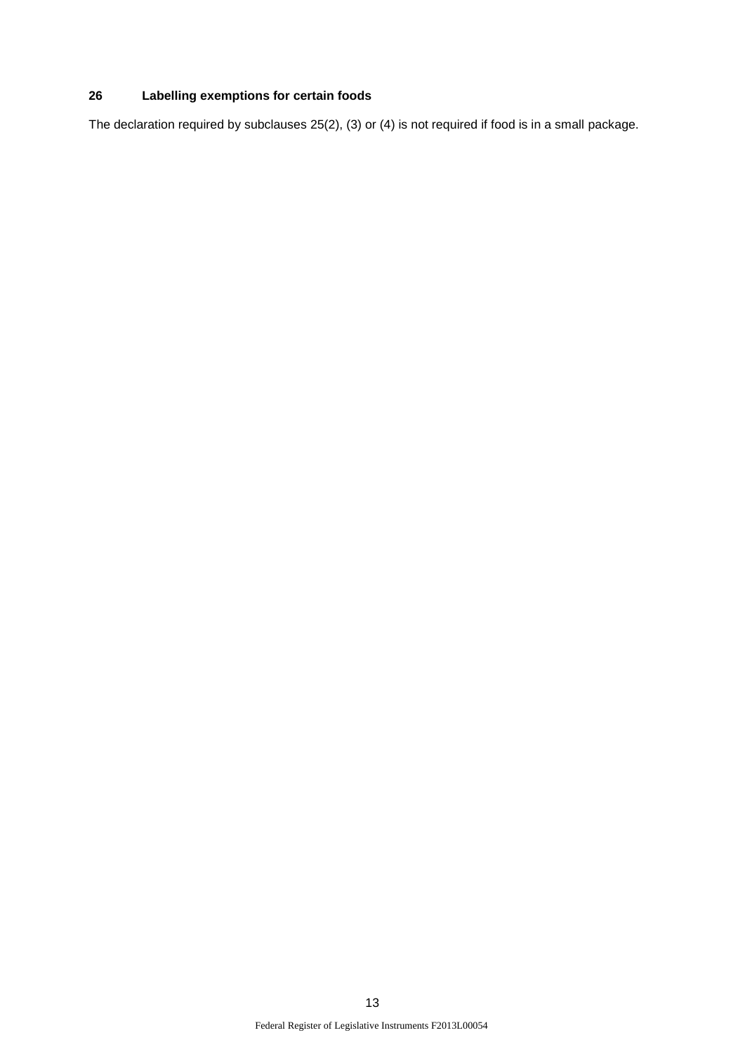# **26 Labelling exemptions for certain foods**

The declaration required by subclauses 25(2), (3) or (4) is not required if food is in a small package.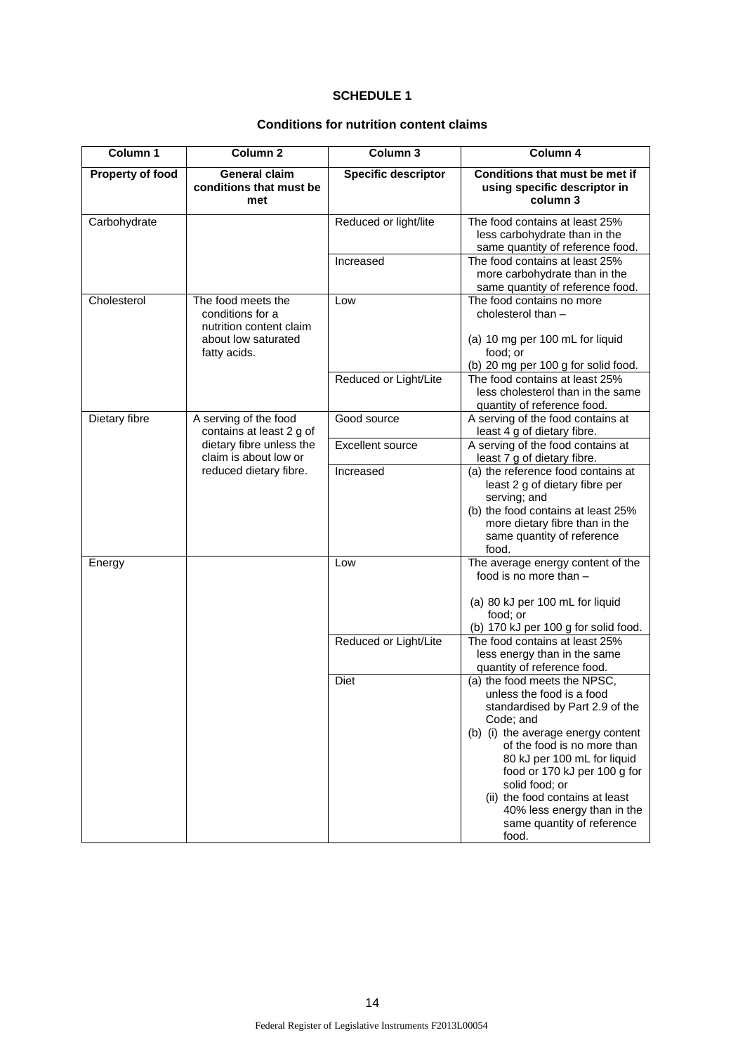### **SCHEDULE 1**

| Column 1         | Column <sub>2</sub>                                                                      | Column 3                   | Column 4                                                                                                                                                                                                                                                                                                                                                                 |
|------------------|------------------------------------------------------------------------------------------|----------------------------|--------------------------------------------------------------------------------------------------------------------------------------------------------------------------------------------------------------------------------------------------------------------------------------------------------------------------------------------------------------------------|
| Property of food | <b>General claim</b><br>conditions that must be<br>met                                   | <b>Specific descriptor</b> | Conditions that must be met if<br>using specific descriptor in<br>column 3                                                                                                                                                                                                                                                                                               |
| Carbohydrate     |                                                                                          | Reduced or light/lite      | The food contains at least 25%<br>less carbohydrate than in the<br>same quantity of reference food.                                                                                                                                                                                                                                                                      |
|                  |                                                                                          | Increased                  | The food contains at least 25%<br>more carbohydrate than in the<br>same quantity of reference food.                                                                                                                                                                                                                                                                      |
| Cholesterol      | The food meets the<br>conditions for a<br>nutrition content claim<br>about low saturated | Low                        | The food contains no more<br>cholesterol than -<br>(a) 10 mg per 100 mL for liquid<br>food; or                                                                                                                                                                                                                                                                           |
|                  | fatty acids.                                                                             |                            | (b) 20 mg per 100 g for solid food.                                                                                                                                                                                                                                                                                                                                      |
|                  |                                                                                          | Reduced or Light/Lite      | The food contains at least 25%<br>less cholesterol than in the same<br>quantity of reference food.                                                                                                                                                                                                                                                                       |
| Dietary fibre    | A serving of the food<br>contains at least 2 g of                                        | Good source                | A serving of the food contains at<br>least 4 g of dietary fibre.                                                                                                                                                                                                                                                                                                         |
|                  | dietary fibre unless the<br>claim is about low or                                        | <b>Excellent source</b>    | A serving of the food contains at<br>least 7 g of dietary fibre.                                                                                                                                                                                                                                                                                                         |
|                  | reduced dietary fibre.                                                                   | Increased                  | (a) the reference food contains at<br>least 2 g of dietary fibre per<br>serving; and<br>(b) the food contains at least 25%<br>more dietary fibre than in the<br>same quantity of reference<br>food.                                                                                                                                                                      |
| Energy           |                                                                                          | Low                        | The average energy content of the<br>food is no more than -<br>(a) 80 kJ per 100 mL for liquid                                                                                                                                                                                                                                                                           |
|                  |                                                                                          |                            | food; or<br>(b) 170 kJ per 100 g for solid food.                                                                                                                                                                                                                                                                                                                         |
|                  |                                                                                          | Reduced or Light/Lite      | The food contains at least 25%<br>less energy than in the same<br>quantity of reference food.                                                                                                                                                                                                                                                                            |
|                  |                                                                                          | Diet                       | (a) the food meets the NPSC,<br>unless the food is a food<br>standardised by Part 2.9 of the<br>Code; and<br>(b) (i) the average energy content<br>of the food is no more than<br>80 kJ per 100 mL for liquid<br>food or 170 kJ per 100 g for<br>solid food; or<br>(ii) the food contains at least<br>40% less energy than in the<br>same quantity of reference<br>food. |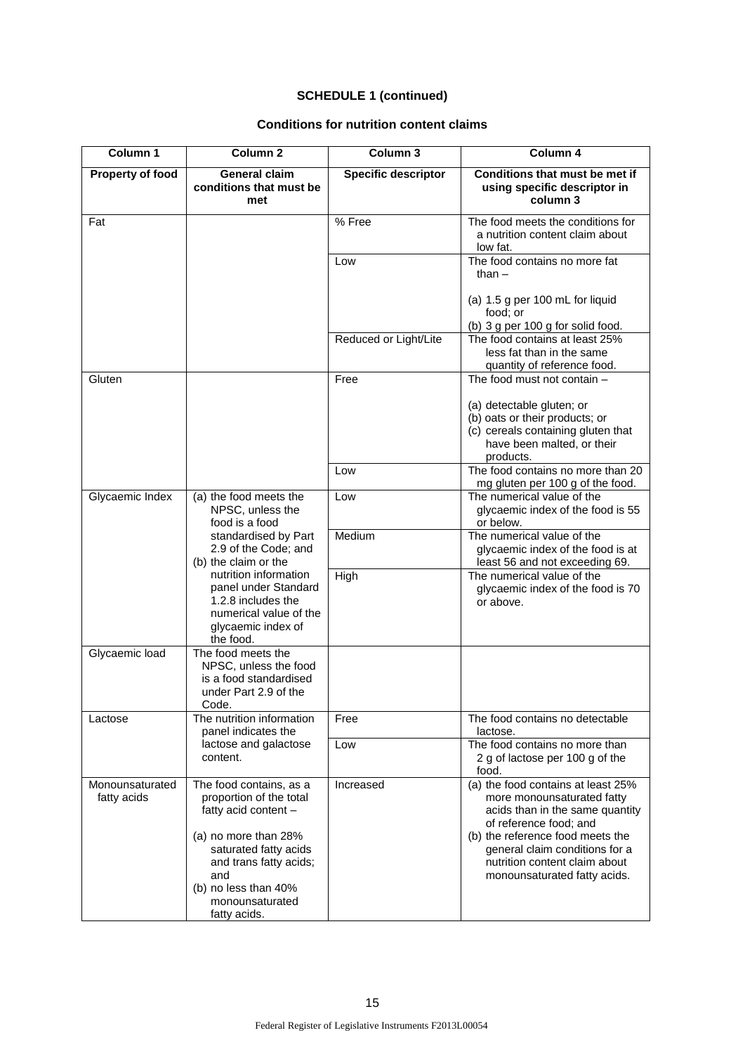| Column 1                       | Column <sub>2</sub>                                                                                                              | Column 3                   | Column 4                                                                                                                                                          |
|--------------------------------|----------------------------------------------------------------------------------------------------------------------------------|----------------------------|-------------------------------------------------------------------------------------------------------------------------------------------------------------------|
| Property of food               | <b>General claim</b><br>conditions that must be<br>met                                                                           | <b>Specific descriptor</b> | Conditions that must be met if<br>using specific descriptor in<br>column 3                                                                                        |
| Fat                            |                                                                                                                                  | % Free                     | The food meets the conditions for<br>a nutrition content claim about<br>low fat.                                                                                  |
|                                |                                                                                                                                  | Low                        | The food contains no more fat<br>than $-$                                                                                                                         |
|                                |                                                                                                                                  |                            | (a) 1.5 g per 100 mL for liquid<br>food; or<br>(b) 3 g per 100 g for solid food.                                                                                  |
|                                |                                                                                                                                  | Reduced or Light/Lite      | The food contains at least 25%<br>less fat than in the same<br>quantity of reference food.                                                                        |
| Gluten                         |                                                                                                                                  | Free                       | The food must not contain -                                                                                                                                       |
|                                |                                                                                                                                  |                            | (a) detectable gluten; or<br>(b) oats or their products; or<br>(c) cereals containing gluten that<br>have been malted, or their<br>products.                      |
|                                |                                                                                                                                  | Low                        | The food contains no more than 20<br>mg gluten per 100 g of the food.                                                                                             |
| Glycaemic Index                | (a) the food meets the<br>NPSC, unless the<br>food is a food                                                                     | Low                        | The numerical value of the<br>glycaemic index of the food is 55<br>or below.                                                                                      |
|                                | standardised by Part<br>2.9 of the Code; and<br>(b) the claim or the                                                             | Medium                     | The numerical value of the<br>glycaemic index of the food is at<br>least 56 and not exceeding 69.                                                                 |
|                                | nutrition information<br>panel under Standard<br>1.2.8 includes the<br>numerical value of the<br>glycaemic index of<br>the food. | High                       | The numerical value of the<br>glycaemic index of the food is 70<br>or above.                                                                                      |
| Glycaemic load                 | The food meets the<br>NPSC, unless the food<br>is a food standardised<br>under Part 2.9 of the<br>Code.                          |                            |                                                                                                                                                                   |
| Lactose                        | The nutrition information<br>panel indicates the                                                                                 | Free                       | The food contains no detectable<br>lactose.                                                                                                                       |
|                                | lactose and galactose<br>content.                                                                                                | Low                        | The food contains no more than<br>2 g of lactose per 100 g of the<br>food.                                                                                        |
| Monounsaturated<br>fatty acids | The food contains, as a<br>proportion of the total<br>fatty acid content -<br>(a) no more than 28%                               | Increased                  | (a) the food contains at least 25%<br>more monounsaturated fatty<br>acids than in the same quantity<br>of reference food; and<br>(b) the reference food meets the |
|                                | saturated fatty acids<br>and trans fatty acids;<br>and<br>(b) no less than 40%<br>monounsaturated<br>fatty acids.                |                            | general claim conditions for a<br>nutrition content claim about<br>monounsaturated fatty acids.                                                                   |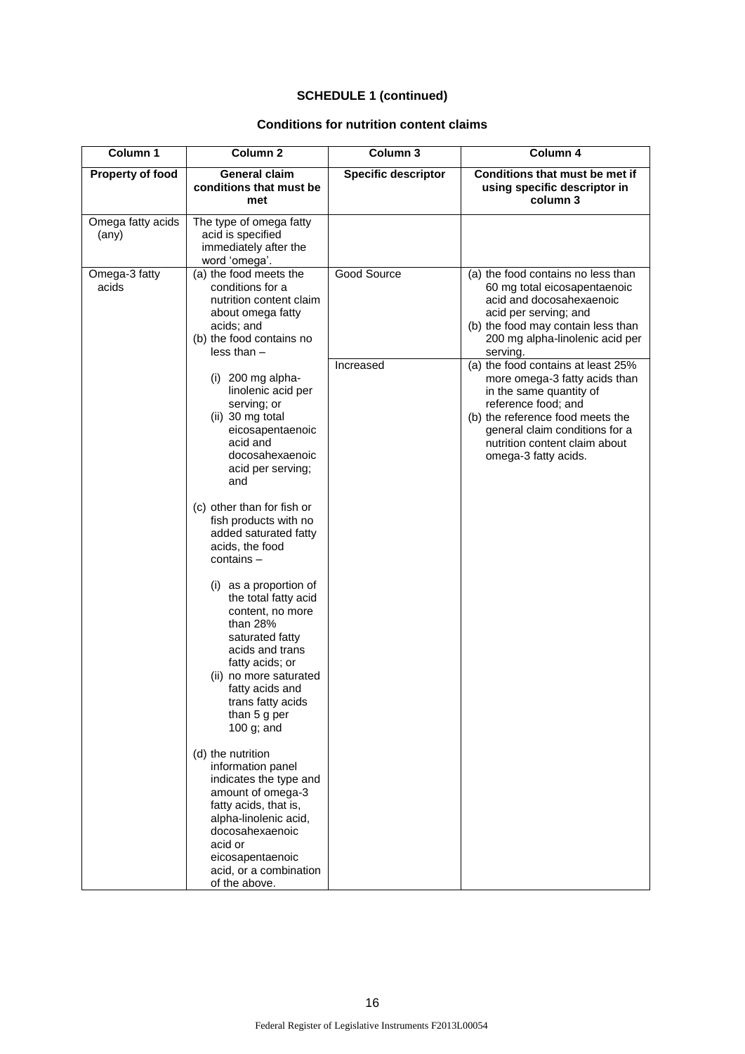| Column 1                            | Column <sub>2</sub>                                                                                                                                                                                                                     | Column 3                   | Column 4                                                                                                                                                                                                                                             |
|-------------------------------------|-----------------------------------------------------------------------------------------------------------------------------------------------------------------------------------------------------------------------------------------|----------------------------|------------------------------------------------------------------------------------------------------------------------------------------------------------------------------------------------------------------------------------------------------|
| Property of food                    | <b>General claim</b><br>conditions that must be<br>met                                                                                                                                                                                  | <b>Specific descriptor</b> | Conditions that must be met if<br>using specific descriptor in<br>column 3                                                                                                                                                                           |
| Omega fatty acids<br>$(\text{any})$ | The type of omega fatty<br>acid is specified<br>immediately after the<br>word 'omega'.                                                                                                                                                  |                            |                                                                                                                                                                                                                                                      |
| Omega-3 fatty<br>acids              | (a) the food meets the<br>conditions for a<br>nutrition content claim<br>about omega fatty<br>acids; and<br>(b) the food contains no<br>$less than -$                                                                                   | Good Source                | (a) the food contains no less than<br>60 mg total eicosapentaenoic<br>acid and docosahexaenoic<br>acid per serving; and<br>(b) the food may contain less than<br>200 mg alpha-linolenic acid per<br>serving.                                         |
|                                     | $(i)$ 200 mg alpha-<br>linolenic acid per<br>serving; or<br>(ii) 30 mg total<br>eicosapentaenoic<br>acid and<br>docosahexaenoic<br>acid per serving;<br>and                                                                             | Increased                  | (a) the food contains at least 25%<br>more omega-3 fatty acids than<br>in the same quantity of<br>reference food; and<br>(b) the reference food meets the<br>general claim conditions for a<br>nutrition content claim about<br>omega-3 fatty acids. |
|                                     | (c) other than for fish or<br>fish products with no<br>added saturated fatty<br>acids, the food<br>contains –                                                                                                                           |                            |                                                                                                                                                                                                                                                      |
|                                     | (i) as a proportion of<br>the total fatty acid<br>content, no more<br>than 28%<br>saturated fatty<br>acids and trans<br>fatty acids; or<br>(ii) no more saturated<br>fatty acids and<br>trans fatty acids<br>than 5 g per<br>100 g; and |                            |                                                                                                                                                                                                                                                      |
|                                     | (d) the nutrition<br>information panel<br>indicates the type and<br>amount of omega-3<br>fatty acids, that is,<br>alpha-linolenic acid,<br>docosahexaenoic<br>acid or<br>eicosapentaenoic<br>acid, or a combination<br>of the above.    |                            |                                                                                                                                                                                                                                                      |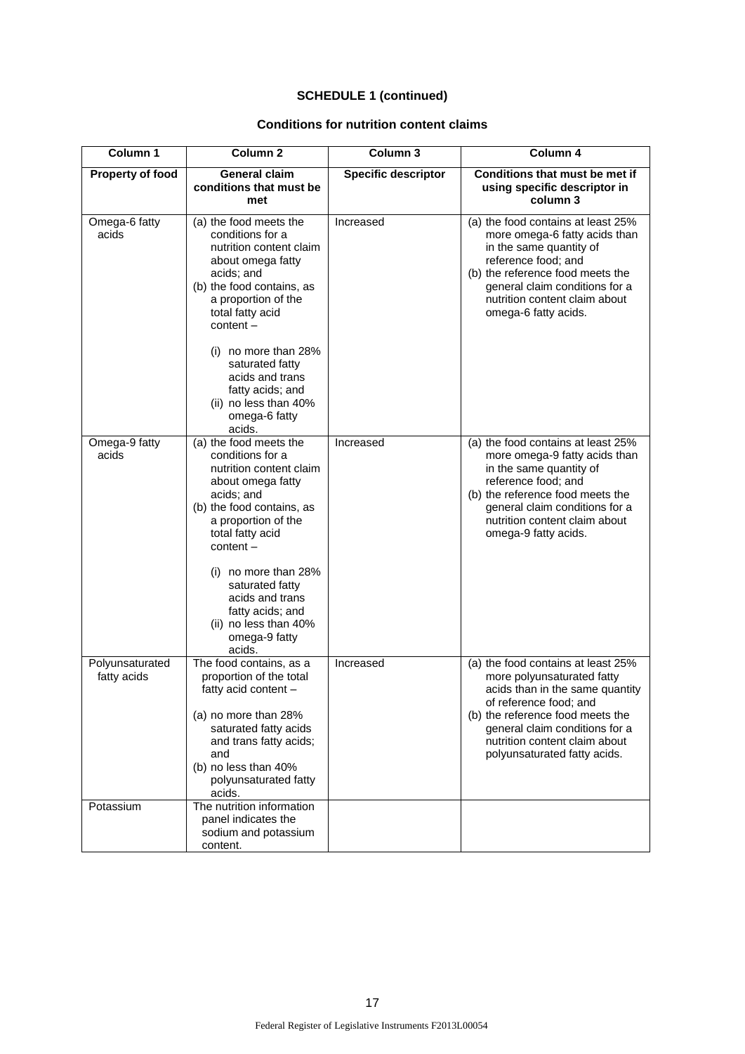| Column 1                                    | Column <sub>2</sub>                                                                                                                                                                                                                                  | Column 3                   | Column 4                                                                                                                                                                                                                                                             |
|---------------------------------------------|------------------------------------------------------------------------------------------------------------------------------------------------------------------------------------------------------------------------------------------------------|----------------------------|----------------------------------------------------------------------------------------------------------------------------------------------------------------------------------------------------------------------------------------------------------------------|
| <b>Property of food</b>                     | <b>General claim</b><br>conditions that must be<br>met                                                                                                                                                                                               | <b>Specific descriptor</b> | Conditions that must be met if<br>using specific descriptor in<br>column 3                                                                                                                                                                                           |
| Omega-6 fatty<br>acids                      | (a) the food meets the<br>conditions for a<br>nutrition content claim<br>about omega fatty<br>acids; and<br>(b) the food contains, as<br>a proportion of the<br>total fatty acid<br>$content -$<br>$(i)$ no more than 28%                            | Increased                  | (a) the food contains at least 25%<br>more omega-6 fatty acids than<br>in the same quantity of<br>reference food; and<br>(b) the reference food meets the<br>general claim conditions for a<br>nutrition content claim about<br>omega-6 fatty acids.                 |
|                                             | saturated fatty<br>acids and trans<br>fatty acids; and<br>(ii) no less than 40%<br>omega-6 fatty<br>acids.                                                                                                                                           |                            |                                                                                                                                                                                                                                                                      |
| Omega-9 fatty<br>acids                      | (a) the food meets the<br>conditions for a<br>nutrition content claim<br>about omega fatty<br>acids; and<br>(b) the food contains, as<br>a proportion of the<br>total fatty acid<br>$content -$                                                      | Increased                  | (a) the food contains at least 25%<br>more omega-9 fatty acids than<br>in the same quantity of<br>reference food; and<br>(b) the reference food meets the<br>general claim conditions for a<br>nutrition content claim about<br>omega-9 fatty acids.                 |
|                                             | $(i)$ no more than 28%<br>saturated fatty<br>acids and trans<br>fatty acids; and<br>(ii) no less than 40%<br>omega-9 fatty<br>acids.                                                                                                                 |                            |                                                                                                                                                                                                                                                                      |
| Polyunsaturated<br>fatty acids<br>Potassium | The food contains, as a<br>proportion of the total<br>fatty acid content -<br>(a) no more than 28%<br>saturated fatty acids<br>and trans fatty acids;<br>and<br>(b) no less than 40%<br>polyunsaturated fatty<br>acids.<br>The nutrition information | Increased                  | (a) the food contains at least 25%<br>more polyunsaturated fatty<br>acids than in the same quantity<br>of reference food; and<br>(b) the reference food meets the<br>general claim conditions for a<br>nutrition content claim about<br>polyunsaturated fatty acids. |
|                                             | panel indicates the<br>sodium and potassium<br>content.                                                                                                                                                                                              |                            |                                                                                                                                                                                                                                                                      |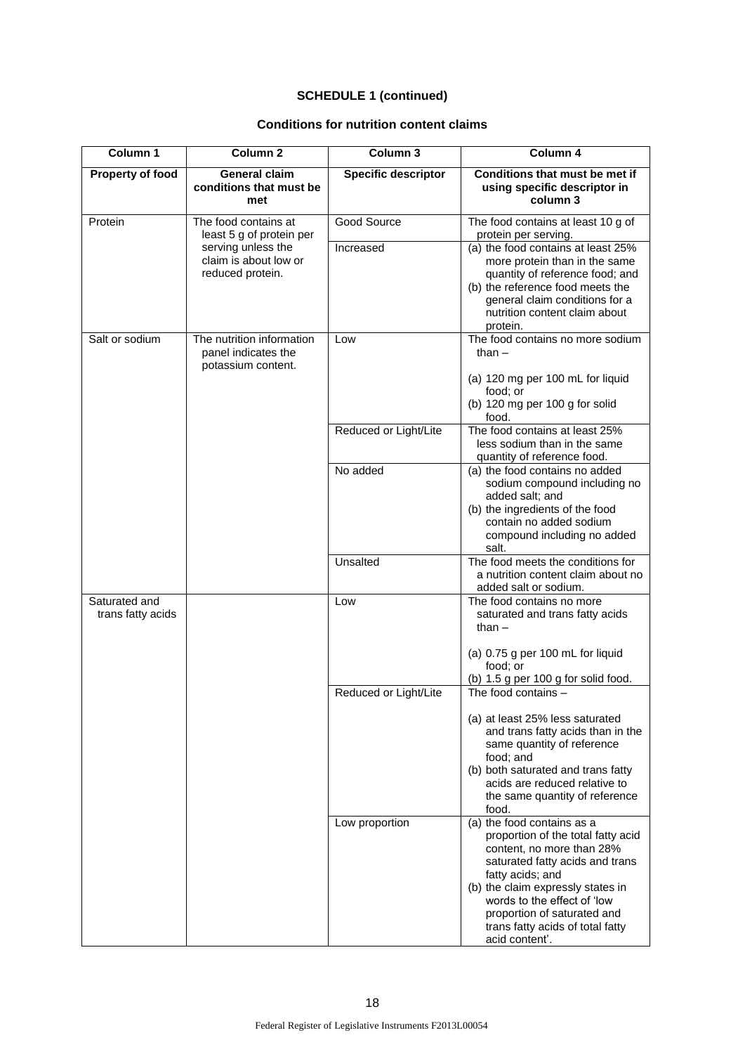| Column 1                           | Column <sub>2</sub>                                                                         | Column 3                   | Column 4                                                                                                                                                                                                                                          |
|------------------------------------|---------------------------------------------------------------------------------------------|----------------------------|---------------------------------------------------------------------------------------------------------------------------------------------------------------------------------------------------------------------------------------------------|
| <b>Property of food</b>            | <b>General claim</b><br>conditions that must be<br>met                                      | <b>Specific descriptor</b> | Conditions that must be met if<br>using specific descriptor in<br>column 3                                                                                                                                                                        |
| Protein                            | The food contains at                                                                        | <b>Good Source</b>         | The food contains at least 10 g of                                                                                                                                                                                                                |
|                                    | least 5 g of protein per<br>serving unless the<br>claim is about low or<br>reduced protein. | Increased                  | protein per serving.<br>(a) the food contains at least 25%<br>more protein than in the same<br>quantity of reference food; and<br>(b) the reference food meets the<br>general claim conditions for a<br>nutrition content claim about<br>protein. |
| Salt or sodium                     | The nutrition information<br>panel indicates the<br>potassium content.                      | Low                        | The food contains no more sodium<br>than $-$<br>(a) 120 mg per 100 mL for liquid                                                                                                                                                                  |
|                                    |                                                                                             |                            | food; or<br>(b) 120 mg per 100 g for solid<br>food.                                                                                                                                                                                               |
|                                    |                                                                                             | Reduced or Light/Lite      | The food contains at least 25%<br>less sodium than in the same<br>quantity of reference food.                                                                                                                                                     |
|                                    |                                                                                             | No added                   | (a) the food contains no added<br>sodium compound including no<br>added salt; and<br>(b) the ingredients of the food<br>contain no added sodium<br>compound including no added<br>salt.                                                           |
|                                    |                                                                                             | Unsalted                   | The food meets the conditions for<br>a nutrition content claim about no<br>added salt or sodium.                                                                                                                                                  |
| Saturated and<br>trans fatty acids |                                                                                             | Low                        | The food contains no more<br>saturated and trans fatty acids<br>than $-$                                                                                                                                                                          |
|                                    |                                                                                             |                            | (a) 0.75 g per 100 mL for liquid<br>food; or<br>(b) 1.5 g per 100 g for solid food.                                                                                                                                                               |
|                                    |                                                                                             | Reduced or Light/Lite      | The food contains -                                                                                                                                                                                                                               |
|                                    |                                                                                             |                            | (a) at least 25% less saturated<br>and trans fatty acids than in the<br>same quantity of reference<br>food; and<br>(b) both saturated and trans fatty<br>acids are reduced relative to                                                            |
|                                    |                                                                                             |                            | the same quantity of reference<br>food.                                                                                                                                                                                                           |
|                                    |                                                                                             | Low proportion             | (a) the food contains as a<br>proportion of the total fatty acid<br>content, no more than 28%<br>saturated fatty acids and trans<br>fatty acids; and                                                                                              |
|                                    |                                                                                             |                            | (b) the claim expressly states in<br>words to the effect of 'low<br>proportion of saturated and<br>trans fatty acids of total fatty<br>acid content'.                                                                                             |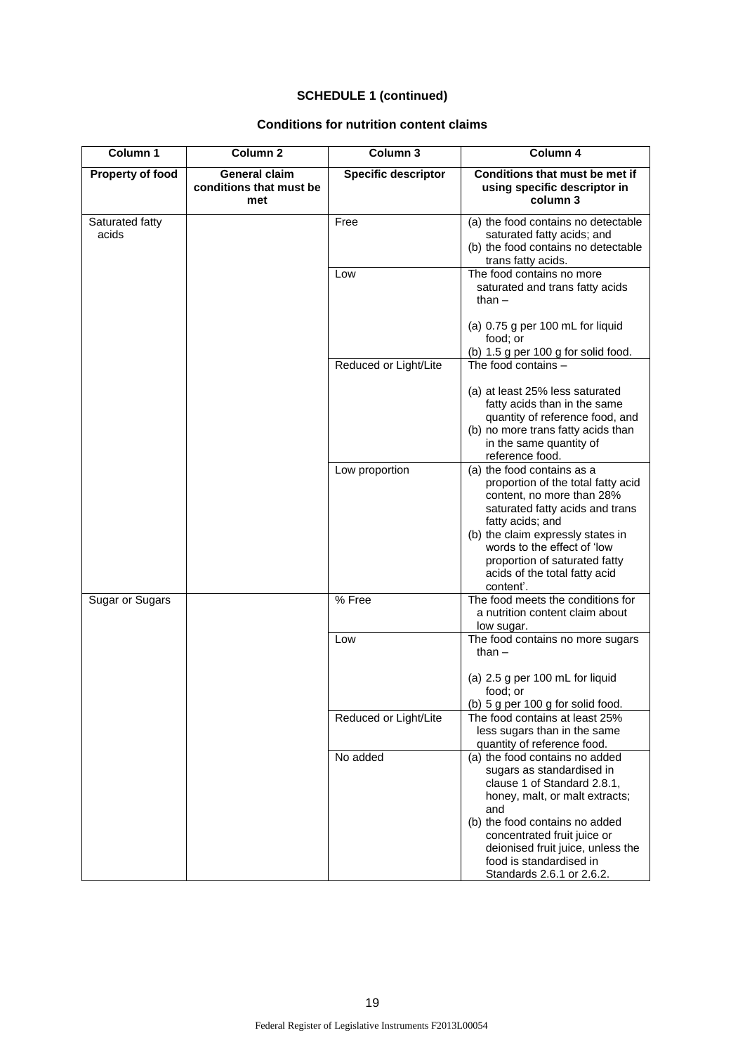| Column 1                 | Column <sub>2</sub>                                    | Column 3                   | Column 4                                                                                                                                                                                                                                                                                                |
|--------------------------|--------------------------------------------------------|----------------------------|---------------------------------------------------------------------------------------------------------------------------------------------------------------------------------------------------------------------------------------------------------------------------------------------------------|
| Property of food         | <b>General claim</b><br>conditions that must be<br>met | <b>Specific descriptor</b> | Conditions that must be met if<br>using specific descriptor in<br>column 3                                                                                                                                                                                                                              |
| Saturated fatty<br>acids |                                                        | Free                       | (a) the food contains no detectable<br>saturated fatty acids; and<br>(b) the food contains no detectable<br>trans fatty acids.                                                                                                                                                                          |
|                          |                                                        | Low                        | The food contains no more<br>saturated and trans fatty acids<br>than $-$                                                                                                                                                                                                                                |
|                          |                                                        |                            | (a) 0.75 g per 100 mL for liquid<br>food; or                                                                                                                                                                                                                                                            |
|                          |                                                        | Reduced or Light/Lite      | (b) 1.5 g per 100 g for solid food.<br>The food contains -                                                                                                                                                                                                                                              |
|                          |                                                        |                            |                                                                                                                                                                                                                                                                                                         |
|                          |                                                        |                            | (a) at least 25% less saturated<br>fatty acids than in the same<br>quantity of reference food, and<br>(b) no more trans fatty acids than<br>in the same quantity of<br>reference food.                                                                                                                  |
|                          |                                                        | Low proportion             | (a) the food contains as a<br>proportion of the total fatty acid<br>content, no more than 28%<br>saturated fatty acids and trans<br>fatty acids; and<br>(b) the claim expressly states in<br>words to the effect of 'low<br>proportion of saturated fatty<br>acids of the total fatty acid<br>content'. |
| Sugar or Sugars          |                                                        | % Free                     | The food meets the conditions for<br>a nutrition content claim about<br>low sugar.                                                                                                                                                                                                                      |
|                          |                                                        | Low                        | The food contains no more sugars<br>than $-$                                                                                                                                                                                                                                                            |
|                          |                                                        |                            | (a) 2.5 g per 100 mL for liquid<br>food; or                                                                                                                                                                                                                                                             |
|                          |                                                        | Reduced or Light/Lite      | (b) 5 g per 100 g for solid food.<br>The food contains at least 25%<br>less sugars than in the same<br>quantity of reference food.                                                                                                                                                                      |
|                          |                                                        | No added                   | (a) the food contains no added<br>sugars as standardised in<br>clause 1 of Standard 2.8.1,<br>honey, malt, or malt extracts;<br>and<br>(b) the food contains no added<br>concentrated fruit juice or<br>deionised fruit juice, unless the<br>food is standardised in<br>Standards 2.6.1 or 2.6.2.       |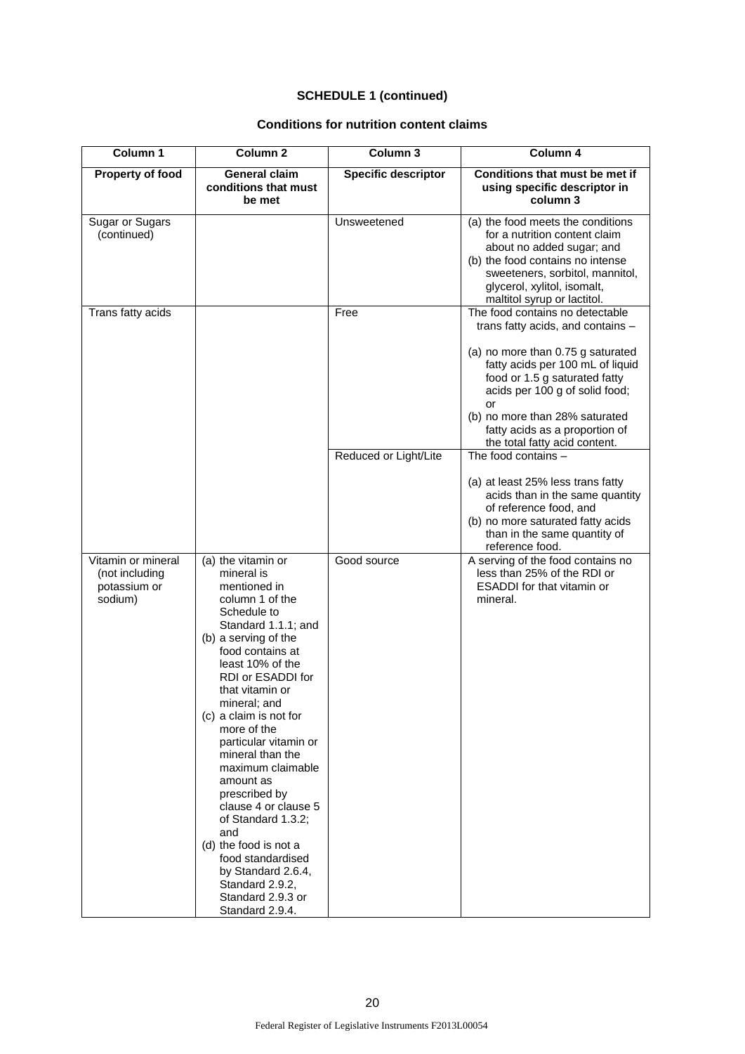| Column 1                                                        | Column <sub>2</sub>                                                                                                                                                                                                                                                                                                                                                                                                                                                                                                                                            | Column 3                   | Column 4                                                                                                                                                                                                                                                                                                                    |
|-----------------------------------------------------------------|----------------------------------------------------------------------------------------------------------------------------------------------------------------------------------------------------------------------------------------------------------------------------------------------------------------------------------------------------------------------------------------------------------------------------------------------------------------------------------------------------------------------------------------------------------------|----------------------------|-----------------------------------------------------------------------------------------------------------------------------------------------------------------------------------------------------------------------------------------------------------------------------------------------------------------------------|
| Property of food                                                | General claim<br>conditions that must<br>be met                                                                                                                                                                                                                                                                                                                                                                                                                                                                                                                | <b>Specific descriptor</b> | Conditions that must be met if<br>using specific descriptor in<br>column 3                                                                                                                                                                                                                                                  |
| Sugar or Sugars<br>(continued)                                  |                                                                                                                                                                                                                                                                                                                                                                                                                                                                                                                                                                | Unsweetened                | (a) the food meets the conditions<br>for a nutrition content claim<br>about no added sugar; and<br>(b) the food contains no intense<br>sweeteners, sorbitol, mannitol,<br>glycerol, xylitol, isomalt,<br>maltitol syrup or lactitol.                                                                                        |
| Trans fatty acids                                               |                                                                                                                                                                                                                                                                                                                                                                                                                                                                                                                                                                | Free                       | The food contains no detectable<br>trans fatty acids, and contains -<br>(a) no more than 0.75 g saturated<br>fatty acids per 100 mL of liquid<br>food or 1.5 g saturated fatty<br>acids per 100 g of solid food;<br>or<br>(b) no more than 28% saturated<br>fatty acids as a proportion of<br>the total fatty acid content. |
|                                                                 |                                                                                                                                                                                                                                                                                                                                                                                                                                                                                                                                                                | Reduced or Light/Lite      | The food contains -<br>(a) at least 25% less trans fatty<br>acids than in the same quantity<br>of reference food, and<br>(b) no more saturated fatty acids<br>than in the same quantity of<br>reference food.                                                                                                               |
| Vitamin or mineral<br>(not including<br>potassium or<br>sodium) | (a) the vitamin or<br>mineral is<br>mentioned in<br>column 1 of the<br>Schedule to<br>Standard 1.1.1; and<br>(b) a serving of the<br>food contains at<br>least 10% of the<br>RDI or ESADDI for<br>that vitamin or<br>mineral; and<br>(c) a claim is not for<br>more of the<br>particular vitamin or<br>mineral than the<br>maximum claimable<br>amount as<br>prescribed by<br>clause 4 or clause 5<br>of Standard 1.3.2;<br>and<br>(d) the food is not a<br>food standardised<br>by Standard 2.6.4,<br>Standard 2.9.2,<br>Standard 2.9.3 or<br>Standard 2.9.4. | Good source                | A serving of the food contains no<br>less than 25% of the RDI or<br><b>ESADDI</b> for that vitamin or<br>mineral.                                                                                                                                                                                                           |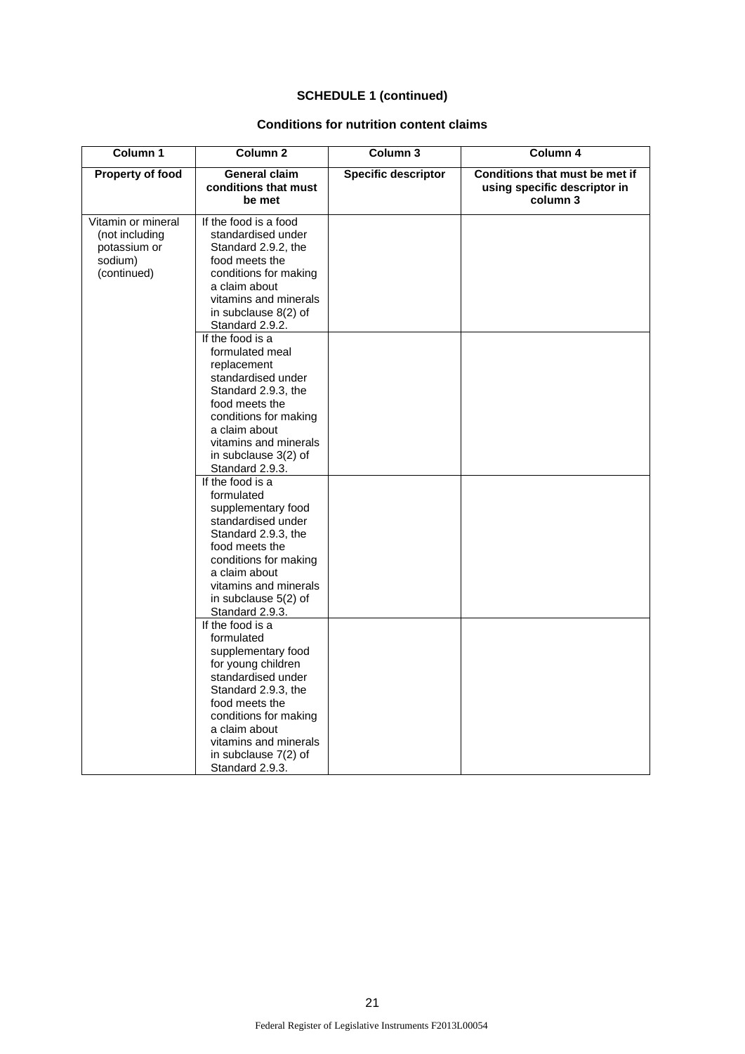| Column 1                                                                       | Column <sub>2</sub>                                                                                                                                                                                                                                                                                                                                                                                                                                                                                                                        | Column 3                   | Column 4                                                                   |
|--------------------------------------------------------------------------------|--------------------------------------------------------------------------------------------------------------------------------------------------------------------------------------------------------------------------------------------------------------------------------------------------------------------------------------------------------------------------------------------------------------------------------------------------------------------------------------------------------------------------------------------|----------------------------|----------------------------------------------------------------------------|
| <b>Property of food</b>                                                        | General claim<br>conditions that must<br>be met                                                                                                                                                                                                                                                                                                                                                                                                                                                                                            | <b>Specific descriptor</b> | Conditions that must be met if<br>using specific descriptor in<br>column 3 |
| Vitamin or mineral<br>(not including<br>potassium or<br>sodium)<br>(continued) | If the food is a food<br>standardised under<br>Standard 2.9.2, the<br>food meets the<br>conditions for making<br>a claim about<br>vitamins and minerals<br>in subclause 8(2) of<br>Standard 2.9.2.<br>If the food is a<br>formulated meal<br>replacement<br>standardised under<br>Standard 2.9.3, the<br>food meets the<br>conditions for making<br>a claim about<br>vitamins and minerals<br>in subclause 3(2) of<br>Standard 2.9.3.<br>If the food is a<br>formulated<br>supplementary food<br>standardised under<br>Standard 2.9.3, the |                            |                                                                            |
|                                                                                | food meets the<br>conditions for making<br>a claim about<br>vitamins and minerals<br>in subclause 5(2) of<br>Standard 2.9.3.<br>If the food is a<br>formulated<br>supplementary food<br>for young children<br>standardised under<br>Standard 2.9.3, the<br>food meets the<br>conditions for making<br>a claim about<br>vitamins and minerals<br>in subclause 7(2) of<br>Standard 2.9.3.                                                                                                                                                    |                            |                                                                            |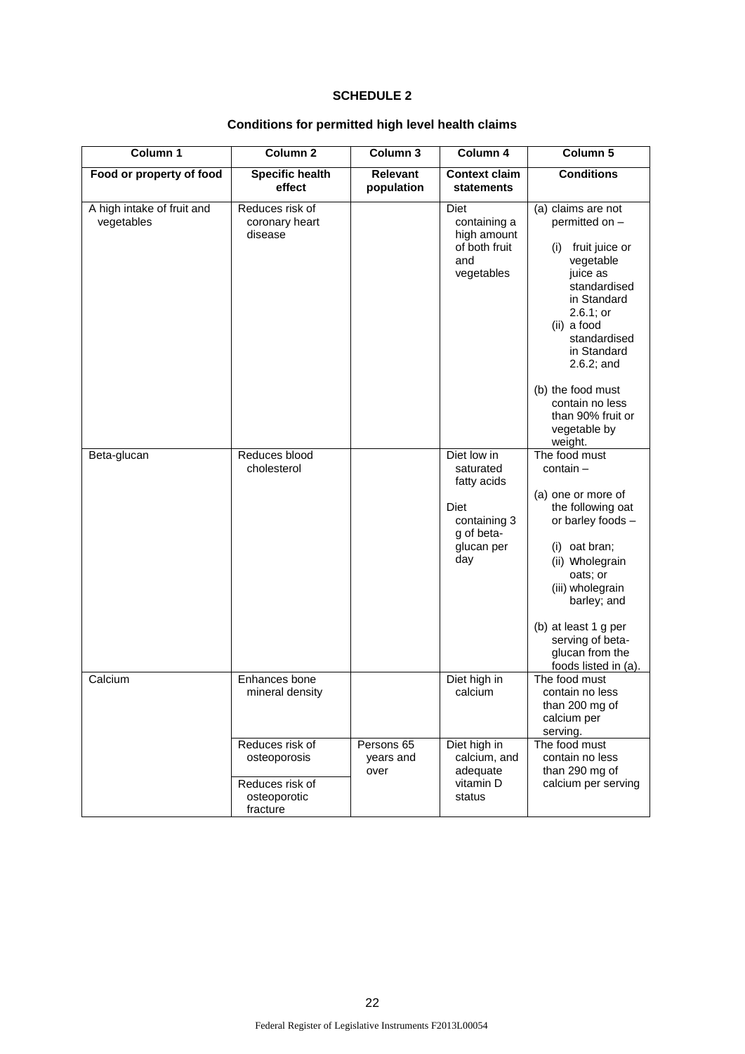# **SCHEDULE 2**

# **Conditions for permitted high level health claims**

| Column 1                                 | Column <sub>2</sub>                                                            | Column <sub>3</sub>             | Column 4                                                                                           | Column 5                                                                                                                                                                                                                                                                               |
|------------------------------------------|--------------------------------------------------------------------------------|---------------------------------|----------------------------------------------------------------------------------------------------|----------------------------------------------------------------------------------------------------------------------------------------------------------------------------------------------------------------------------------------------------------------------------------------|
| Food or property of food                 | <b>Specific health</b><br>effect                                               | <b>Relevant</b><br>population   | <b>Context claim</b><br>statements                                                                 | <b>Conditions</b>                                                                                                                                                                                                                                                                      |
| A high intake of fruit and<br>vegetables | Reduces risk of<br>coronary heart<br>disease                                   |                                 | Diet<br>containing a<br>high amount<br>of both fruit<br>and<br>vegetables                          | (a) claims are not<br>permitted on -<br>fruit juice or<br>(i)<br>vegetable<br>juice as<br>standardised<br>in Standard<br>2.6.1; or<br>(ii) a food<br>standardised<br>in Standard<br>2.6.2; and<br>(b) the food must<br>contain no less<br>than 90% fruit or<br>vegetable by<br>weight. |
| Beta-glucan                              | Reduces blood<br>cholesterol                                                   |                                 | Diet low in<br>saturated<br>fatty acids<br>Diet<br>containing 3<br>g of beta-<br>glucan per<br>day | The food must<br>$contain -$<br>(a) one or more of<br>the following oat<br>or barley foods -<br>(i) oat bran;<br>(ii) Wholegrain<br>oats; or<br>(iii) wholegrain<br>barley; and<br>(b) at least 1 g per<br>serving of beta-<br>glucan from the<br>foods listed in (a).                 |
| Calcium                                  | Enhances bone<br>mineral density                                               |                                 | Diet high in<br>calcium                                                                            | The food must<br>contain no less<br>than 200 mg of<br>calcium per<br>serving.                                                                                                                                                                                                          |
|                                          | Reduces risk of<br>osteoporosis<br>Reduces risk of<br>osteoporotic<br>fracture | Persons 65<br>years and<br>over | Diet high in<br>calcium, and<br>adequate<br>vitamin D<br>status                                    | The food must<br>contain no less<br>than 290 mg of<br>calcium per serving                                                                                                                                                                                                              |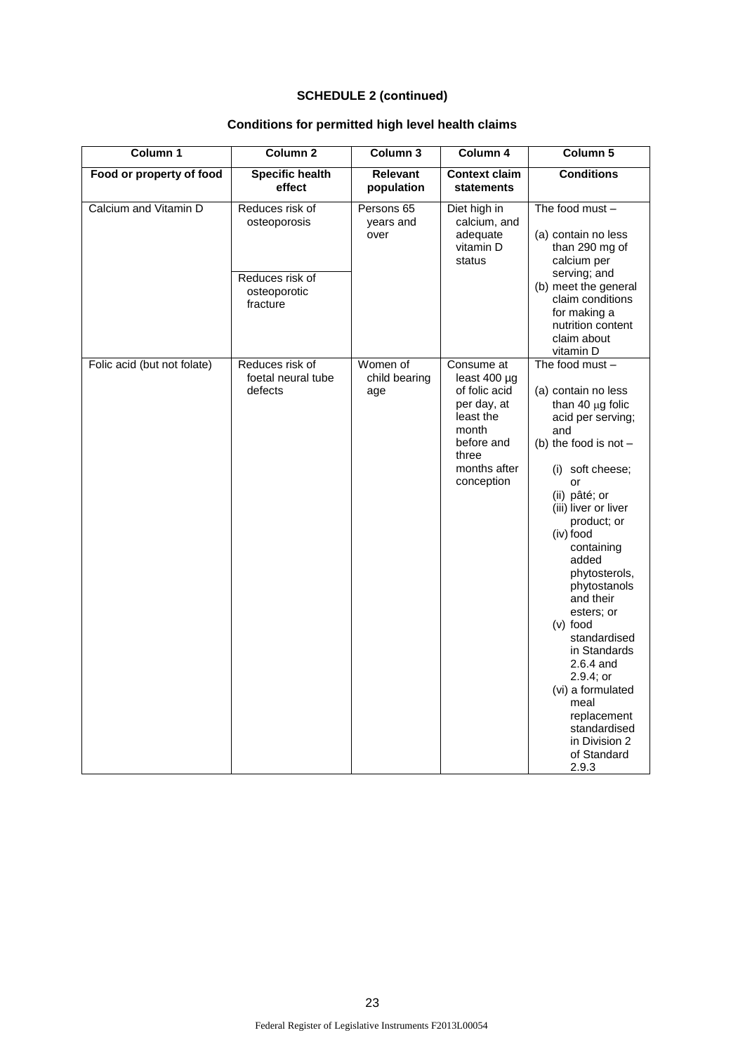# **Conditions for permitted high level health claims**

| Column 1                    | Column 2                                         | Column 3                         | Column 4                                                                                                                                   | Column 5                                                                                                                                                                                                                                                                                                                                                                                                                                                                                |
|-----------------------------|--------------------------------------------------|----------------------------------|--------------------------------------------------------------------------------------------------------------------------------------------|-----------------------------------------------------------------------------------------------------------------------------------------------------------------------------------------------------------------------------------------------------------------------------------------------------------------------------------------------------------------------------------------------------------------------------------------------------------------------------------------|
| Food or property of food    | <b>Specific health</b><br>effect                 | <b>Relevant</b><br>population    | <b>Context claim</b><br><b>statements</b>                                                                                                  | <b>Conditions</b>                                                                                                                                                                                                                                                                                                                                                                                                                                                                       |
| Calcium and Vitamin D       | Reduces risk of<br>osteoporosis                  | Persons 65<br>years and<br>over  | Diet high in<br>calcium, and<br>adequate<br>vitamin D<br>status                                                                            | The food must -<br>(a) contain no less<br>than 290 mg of<br>calcium per                                                                                                                                                                                                                                                                                                                                                                                                                 |
|                             | Reduces risk of<br>osteoporotic<br>fracture      |                                  |                                                                                                                                            | serving; and<br>(b) meet the general<br>claim conditions<br>for making a<br>nutrition content<br>claim about<br>vitamin D                                                                                                                                                                                                                                                                                                                                                               |
| Folic acid (but not folate) | Reduces risk of<br>foetal neural tube<br>defects | Women of<br>child bearing<br>age | Consume at<br>least $400 \mu g$<br>of folic acid<br>per day, at<br>least the<br>month<br>before and<br>three<br>months after<br>conception | The food must -<br>(a) contain no less<br>than 40 $\mu$ g folic<br>acid per serving;<br>and<br>(b) the food is not $-$<br>(i) soft cheese;<br>or<br>(ii) pâté; or<br>(iii) liver or liver<br>product; or<br>(iv) food<br>containing<br>added<br>phytosterols,<br>phytostanols<br>and their<br>esters; or<br>$(v)$ food<br>standardised<br>in Standards<br>$2.6.4$ and<br>2.9.4; or<br>(vi) a formulated<br>meal<br>replacement<br>standardised<br>in Division 2<br>of Standard<br>2.9.3 |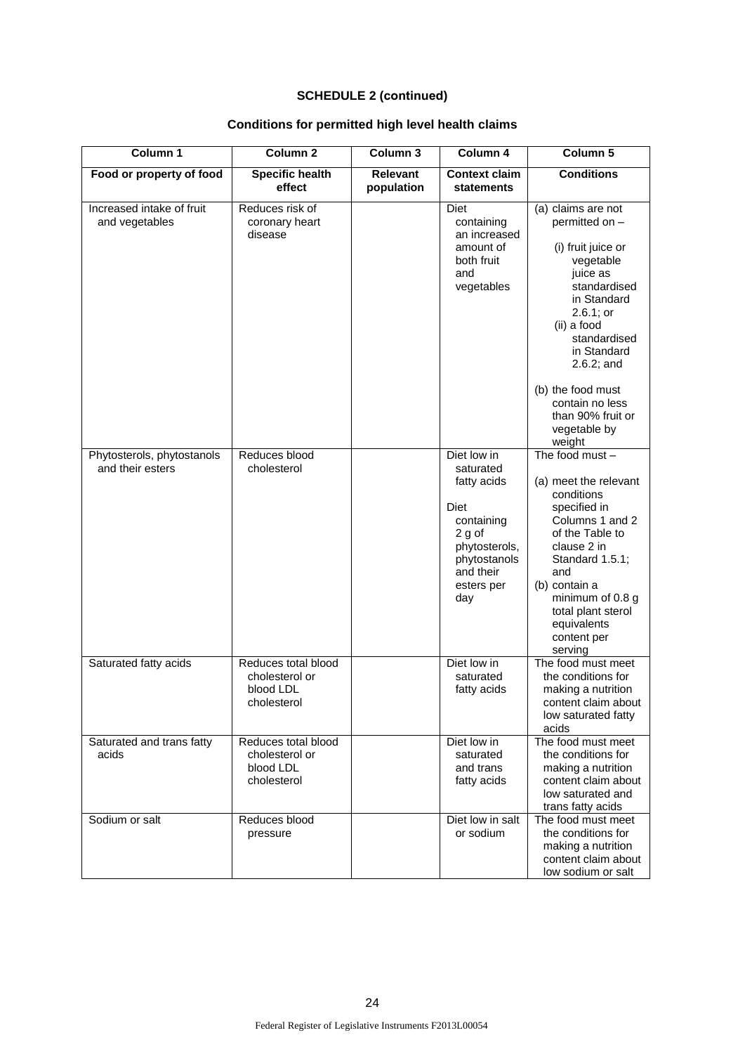# **Conditions for permitted high level health claims**

| Column 1                                       | Column <sub>2</sub>                                               | Column 3                      | Column 4                                                                                                                                   | Column 5                                                                                                                                                                                                                                                                              |
|------------------------------------------------|-------------------------------------------------------------------|-------------------------------|--------------------------------------------------------------------------------------------------------------------------------------------|---------------------------------------------------------------------------------------------------------------------------------------------------------------------------------------------------------------------------------------------------------------------------------------|
| Food or property of food                       | <b>Specific health</b><br>effect                                  | <b>Relevant</b><br>population | <b>Context claim</b><br>statements                                                                                                         | <b>Conditions</b>                                                                                                                                                                                                                                                                     |
| Increased intake of fruit<br>and vegetables    | Reduces risk of<br>coronary heart<br>disease                      |                               | <b>Diet</b><br>containing<br>an increased<br>amount of<br>both fruit<br>and<br>vegetables                                                  | (a) claims are not<br>permitted on -<br>(i) fruit juice or<br>vegetable<br>juice as<br>standardised<br>in Standard<br>2.6.1; or<br>(ii) a food<br>standardised<br>in Standard<br>$2.6.2$ ; and<br>(b) the food must<br>contain no less<br>than 90% fruit or<br>vegetable by<br>weight |
| Phytosterols, phytostanols<br>and their esters | Reduces blood<br>cholesterol                                      |                               | Diet low in<br>saturated<br>fatty acids<br>Diet<br>containing<br>2 g of<br>phytosterols,<br>phytostanols<br>and their<br>esters per<br>day | The food must $-$<br>(a) meet the relevant<br>conditions<br>specified in<br>Columns 1 and 2<br>of the Table to<br>clause 2 in<br>Standard 1.5.1;<br>and<br>(b) contain a<br>minimum of 0.8 g<br>total plant sterol<br>equivalents<br>content per<br>serving                           |
| Saturated fatty acids                          | Reduces total blood<br>cholesterol or<br>blood LDL<br>cholesterol |                               | Diet low in<br>saturated<br>fatty acids                                                                                                    | The food must meet<br>the conditions for<br>making a nutrition<br>content claim about<br>low saturated fatty<br>acids                                                                                                                                                                 |
| Saturated and trans fatty<br>acids             | Reduces total blood<br>cholesterol or<br>blood LDL<br>cholesterol |                               | Diet low in<br>saturated<br>and trans<br>fatty acids                                                                                       | The food must meet<br>the conditions for<br>making a nutrition<br>content claim about<br>low saturated and<br>trans fatty acids                                                                                                                                                       |
| Sodium or salt                                 | Reduces blood<br>pressure                                         |                               | Diet low in salt<br>or sodium                                                                                                              | The food must meet<br>the conditions for<br>making a nutrition<br>content claim about<br>low sodium or salt                                                                                                                                                                           |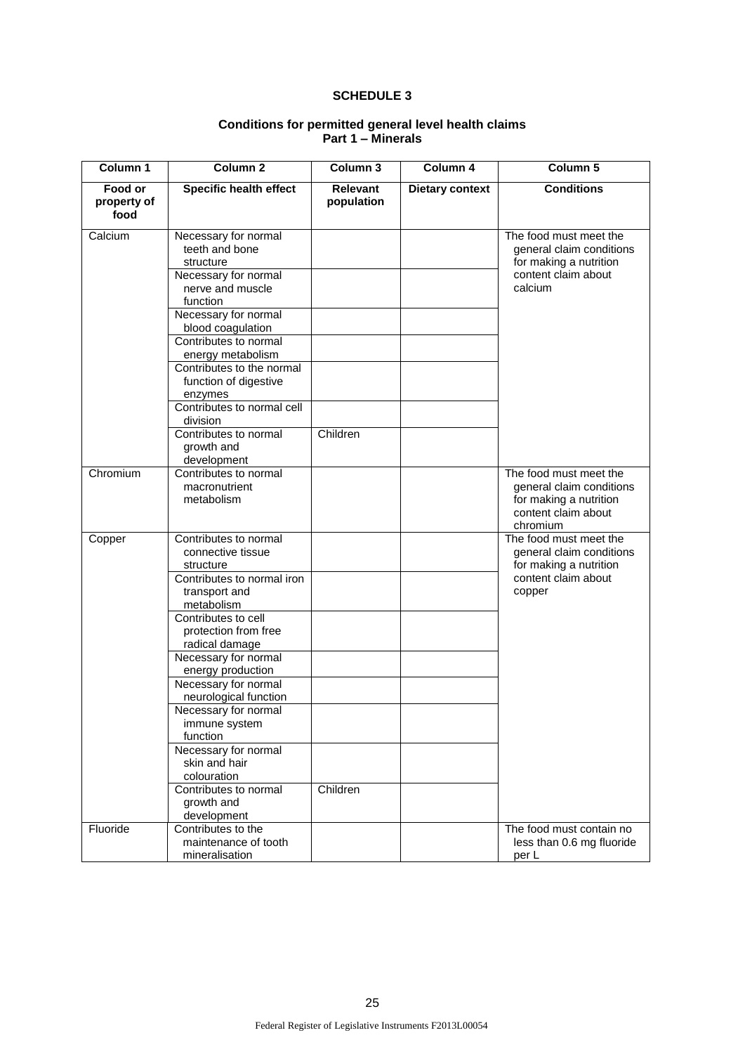## **SCHEDULE 3**

| Column 1                       | Column <sub>2</sub>                                                                                                                                                                                                                                                                                                                                                                                                                                    | Column 3                      | Column 4               | Column 5                                                                                                        |
|--------------------------------|--------------------------------------------------------------------------------------------------------------------------------------------------------------------------------------------------------------------------------------------------------------------------------------------------------------------------------------------------------------------------------------------------------------------------------------------------------|-------------------------------|------------------------|-----------------------------------------------------------------------------------------------------------------|
| Food or<br>property of<br>food | <b>Specific health effect</b>                                                                                                                                                                                                                                                                                                                                                                                                                          | <b>Relevant</b><br>population | <b>Dietary context</b> | <b>Conditions</b>                                                                                               |
| Calcium                        | Necessary for normal<br>teeth and bone<br>structure<br>Necessary for normal<br>nerve and muscle<br>function<br>Necessary for normal<br>blood coagulation<br>Contributes to normal<br>energy metabolism<br>Contributes to the normal<br>function of digestive<br>enzymes<br>Contributes to normal cell<br>division<br>Contributes to normal                                                                                                             | Children                      |                        | The food must meet the<br>general claim conditions<br>for making a nutrition<br>content claim about<br>calcium  |
|                                | growth and<br>development                                                                                                                                                                                                                                                                                                                                                                                                                              |                               |                        |                                                                                                                 |
| Chromium                       | Contributes to normal<br>macronutrient<br>metabolism                                                                                                                                                                                                                                                                                                                                                                                                   |                               |                        | The food must meet the<br>general claim conditions<br>for making a nutrition<br>content claim about<br>chromium |
| Copper                         | Contributes to normal<br>connective tissue<br>structure<br>Contributes to normal iron<br>transport and<br>metabolism<br>Contributes to cell<br>protection from free<br>radical damage<br>Necessary for normal<br>energy production<br>Necessary for normal<br>neurological function<br>Necessary for normal<br>immune system<br>function<br>Necessary for normal<br>skin and hair<br>colouration<br>Contributes to normal<br>growth and<br>development | Children                      |                        | The food must meet the<br>general claim conditions<br>for making a nutrition<br>content claim about<br>copper   |
| Fluoride                       | Contributes to the<br>maintenance of tooth                                                                                                                                                                                                                                                                                                                                                                                                             |                               |                        | The food must contain no<br>less than 0.6 mg fluoride                                                           |

#### **Conditions for permitted general level health claims Part 1 – Minerals**

per L

mineralisation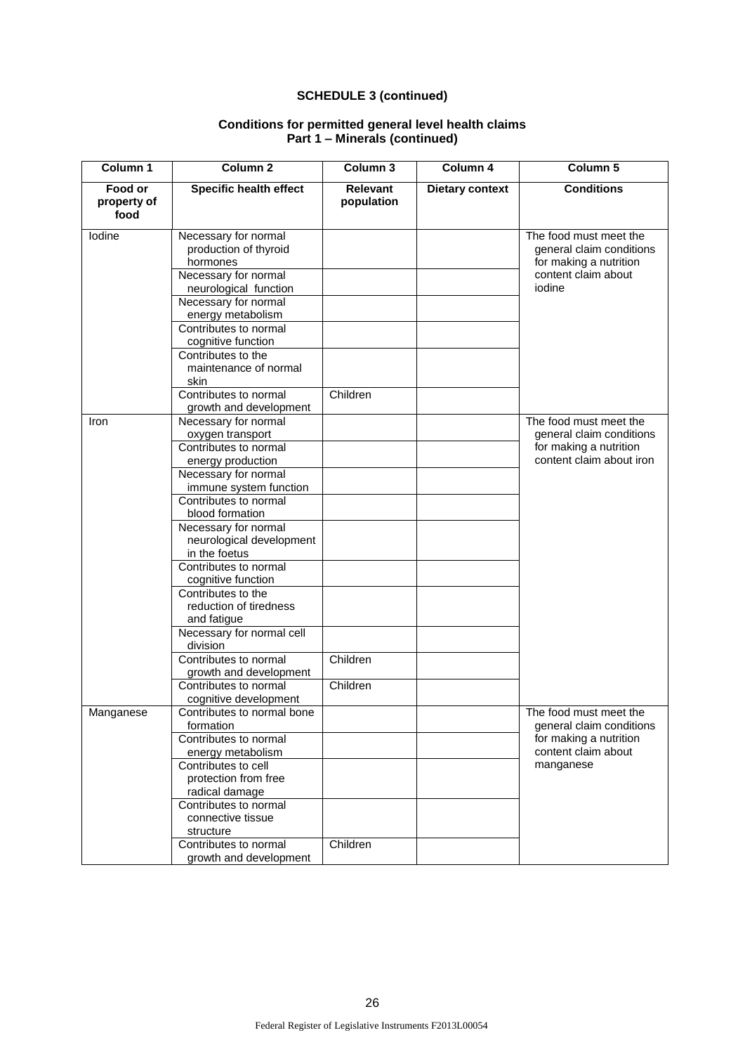| Column 1                       | Column <sub>2</sub>                                                                                                                                                      | Column 3                      | Column 4               | Column <sub>5</sub>                                                                                              |
|--------------------------------|--------------------------------------------------------------------------------------------------------------------------------------------------------------------------|-------------------------------|------------------------|------------------------------------------------------------------------------------------------------------------|
| Food or<br>property of<br>food | <b>Specific health effect</b>                                                                                                                                            | <b>Relevant</b><br>population | <b>Dietary context</b> | <b>Conditions</b>                                                                                                |
| lodine                         | Necessary for normal<br>production of thyroid<br>hormones<br>Necessary for normal<br>neurological function                                                               |                               |                        | The food must meet the<br>general claim conditions<br>for making a nutrition<br>content claim about<br>iodine    |
|                                | Necessary for normal<br>energy metabolism<br>Contributes to normal<br>cognitive function<br>Contributes to the<br>maintenance of normal<br>skin<br>Contributes to normal | Children                      |                        |                                                                                                                  |
| Iron                           | growth and development<br>Necessary for normal<br>oxygen transport<br>Contributes to normal                                                                              |                               |                        | The food must meet the<br>general claim conditions                                                               |
|                                | energy production<br>Necessary for normal<br>immune system function<br>Contributes to normal<br>blood formation<br>Necessary for normal<br>neurological development      |                               |                        | for making a nutrition<br>content claim about iron                                                               |
|                                | in the foetus<br>Contributes to normal<br>cognitive function<br>Contributes to the<br>reduction of tiredness                                                             |                               |                        |                                                                                                                  |
|                                | and fatigue<br>Necessary for normal cell<br>division<br>Contributes to normal                                                                                            | Children                      |                        |                                                                                                                  |
|                                | growth and development<br>Contributes to normal<br>cognitive development                                                                                                 | Children                      |                        |                                                                                                                  |
| Manganese                      | Contributes to normal bone<br>formation<br>Contributes to normal<br>energy metabolism<br>Contributes to cell                                                             |                               |                        | The food must meet the<br>general claim conditions<br>for making a nutrition<br>content claim about<br>manganese |
|                                | protection from free<br>radical damage<br>Contributes to normal<br>connective tissue<br>structure<br>Contributes to normal                                               | Children                      |                        |                                                                                                                  |
|                                | growth and development                                                                                                                                                   |                               |                        |                                                                                                                  |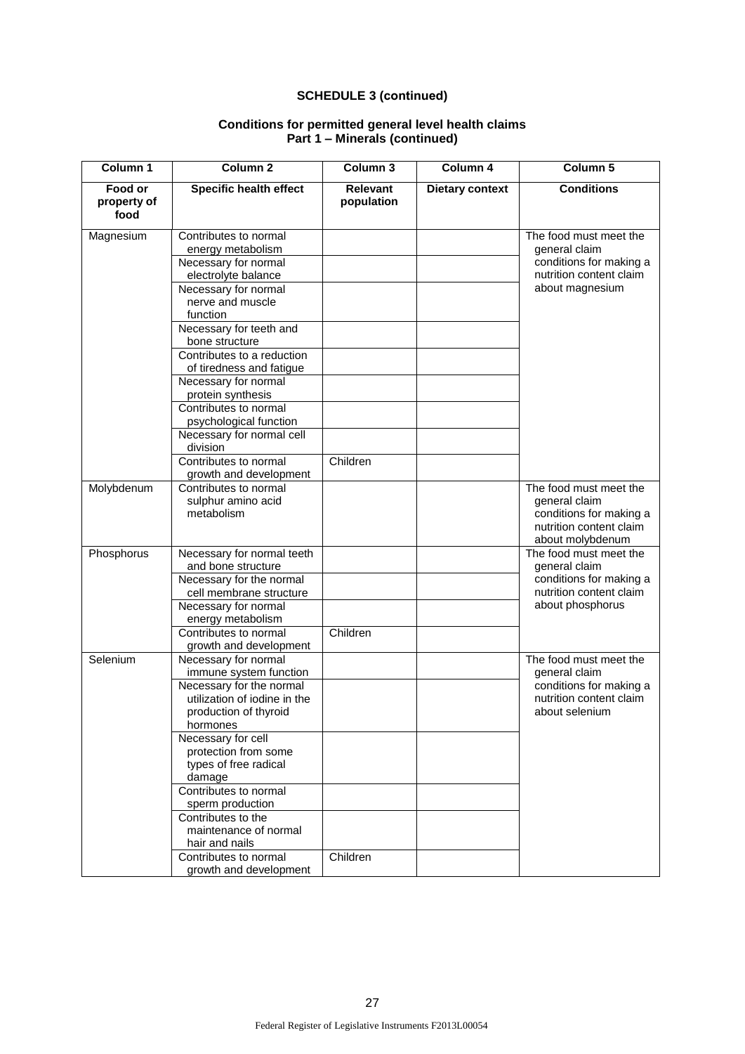| Column 1                       | Column <sub>2</sub>                                                                                                                                                                                                                                                                                                                                                                               | Column <sub>3</sub>           | Column 4               | Column <sub>5</sub>                                                                                               |
|--------------------------------|---------------------------------------------------------------------------------------------------------------------------------------------------------------------------------------------------------------------------------------------------------------------------------------------------------------------------------------------------------------------------------------------------|-------------------------------|------------------------|-------------------------------------------------------------------------------------------------------------------|
| Food or<br>property of<br>food | <b>Specific health effect</b>                                                                                                                                                                                                                                                                                                                                                                     | <b>Relevant</b><br>population | <b>Dietary context</b> | <b>Conditions</b>                                                                                                 |
| Magnesium                      | Contributes to normal<br>energy metabolism<br>Necessary for normal<br>electrolyte balance<br>Necessary for normal<br>nerve and muscle<br>function<br>Necessary for teeth and<br>bone structure<br>Contributes to a reduction<br>of tiredness and fatigue<br>Necessary for normal<br>protein synthesis<br>Contributes to normal<br>psychological function<br>Necessary for normal cell<br>division |                               |                        | The food must meet the<br>general claim<br>conditions for making a<br>nutrition content claim<br>about magnesium  |
| Molybdenum                     | Contributes to normal<br>growth and development<br>Contributes to normal<br>sulphur amino acid<br>metabolism                                                                                                                                                                                                                                                                                      | Children                      |                        | The food must meet the<br>general claim<br>conditions for making a                                                |
|                                |                                                                                                                                                                                                                                                                                                                                                                                                   |                               |                        | nutrition content claim<br>about molybdenum                                                                       |
| Phosphorus                     | Necessary for normal teeth<br>and bone structure<br>Necessary for the normal<br>cell membrane structure<br>Necessary for normal<br>energy metabolism<br>Contributes to normal<br>growth and development                                                                                                                                                                                           | Children                      |                        | The food must meet the<br>general claim<br>conditions for making a<br>nutrition content claim<br>about phosphorus |
| Selenium                       | Necessary for normal<br>immune system function<br>Necessary for the normal<br>utilization of jodine in the<br>production of thyroid<br>hormones<br>Necessary for cell<br>protection from some<br>types of free radical<br>damage<br>Contributes to normal<br>sperm production<br>Contributes to the<br>maintenance of normal<br>hair and nails<br>Contributes to normal<br>growth and development | Children                      |                        | The food must meet the<br>general claim<br>conditions for making a<br>nutrition content claim<br>about selenium   |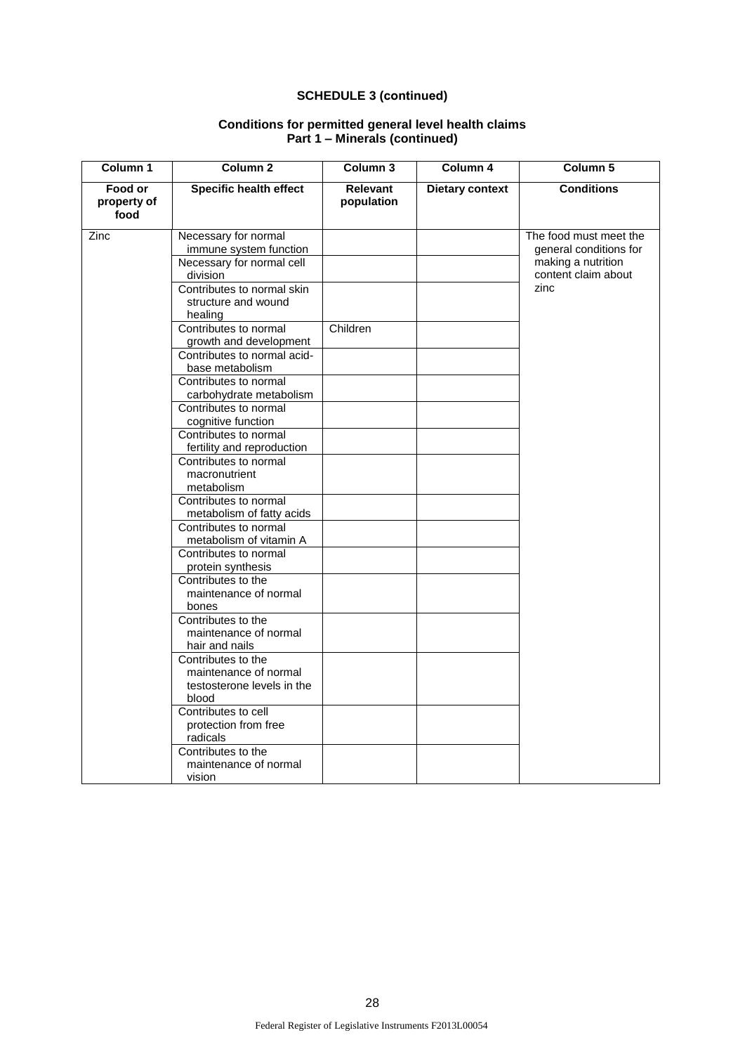| Column 1                                                                                                                                                                                                                                                                                                              | Column <sub>2</sub>                                                         | Column <sub>3</sub>           | Column 4               | Column 5                                                               |
|-----------------------------------------------------------------------------------------------------------------------------------------------------------------------------------------------------------------------------------------------------------------------------------------------------------------------|-----------------------------------------------------------------------------|-------------------------------|------------------------|------------------------------------------------------------------------|
| Food or<br>property of<br>food                                                                                                                                                                                                                                                                                        | <b>Specific health effect</b>                                               | <b>Relevant</b><br>population | <b>Dietary context</b> | <b>Conditions</b>                                                      |
| Zinc                                                                                                                                                                                                                                                                                                                  | Necessary for normal<br>immune system function<br>Necessary for normal cell |                               |                        | The food must meet the<br>general conditions for<br>making a nutrition |
|                                                                                                                                                                                                                                                                                                                       | division                                                                    |                               |                        | content claim about                                                    |
|                                                                                                                                                                                                                                                                                                                       | Contributes to normal skin<br>structure and wound<br>healing                |                               |                        | zinc                                                                   |
|                                                                                                                                                                                                                                                                                                                       | Contributes to normal<br>growth and development                             | Children                      |                        |                                                                        |
|                                                                                                                                                                                                                                                                                                                       | Contributes to normal acid-<br>base metabolism                              |                               |                        |                                                                        |
|                                                                                                                                                                                                                                                                                                                       | Contributes to normal<br>carbohydrate metabolism                            |                               |                        |                                                                        |
|                                                                                                                                                                                                                                                                                                                       | Contributes to normal<br>cognitive function                                 |                               |                        |                                                                        |
|                                                                                                                                                                                                                                                                                                                       | Contributes to normal<br>fertility and reproduction                         |                               |                        |                                                                        |
|                                                                                                                                                                                                                                                                                                                       | Contributes to normal<br>macronutrient<br>metabolism                        |                               |                        |                                                                        |
|                                                                                                                                                                                                                                                                                                                       | Contributes to normal<br>metabolism of fatty acids                          |                               |                        |                                                                        |
|                                                                                                                                                                                                                                                                                                                       | Contributes to normal<br>metabolism of vitamin A                            |                               |                        |                                                                        |
|                                                                                                                                                                                                                                                                                                                       | Contributes to normal<br>protein synthesis                                  |                               |                        |                                                                        |
| Contributes to the<br>maintenance of normal<br>bones<br>Contributes to the<br>maintenance of normal<br>hair and nails<br>Contributes to the<br>maintenance of normal<br>testosterone levels in the<br>blood<br>Contributes to cell<br>protection from free<br>radicals<br>Contributes to the<br>maintenance of normal |                                                                             |                               |                        |                                                                        |
|                                                                                                                                                                                                                                                                                                                       |                                                                             |                               |                        |                                                                        |
|                                                                                                                                                                                                                                                                                                                       |                                                                             |                               |                        |                                                                        |
|                                                                                                                                                                                                                                                                                                                       |                                                                             |                               |                        |                                                                        |
|                                                                                                                                                                                                                                                                                                                       | vision                                                                      |                               |                        |                                                                        |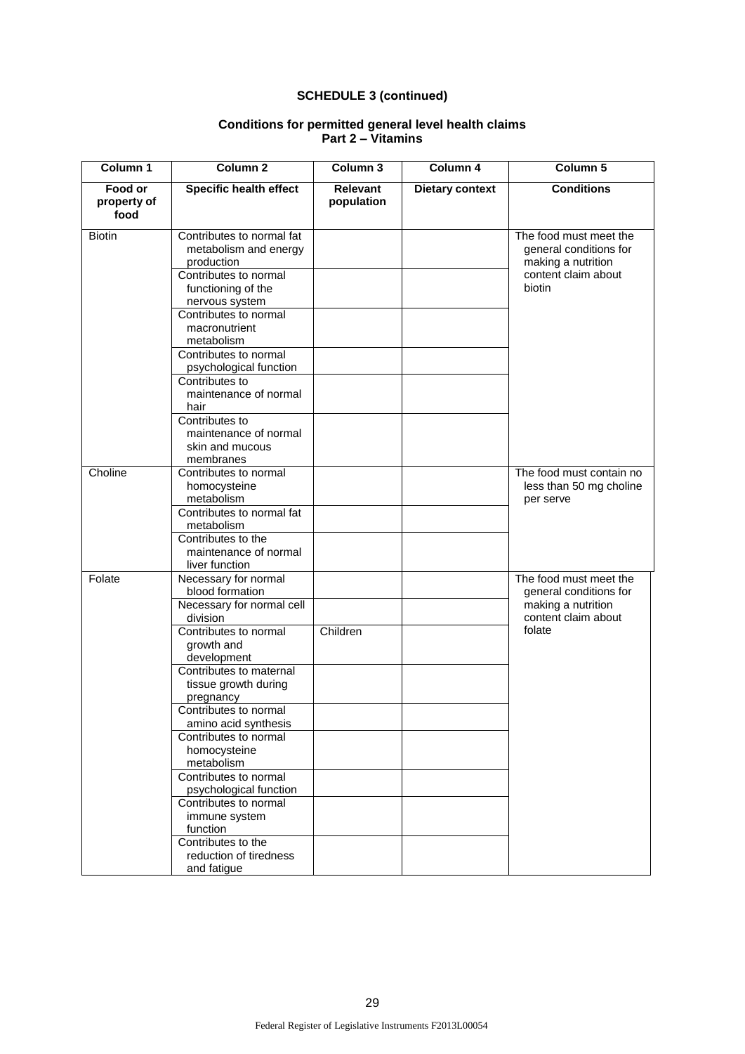| Column 1                       | Column <sub>2</sub>                                                                                                                                                                                                                                                                                                                                                                                                                                                                    | Column <sub>3</sub>           | Column 4               | Column 5                                                                                                |
|--------------------------------|----------------------------------------------------------------------------------------------------------------------------------------------------------------------------------------------------------------------------------------------------------------------------------------------------------------------------------------------------------------------------------------------------------------------------------------------------------------------------------------|-------------------------------|------------------------|---------------------------------------------------------------------------------------------------------|
| Food or<br>property of<br>food | <b>Specific health effect</b>                                                                                                                                                                                                                                                                                                                                                                                                                                                          | <b>Relevant</b><br>population | <b>Dietary context</b> | <b>Conditions</b>                                                                                       |
| <b>Biotin</b>                  | Contributes to normal fat<br>metabolism and energy<br>production<br>Contributes to normal<br>functioning of the<br>nervous system<br>Contributes to normal<br>macronutrient<br>metabolism<br>Contributes to normal<br>psychological function<br>Contributes to<br>maintenance of normal<br>hair<br>Contributes to<br>maintenance of normal<br>skin and mucous<br>membranes                                                                                                             |                               |                        | The food must meet the<br>general conditions for<br>making a nutrition<br>content claim about<br>biotin |
| Choline                        | Contributes to normal<br>homocysteine<br>metabolism<br>Contributes to normal fat<br>metabolism<br>Contributes to the<br>maintenance of normal<br>liver function                                                                                                                                                                                                                                                                                                                        |                               |                        | The food must contain no<br>less than 50 mg choline<br>per serve                                        |
| Folate                         | Necessary for normal<br>blood formation<br>Necessary for normal cell<br>division<br>Contributes to normal<br>growth and<br>development<br>Contributes to maternal<br>tissue growth during<br>pregnancy<br>Contributes to normal<br>amino acid synthesis<br>Contributes to normal<br>homocysteine<br>metabolism<br>Contributes to normal<br>psychological function<br>Contributes to normal<br>immune system<br>function<br>Contributes to the<br>reduction of tiredness<br>and fatigue | Children                      |                        | The food must meet the<br>general conditions for<br>making a nutrition<br>content claim about<br>folate |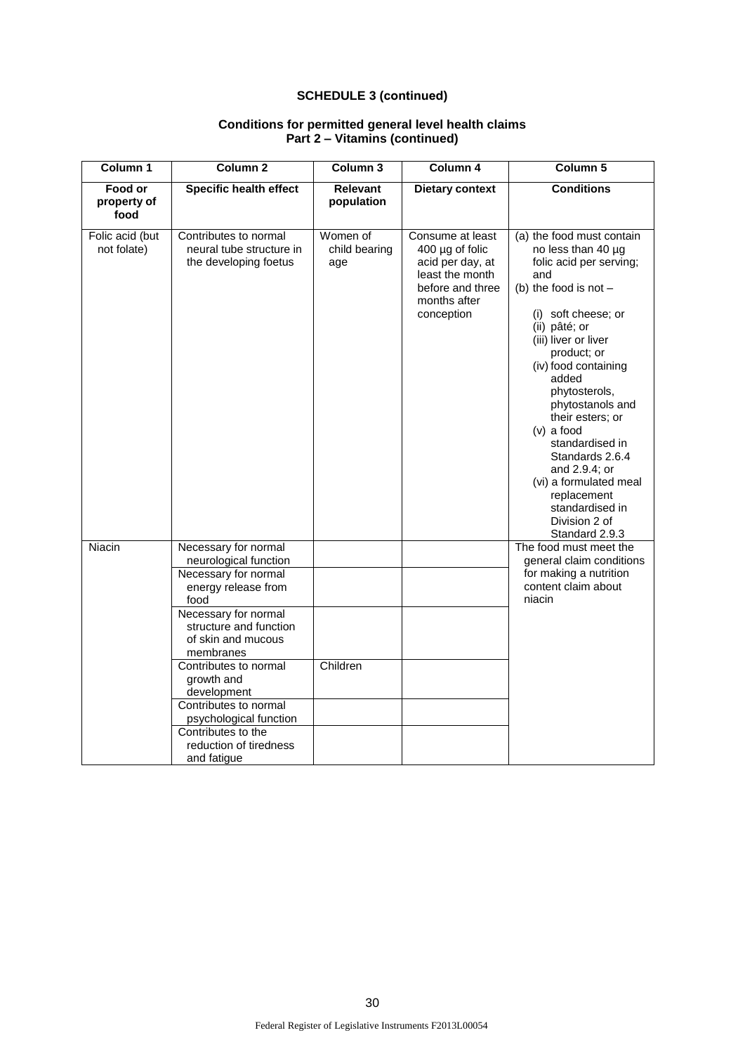| Column 1                       | Column <sub>2</sub>                                                                                                          | Column 3                         | Column 4                                                                                                                          | Column 5                                                                                                                                                                                                                                                                                                                                                                                                                                                    |
|--------------------------------|------------------------------------------------------------------------------------------------------------------------------|----------------------------------|-----------------------------------------------------------------------------------------------------------------------------------|-------------------------------------------------------------------------------------------------------------------------------------------------------------------------------------------------------------------------------------------------------------------------------------------------------------------------------------------------------------------------------------------------------------------------------------------------------------|
| Food or<br>property of<br>food | <b>Specific health effect</b>                                                                                                | <b>Relevant</b><br>population    | <b>Dietary context</b>                                                                                                            | <b>Conditions</b>                                                                                                                                                                                                                                                                                                                                                                                                                                           |
| Folic acid (but<br>not folate) | Contributes to normal<br>neural tube structure in<br>the developing foetus                                                   | Women of<br>child bearing<br>age | Consume at least<br>$400 \mu g$ of folic<br>acid per day, at<br>least the month<br>before and three<br>months after<br>conception | (a) the food must contain<br>no less than 40 µg<br>folic acid per serving;<br>and<br>(b) the food is not $-$<br>(i) soft cheese; or<br>(ii) pâté; or<br>(iii) liver or liver<br>product; or<br>(iv) food containing<br>added<br>phytosterols,<br>phytostanols and<br>their esters; or<br>$(v)$ a food<br>standardised in<br>Standards 2.6.4<br>and 2.9.4; or<br>(vi) a formulated meal<br>replacement<br>standardised in<br>Division 2 of<br>Standard 2.9.3 |
| Niacin                         | Necessary for normal<br>neurological function<br>Necessary for normal<br>energy release from<br>food<br>Necessary for normal |                                  |                                                                                                                                   | The food must meet the<br>general claim conditions<br>for making a nutrition<br>content claim about<br>niacin                                                                                                                                                                                                                                                                                                                                               |
|                                | structure and function<br>of skin and mucous<br>membranes                                                                    |                                  |                                                                                                                                   |                                                                                                                                                                                                                                                                                                                                                                                                                                                             |
|                                | Contributes to normal<br>growth and<br>development<br>Contributes to normal                                                  | Children                         |                                                                                                                                   |                                                                                                                                                                                                                                                                                                                                                                                                                                                             |
|                                | psychological function<br>Contributes to the<br>reduction of tiredness<br>and fatique                                        |                                  |                                                                                                                                   |                                                                                                                                                                                                                                                                                                                                                                                                                                                             |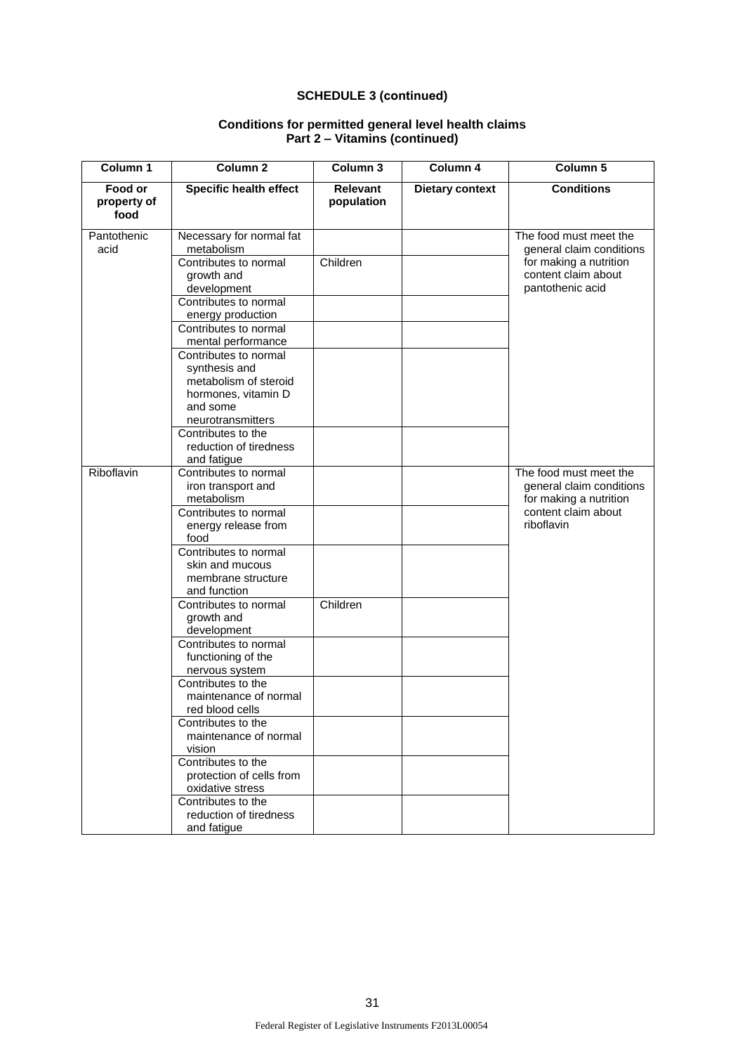| Column 1                       | Column <sub>2</sub>                                                                                                     | Column 3                      | Column 4               | Column 5                                                                     |
|--------------------------------|-------------------------------------------------------------------------------------------------------------------------|-------------------------------|------------------------|------------------------------------------------------------------------------|
| Food or<br>property of<br>food | <b>Specific health effect</b>                                                                                           | <b>Relevant</b><br>population | <b>Dietary context</b> | <b>Conditions</b>                                                            |
| Pantothenic<br>acid            | Necessary for normal fat<br>metabolism                                                                                  |                               |                        | The food must meet the<br>general claim conditions                           |
|                                | Contributes to normal<br>growth and<br>development                                                                      | Children                      |                        | for making a nutrition<br>content claim about<br>pantothenic acid            |
|                                | Contributes to normal<br>energy production                                                                              |                               |                        |                                                                              |
|                                | Contributes to normal<br>mental performance                                                                             |                               |                        |                                                                              |
|                                | Contributes to normal<br>synthesis and<br>metabolism of steroid<br>hormones, vitamin D<br>and some<br>neurotransmitters |                               |                        |                                                                              |
|                                | Contributes to the<br>reduction of tiredness<br>and fatigue                                                             |                               |                        |                                                                              |
| Riboflavin                     | Contributes to normal<br>iron transport and<br>metabolism                                                               |                               |                        | The food must meet the<br>general claim conditions<br>for making a nutrition |
|                                | energy release from<br>food                                                                                             | Contributes to normal         |                        | content claim about<br>riboflavin                                            |
|                                | Contributes to normal<br>skin and mucous<br>membrane structure<br>and function                                          |                               |                        |                                                                              |
|                                | Contributes to normal<br>growth and<br>development                                                                      | Children                      |                        |                                                                              |
|                                | Contributes to normal<br>functioning of the<br>nervous system                                                           |                               |                        |                                                                              |
|                                | Contributes to the<br>maintenance of normal<br>red blood cells                                                          |                               |                        |                                                                              |
|                                | Contributes to the<br>maintenance of normal<br>vision                                                                   |                               |                        |                                                                              |
|                                | Contributes to the<br>protection of cells from<br>oxidative stress                                                      |                               |                        |                                                                              |
|                                | Contributes to the<br>reduction of tiredness<br>and fatigue                                                             |                               |                        |                                                                              |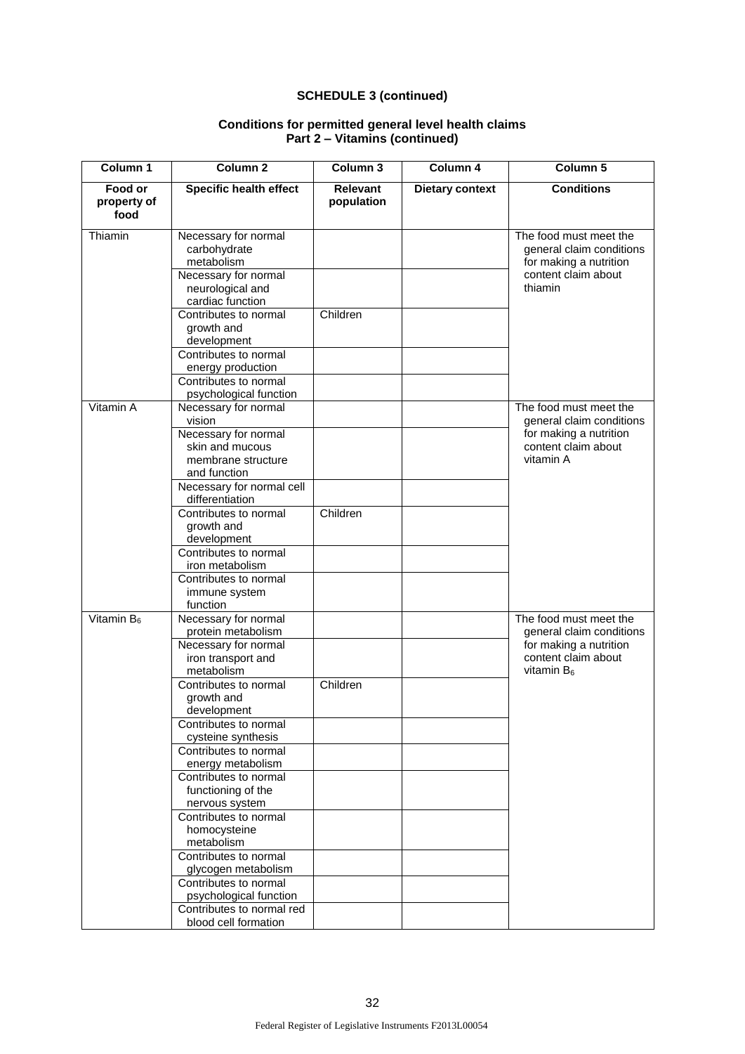| Column 1                       | Column <sub>2</sub>                                                                                                                                                                                                                                                                                                                                                                                                                                                                                                                       | Column <sub>3</sub>           | Column 4               | Column 5                                                                                                             |
|--------------------------------|-------------------------------------------------------------------------------------------------------------------------------------------------------------------------------------------------------------------------------------------------------------------------------------------------------------------------------------------------------------------------------------------------------------------------------------------------------------------------------------------------------------------------------------------|-------------------------------|------------------------|----------------------------------------------------------------------------------------------------------------------|
| Food or<br>property of<br>food | <b>Specific health effect</b>                                                                                                                                                                                                                                                                                                                                                                                                                                                                                                             | <b>Relevant</b><br>population | <b>Dietary context</b> | <b>Conditions</b>                                                                                                    |
| Thiamin                        | Necessary for normal<br>carbohydrate<br>metabolism<br>Necessary for normal<br>neurological and<br>cardiac function<br>Contributes to normal<br>growth and<br>development                                                                                                                                                                                                                                                                                                                                                                  | Children                      |                        | The food must meet the<br>general claim conditions<br>for making a nutrition<br>content claim about<br>thiamin       |
|                                | Contributes to normal<br>energy production<br>Contributes to normal<br>psychological function                                                                                                                                                                                                                                                                                                                                                                                                                                             |                               |                        |                                                                                                                      |
| Vitamin A                      | Necessary for normal<br>vision<br>Necessary for normal<br>skin and mucous<br>membrane structure<br>and function<br>Necessary for normal cell<br>differentiation<br>Contributes to normal<br>growth and<br>development<br>Contributes to normal<br>iron metabolism<br>Contributes to normal<br>immune system<br>function                                                                                                                                                                                                                   | Children                      |                        | The food must meet the<br>general claim conditions<br>for making a nutrition<br>content claim about<br>vitamin A     |
| Vitamin B <sub>6</sub>         | Necessary for normal<br>protein metabolism<br>Necessary for normal<br>iron transport and<br>metabolism<br>Contributes to normal<br>growth and<br>development<br>Contributes to normal<br>cysteine synthesis<br>Contributes to normal<br>energy metabolism<br>Contributes to normal<br>functioning of the<br>nervous system<br>Contributes to normal<br>homocysteine<br>metabolism<br>Contributes to normal<br>glycogen metabolism<br>Contributes to normal<br>psychological function<br>Contributes to normal red<br>blood cell formation | Children                      |                        | The food must meet the<br>general claim conditions<br>for making a nutrition<br>content claim about<br>vitamin $B_6$ |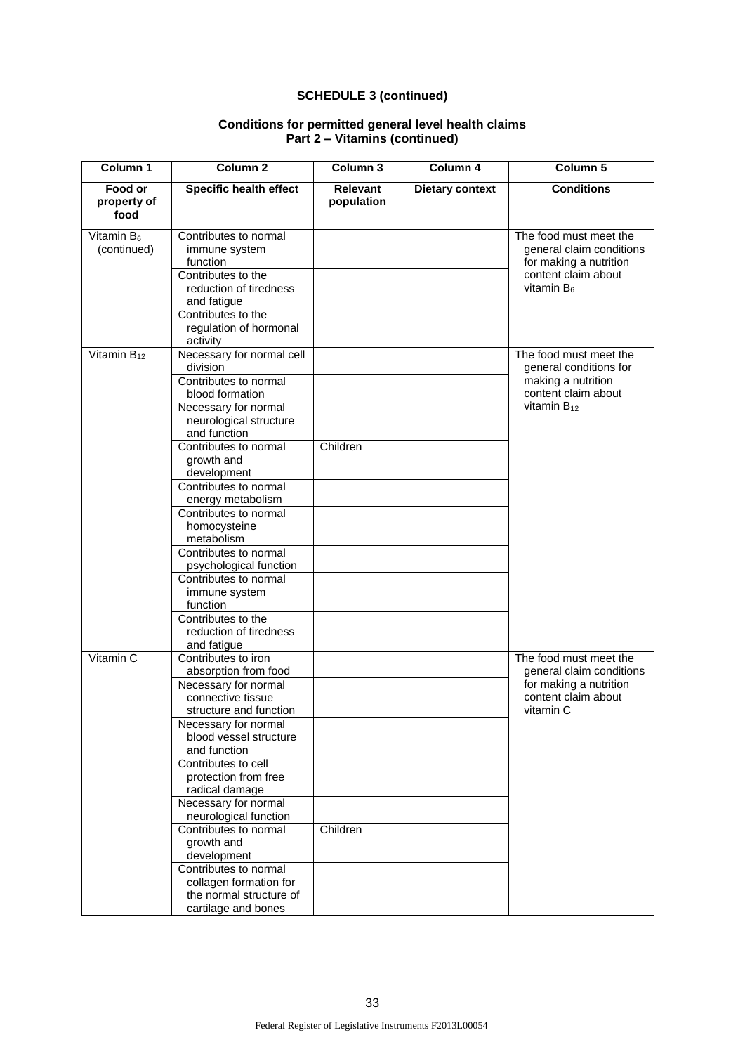| Column 1                       | <b>Column 2</b>                                                                                                                                                                                                                                                                                                                                                                                                                                                   | Column 3                      | Column 4               | Column 5                                                                                                             |
|--------------------------------|-------------------------------------------------------------------------------------------------------------------------------------------------------------------------------------------------------------------------------------------------------------------------------------------------------------------------------------------------------------------------------------------------------------------------------------------------------------------|-------------------------------|------------------------|----------------------------------------------------------------------------------------------------------------------|
| Food or<br>property of<br>food | <b>Specific health effect</b>                                                                                                                                                                                                                                                                                                                                                                                                                                     | <b>Relevant</b><br>population | <b>Dietary context</b> | <b>Conditions</b>                                                                                                    |
| Vitamin $B_6$<br>(continued)   | Contributes to normal<br>immune system<br>function<br>Contributes to the<br>reduction of tiredness<br>and fatigue<br>Contributes to the<br>regulation of hormonal<br>activity                                                                                                                                                                                                                                                                                     |                               |                        | The food must meet the<br>general claim conditions<br>for making a nutrition<br>content claim about<br>vitamin $B_6$ |
| Vitamin $B_{12}$               | Necessary for normal cell<br>division<br>Contributes to normal<br>blood formation<br>Necessary for normal<br>neurological structure<br>and function                                                                                                                                                                                                                                                                                                               |                               |                        | The food must meet the<br>general conditions for<br>making a nutrition<br>content claim about<br>vitamin $B_{12}$    |
|                                | Contributes to normal<br>growth and<br>development<br>Contributes to normal<br>energy metabolism<br>Contributes to normal<br>homocysteine<br>metabolism<br>Contributes to normal<br>psychological function<br>Contributes to normal<br>immune system<br>function<br>Contributes to the<br>reduction of tiredness<br>and fatigue                                                                                                                                   | Children                      |                        |                                                                                                                      |
| Vitamin C                      | Contributes to iron<br>absorption from food<br>Necessary for normal<br>connective tissue<br>structure and function<br>Necessary for normal<br>blood vessel structure<br>and function<br>Contributes to cell<br>protection from free<br>radical damage<br>Necessary for normal<br>neurological function<br>Contributes to normal<br>growth and<br>development<br>Contributes to normal<br>collagen formation for<br>the normal structure of<br>cartilage and bones | Children                      |                        | The food must meet the<br>general claim conditions<br>for making a nutrition<br>content claim about<br>vitamin C     |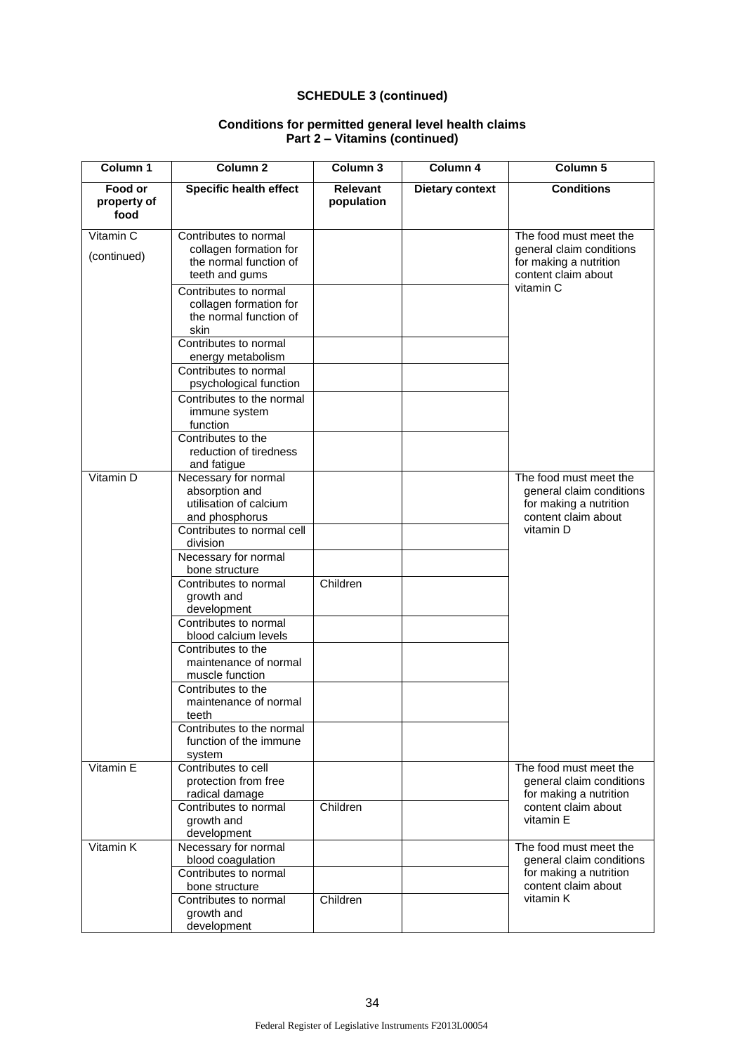| Column <sub>1</sub>            | <b>Column 2</b>                                                                             | Column 3                      | Column 4               | Column 5                                                                                                         |  |
|--------------------------------|---------------------------------------------------------------------------------------------|-------------------------------|------------------------|------------------------------------------------------------------------------------------------------------------|--|
| Food or<br>property of<br>food | <b>Specific health effect</b>                                                               | <b>Relevant</b><br>population | <b>Dietary context</b> | <b>Conditions</b>                                                                                                |  |
| Vitamin C<br>(continued)       | Contributes to normal<br>collagen formation for<br>the normal function of<br>teeth and gums |                               |                        | The food must meet the<br>general claim conditions<br>for making a nutrition<br>content claim about              |  |
|                                | Contributes to normal<br>collagen formation for<br>the normal function of<br>skin           |                               |                        | vitamin C                                                                                                        |  |
|                                | Contributes to normal<br>energy metabolism                                                  |                               |                        |                                                                                                                  |  |
|                                | Contributes to normal<br>psychological function                                             |                               |                        |                                                                                                                  |  |
|                                | Contributes to the normal<br>immune system<br>function                                      |                               |                        |                                                                                                                  |  |
|                                | Contributes to the<br>reduction of tiredness<br>and fatigue                                 |                               |                        |                                                                                                                  |  |
| Vitamin D                      | Necessary for normal<br>absorption and<br>utilisation of calcium<br>and phosphorus          |                               |                        | The food must meet the<br>general claim conditions<br>for making a nutrition<br>content claim about<br>vitamin D |  |
|                                | Contributes to normal cell<br>division                                                      |                               |                        |                                                                                                                  |  |
|                                | Necessary for normal<br>bone structure                                                      |                               |                        |                                                                                                                  |  |
|                                | Contributes to normal<br>growth and<br>development                                          | Children                      |                        |                                                                                                                  |  |
|                                | Contributes to normal<br>blood calcium levels                                               |                               |                        |                                                                                                                  |  |
|                                | Contributes to the<br>maintenance of normal<br>muscle function                              |                               |                        |                                                                                                                  |  |
|                                | Contributes to the<br>maintenance of normal<br>teeth                                        |                               |                        |                                                                                                                  |  |
|                                | Contributes to the normal<br>function of the immune<br>system                               |                               |                        |                                                                                                                  |  |
| Vitamin E                      | Contributes to cell<br>protection from free<br>radical damage                               |                               |                        | The food must meet the<br>general claim conditions<br>for making a nutrition                                     |  |
|                                | Contributes to normal<br>growth and<br>development                                          | Children                      |                        | content claim about<br>vitamin E                                                                                 |  |
| Vitamin K                      | Necessary for normal<br>blood coagulation                                                   |                               |                        | The food must meet the<br>general claim conditions                                                               |  |
|                                | Contributes to normal<br>bone structure                                                     |                               |                        | for making a nutrition<br>content claim about                                                                    |  |
|                                | Contributes to normal<br>growth and<br>development                                          | Children                      |                        | vitamin K                                                                                                        |  |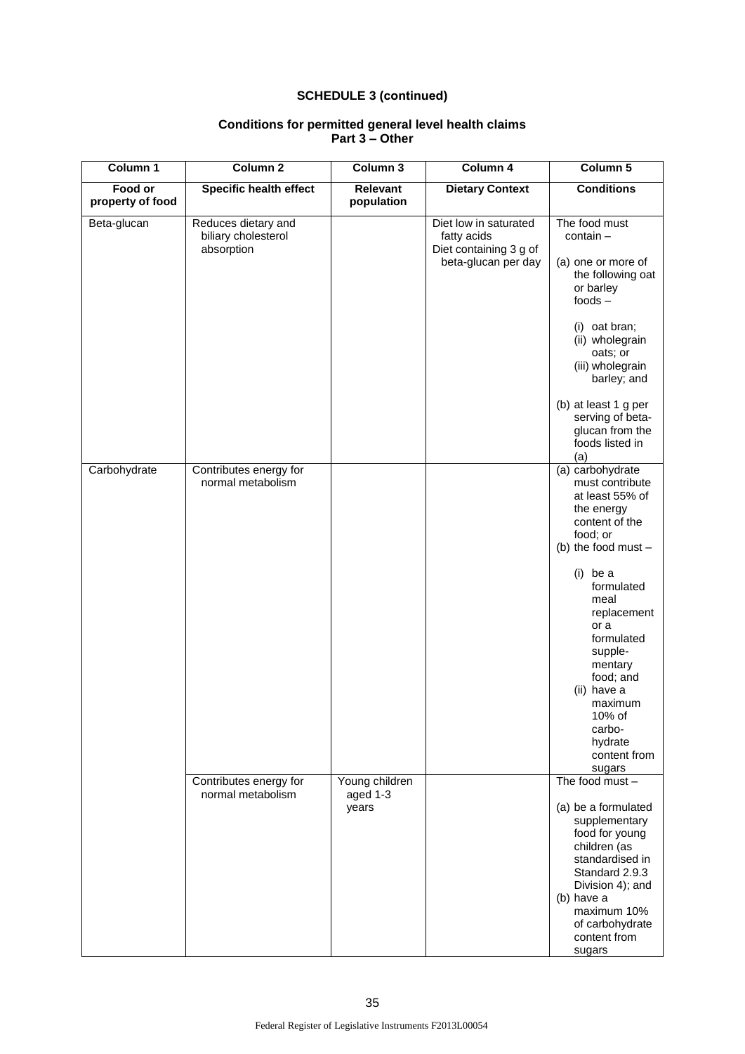| Column 1                    | Column <sub>2</sub>                                      | Column 3                            | Column 4                                                                              | Column <sub>5</sub>                                                                                                                                                                                                                                                                                                      |
|-----------------------------|----------------------------------------------------------|-------------------------------------|---------------------------------------------------------------------------------------|--------------------------------------------------------------------------------------------------------------------------------------------------------------------------------------------------------------------------------------------------------------------------------------------------------------------------|
| Food or<br>property of food | <b>Specific health effect</b>                            | Relevant<br>population              | <b>Dietary Context</b>                                                                | <b>Conditions</b>                                                                                                                                                                                                                                                                                                        |
| Beta-glucan                 | Reduces dietary and<br>biliary cholesterol<br>absorption |                                     | Diet low in saturated<br>fatty acids<br>Diet containing 3 g of<br>beta-glucan per day | The food must<br>contain-<br>(a) one or more of<br>the following oat<br>or barley<br>$foods -$<br>(i) oat bran;<br>(ii) wholegrain<br>oats; or<br>(iii) wholegrain<br>barley; and<br>(b) at least 1 g per<br>serving of beta-<br>glucan from the<br>foods listed in<br>(a)                                               |
| Carbohydrate                | Contributes energy for<br>normal metabolism              |                                     |                                                                                       | (a) carbohydrate<br>must contribute<br>at least 55% of<br>the energy<br>content of the<br>food; or<br>(b) the food must -<br>$(i)$ be a<br>formulated<br>meal<br>replacement<br>or a<br>formulated<br>supple-<br>mentary<br>food; and<br>(ii) have a<br>maximum<br>10% of<br>carbo-<br>hydrate<br>content from<br>sugars |
|                             | Contributes energy for<br>normal metabolism              | Young children<br>aged 1-3<br>years |                                                                                       | The food must -<br>(a) be a formulated<br>supplementary<br>food for young<br>children (as<br>standardised in<br>Standard 2.9.3<br>Division 4); and<br>(b) have a<br>maximum 10%<br>of carbohydrate<br>content from<br>sugars                                                                                             |

### **Conditions for permitted general level health claims Part 3 – Other**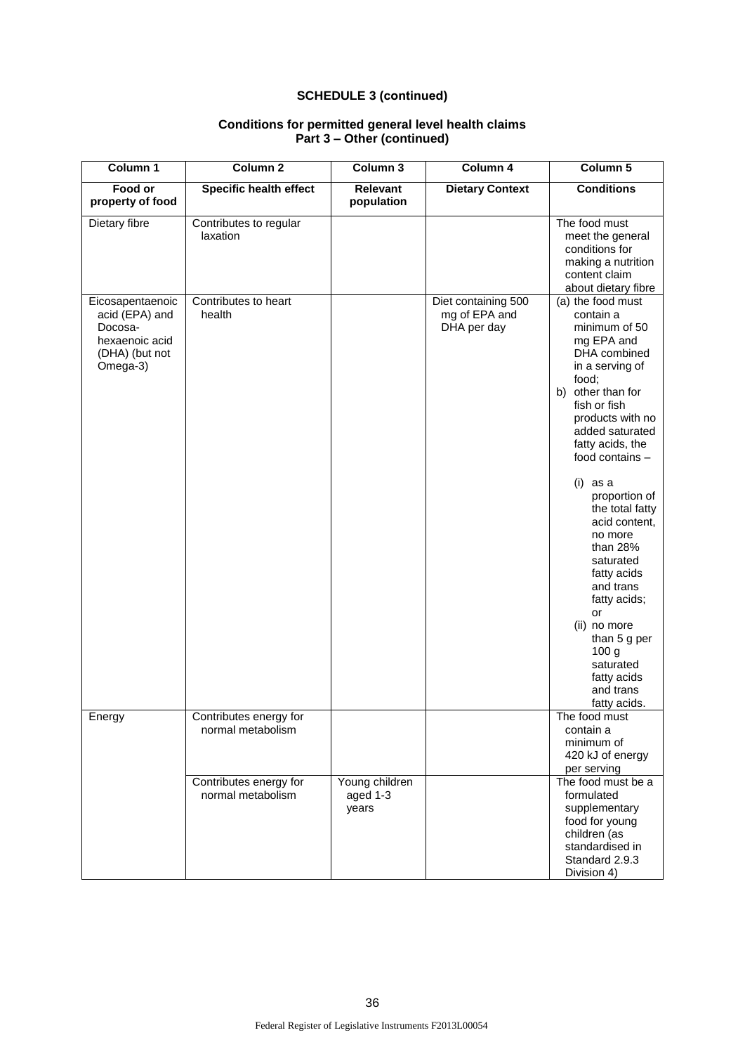| Column 1                                                                                      | Column <sub>2</sub>                         | Column 3                            | Column 4                                            | Column 5                                                                                                                                                                                                                                                                                                                                                                                                                                                                                             |
|-----------------------------------------------------------------------------------------------|---------------------------------------------|-------------------------------------|-----------------------------------------------------|------------------------------------------------------------------------------------------------------------------------------------------------------------------------------------------------------------------------------------------------------------------------------------------------------------------------------------------------------------------------------------------------------------------------------------------------------------------------------------------------------|
| Food or<br>property of food                                                                   | <b>Specific health effect</b>               | <b>Relevant</b><br>population       | <b>Dietary Context</b>                              | <b>Conditions</b>                                                                                                                                                                                                                                                                                                                                                                                                                                                                                    |
| Dietary fibre                                                                                 | Contributes to regular<br>laxation          |                                     |                                                     | The food must<br>meet the general<br>conditions for<br>making a nutrition<br>content claim<br>about dietary fibre                                                                                                                                                                                                                                                                                                                                                                                    |
| Eicosapentaenoic<br>acid (EPA) and<br>Docosa-<br>hexaenoic acid<br>(DHA) (but not<br>Omega-3) | Contributes to heart<br>health              |                                     | Diet containing 500<br>mg of EPA and<br>DHA per day | (a) the food must<br>contain a<br>minimum of 50<br>mg EPA and<br>DHA combined<br>in a serving of<br>food;<br>b) other than for<br>fish or fish<br>products with no<br>added saturated<br>fatty acids, the<br>food contains -<br>$(i)$ as a<br>proportion of<br>the total fatty<br>acid content,<br>no more<br>than $28%$<br>saturated<br>fatty acids<br>and trans<br>fatty acids;<br>or<br>(ii) no more<br>than 5 g per<br>100 <sub>g</sub><br>saturated<br>fatty acids<br>and trans<br>fatty acids. |
| Energy                                                                                        | Contributes energy for<br>normal metabolism |                                     |                                                     | The food must<br>contain a<br>minimum of<br>420 kJ of energy<br>per serving                                                                                                                                                                                                                                                                                                                                                                                                                          |
|                                                                                               | Contributes energy for<br>normal metabolism | Young children<br>aged 1-3<br>years |                                                     | The food must be a<br>formulated<br>supplementary<br>food for young<br>children (as<br>standardised in<br>Standard 2.9.3<br>Division 4)                                                                                                                                                                                                                                                                                                                                                              |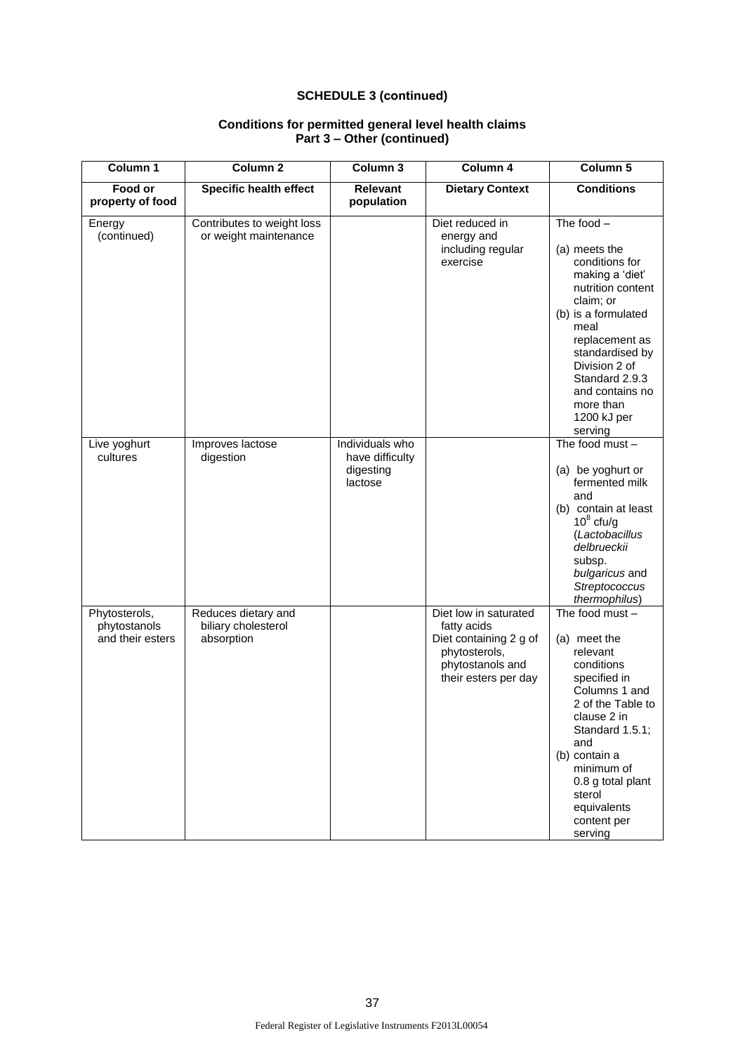| Column 1                                          | Column <sub>2</sub>                                      | Column 3                                                   | Column 4                                                                                                                    | Column 5                                                                                                                                                                                                                                                              |
|---------------------------------------------------|----------------------------------------------------------|------------------------------------------------------------|-----------------------------------------------------------------------------------------------------------------------------|-----------------------------------------------------------------------------------------------------------------------------------------------------------------------------------------------------------------------------------------------------------------------|
| Food or<br>property of food                       | <b>Specific health effect</b>                            | Relevant<br>population                                     | <b>Dietary Context</b>                                                                                                      | <b>Conditions</b>                                                                                                                                                                                                                                                     |
| Energy<br>(continued)                             | Contributes to weight loss<br>or weight maintenance      |                                                            | Diet reduced in<br>energy and<br>including regular<br>exercise                                                              | The food $-$<br>(a) meets the<br>conditions for<br>making a 'diet'<br>nutrition content<br>claim; or<br>(b) is a formulated<br>meal<br>replacement as<br>standardised by<br>Division 2 of<br>Standard 2.9.3<br>and contains no<br>more than<br>1200 kJ per<br>serving |
| Live yoghurt<br>cultures                          | Improves lactose<br>digestion                            | Individuals who<br>have difficulty<br>digesting<br>lactose |                                                                                                                             | The food must -<br>(a) be yoghurt or<br>fermented milk<br>and<br>(b) contain at least<br>$10^8$ cfu/g<br>(Lactobacillus<br>delbrueckii<br>subsp.<br>bulgaricus and<br>Streptococcus<br>thermophilus)                                                                  |
| Phytosterols,<br>phytostanols<br>and their esters | Reduces dietary and<br>biliary cholesterol<br>absorption |                                                            | Diet low in saturated<br>fatty acids<br>Diet containing 2 g of<br>phytosterols,<br>phytostanols and<br>their esters per day | The food must $-$<br>(a) meet the<br>relevant<br>conditions<br>specified in<br>Columns 1 and<br>2 of the Table to<br>clause 2 in<br>Standard 1.5.1;<br>and<br>(b) contain a<br>minimum of<br>0.8 g total plant<br>sterol<br>equivalents<br>content per<br>serving     |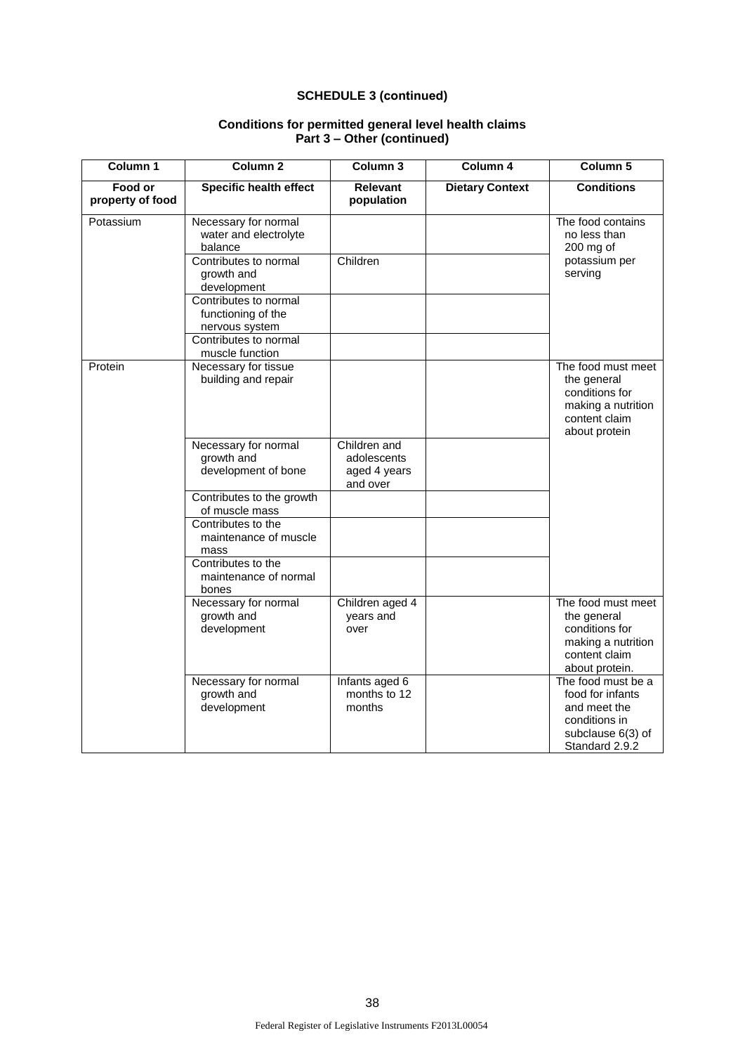| Column 1                    | Column <sub>2</sub>                                                       | Column 3                                                | Column 4               | Column 5                                                                                                       |
|-----------------------------|---------------------------------------------------------------------------|---------------------------------------------------------|------------------------|----------------------------------------------------------------------------------------------------------------|
| Food or<br>property of food | <b>Specific health effect</b>                                             | <b>Relevant</b><br>population                           | <b>Dietary Context</b> | <b>Conditions</b>                                                                                              |
| Potassium                   | Necessary for normal<br>water and electrolyte<br>balance                  |                                                         |                        | The food contains<br>no less than<br>$200$ mg of                                                               |
|                             | Contributes to normal<br>growth and<br>development                        | Children                                                |                        | potassium per<br>serving                                                                                       |
|                             | Contributes to normal<br>functioning of the<br>nervous system             |                                                         |                        |                                                                                                                |
|                             | Contributes to normal<br>muscle function                                  |                                                         |                        |                                                                                                                |
| Protein                     | Necessary for tissue<br>building and repair                               |                                                         |                        | The food must meet<br>the general<br>conditions for<br>making a nutrition<br>content claim<br>about protein    |
|                             | Necessary for normal<br>growth and<br>development of bone                 | Children and<br>adolescents<br>aged 4 years<br>and over |                        |                                                                                                                |
|                             | Contributes to the growth<br>of muscle mass                               |                                                         |                        |                                                                                                                |
|                             | Contributes to the<br>maintenance of muscle<br>mass<br>Contributes to the |                                                         |                        |                                                                                                                |
|                             | maintenance of normal<br>bones                                            |                                                         |                        |                                                                                                                |
|                             | Necessary for normal<br>growth and<br>development                         | Children aged 4<br>years and<br>over                    |                        | The food must meet<br>the general<br>conditions for<br>making a nutrition<br>content claim<br>about protein.   |
|                             | Necessary for normal<br>growth and<br>development                         | Infants aged 6<br>months to 12<br>months                |                        | The food must be a<br>food for infants<br>and meet the<br>conditions in<br>subclause 6(3) of<br>Standard 2.9.2 |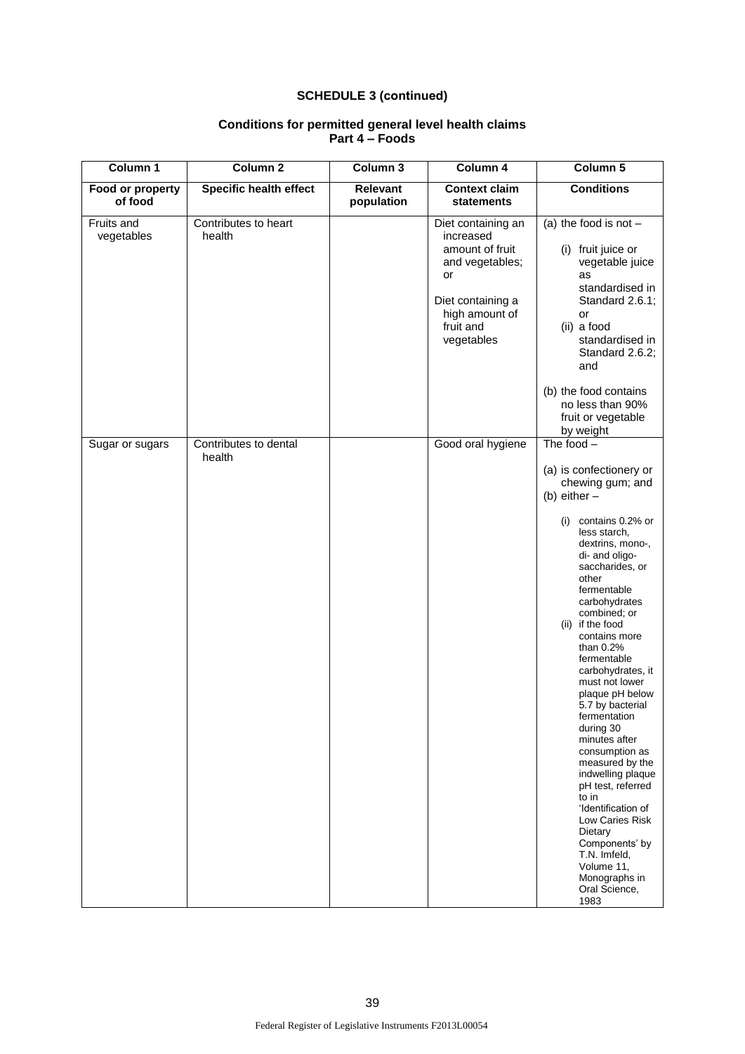| Column 1                    | Column 2                        | Column 3                      | Column 4                                                                                                                                      | Column 5                                                                                                                                                                                                                                                                                                                                                                                                                                                                                                                                                                                                                                                                        |
|-----------------------------|---------------------------------|-------------------------------|-----------------------------------------------------------------------------------------------------------------------------------------------|---------------------------------------------------------------------------------------------------------------------------------------------------------------------------------------------------------------------------------------------------------------------------------------------------------------------------------------------------------------------------------------------------------------------------------------------------------------------------------------------------------------------------------------------------------------------------------------------------------------------------------------------------------------------------------|
| Food or property<br>of food | <b>Specific health effect</b>   | <b>Relevant</b><br>population | <b>Context claim</b><br><b>statements</b>                                                                                                     | <b>Conditions</b>                                                                                                                                                                                                                                                                                                                                                                                                                                                                                                                                                                                                                                                               |
| Fruits and<br>vegetables    | Contributes to heart<br>health  |                               | Diet containing an<br>increased<br>amount of fruit<br>and vegetables;<br>or<br>Diet containing a<br>high amount of<br>fruit and<br>vegetables | (a) the food is not $-$<br>(i) fruit juice or<br>vegetable juice<br>as<br>standardised in<br>Standard 2.6.1;<br>or<br>(ii) a food<br>standardised in<br>Standard 2.6.2;<br>and<br>(b) the food contains                                                                                                                                                                                                                                                                                                                                                                                                                                                                         |
|                             |                                 |                               |                                                                                                                                               | no less than 90%<br>fruit or vegetable<br>by weight                                                                                                                                                                                                                                                                                                                                                                                                                                                                                                                                                                                                                             |
| Sugar or sugars             | Contributes to dental<br>health |                               | Good oral hygiene                                                                                                                             | The food $-$<br>(a) is confectionery or<br>chewing gum; and<br>(b) either $-$<br>contains 0.2% or<br>(i)<br>less starch,<br>dextrins, mono-,<br>di- and oligo-<br>saccharides, or<br>other<br>fermentable<br>carbohydrates<br>combined; or<br>(ii) if the food<br>contains more<br>than $0.2%$<br>fermentable<br>carbohydrates, it<br>must not lower<br>plaque pH below<br>5.7 by bacterial<br>fermentation<br>during 30<br>minutes after<br>consumption as<br>measured by the<br>indwelling plaque<br>pH test, referred<br>to in<br>'Identification of<br>Low Caries Risk<br>Dietary<br>Components' by<br>T.N. Imfeld,<br>Volume 11,<br>Monographs in<br>Oral Science,<br>1983 |

### **Conditions for permitted general level health claims Part 4 – Foods**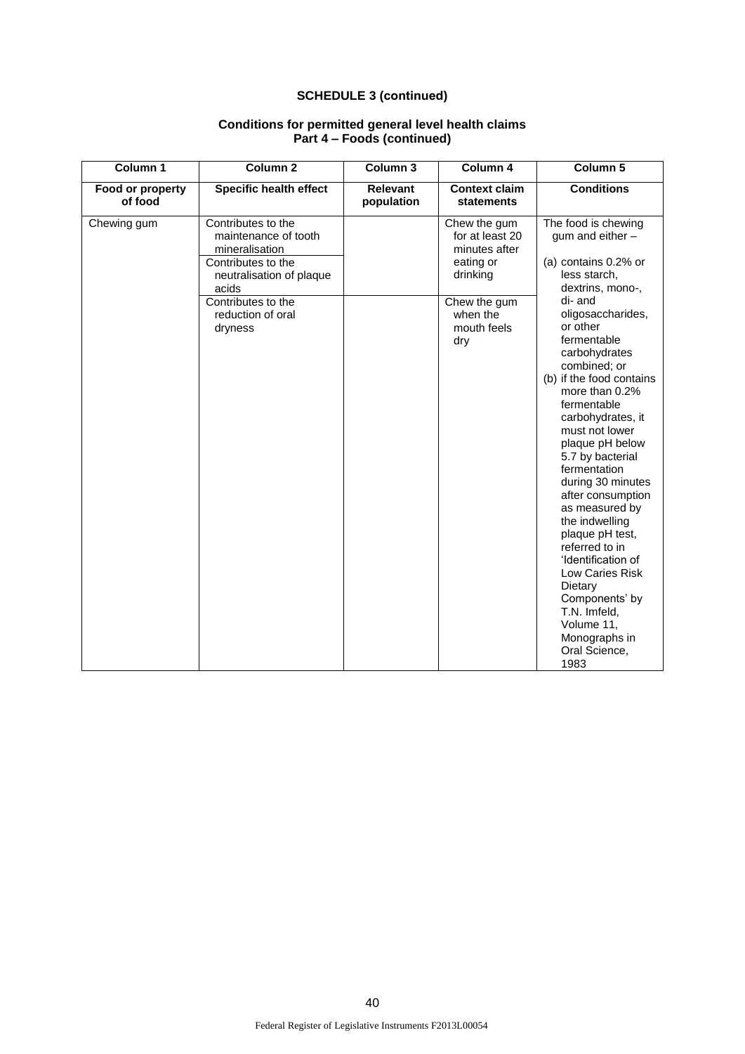| Column 1                    | Column <sub>2</sub>                                                                                                                                                           | Column 3                      | Column 4                                                                                                                    | Column 5                                                                                                                                                                                                                                                                                                                                                                                                                                                                                                                                                                                                                   |
|-----------------------------|-------------------------------------------------------------------------------------------------------------------------------------------------------------------------------|-------------------------------|-----------------------------------------------------------------------------------------------------------------------------|----------------------------------------------------------------------------------------------------------------------------------------------------------------------------------------------------------------------------------------------------------------------------------------------------------------------------------------------------------------------------------------------------------------------------------------------------------------------------------------------------------------------------------------------------------------------------------------------------------------------------|
| Food or property<br>of food | <b>Specific health effect</b>                                                                                                                                                 | <b>Relevant</b><br>population | <b>Context claim</b><br><b>statements</b>                                                                                   | <b>Conditions</b>                                                                                                                                                                                                                                                                                                                                                                                                                                                                                                                                                                                                          |
| Chewing gum                 | Contributes to the<br>maintenance of tooth<br>mineralisation<br>Contributes to the<br>neutralisation of plaque<br>acids<br>Contributes to the<br>reduction of oral<br>dryness |                               | Chew the gum<br>for at least 20<br>minutes after<br>eating or<br>drinking<br>Chew the gum<br>when the<br>mouth feels<br>dry | The food is chewing<br>gum and either -<br>(a) contains 0.2% or<br>less starch,<br>dextrins, mono-,<br>di-and<br>oligosaccharides,<br>or other<br>fermentable<br>carbohydrates<br>combined; or<br>(b) if the food contains<br>more than 0.2%<br>fermentable<br>carbohydrates, it<br>must not lower<br>plaque pH below<br>5.7 by bacterial<br>fermentation<br>during 30 minutes<br>after consumption<br>as measured by<br>the indwelling<br>plaque pH test,<br>referred to in<br>'Identification of<br>Low Caries Risk<br>Dietary<br>Components' by<br>T.N. Imfeld,<br>Volume 11,<br>Monographs in<br>Oral Science,<br>1983 |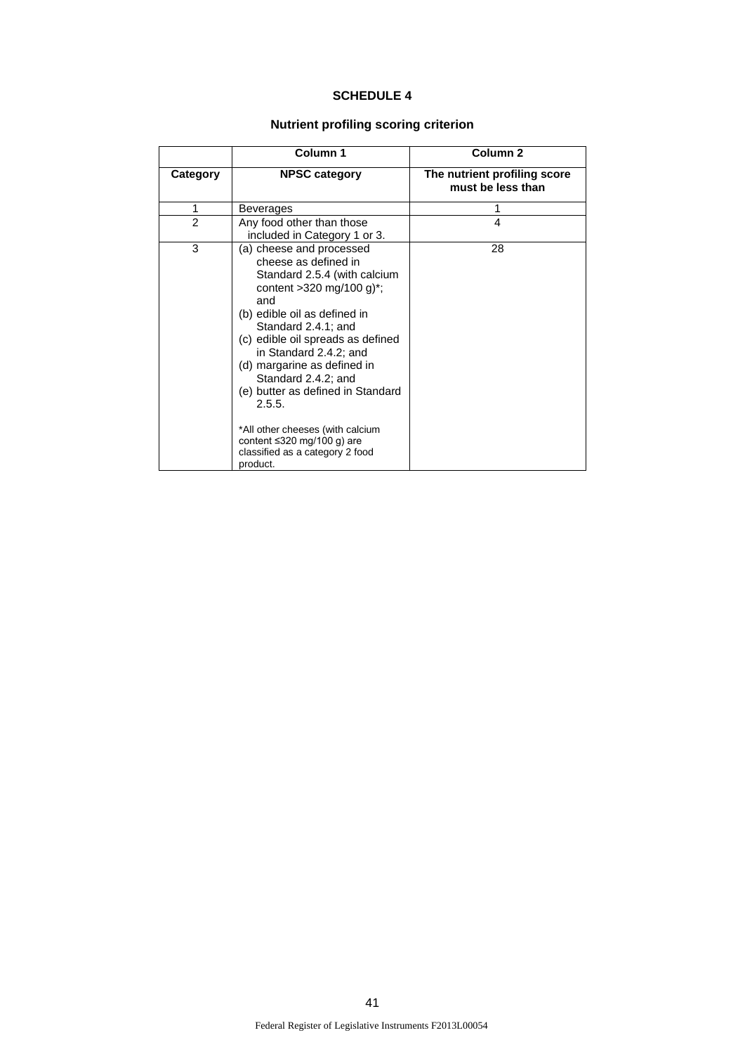# **SCHEDULE 4**

# **Nutrient profiling scoring criterion**

|                | Column 1                                                                                                                                                                                                                                                                                                                                                                                                                                                                            | Column <sub>2</sub>                               |
|----------------|-------------------------------------------------------------------------------------------------------------------------------------------------------------------------------------------------------------------------------------------------------------------------------------------------------------------------------------------------------------------------------------------------------------------------------------------------------------------------------------|---------------------------------------------------|
| Category       | <b>NPSC category</b>                                                                                                                                                                                                                                                                                                                                                                                                                                                                | The nutrient profiling score<br>must be less than |
| 1              | Beverages                                                                                                                                                                                                                                                                                                                                                                                                                                                                           |                                                   |
| $\overline{2}$ | Any food other than those<br>included in Category 1 or 3.                                                                                                                                                                                                                                                                                                                                                                                                                           | 4                                                 |
| 3              | (a) cheese and processed<br>cheese as defined in<br>Standard 2.5.4 (with calcium<br>content > 320 mg/100 g) <sup>*</sup> ;<br>and<br>(b) edible oil as defined in<br>Standard 2.4.1; and<br>(c) edible oil spreads as defined<br>in Standard 2.4.2; and<br>(d) margarine as defined in<br>Standard 2.4.2; and<br>(e) butter as defined in Standard<br>2.5.5.<br>*All other cheeses (with calcium<br>content $\leq$ 320 mg/100 g) are<br>classified as a category 2 food<br>product. | 28                                                |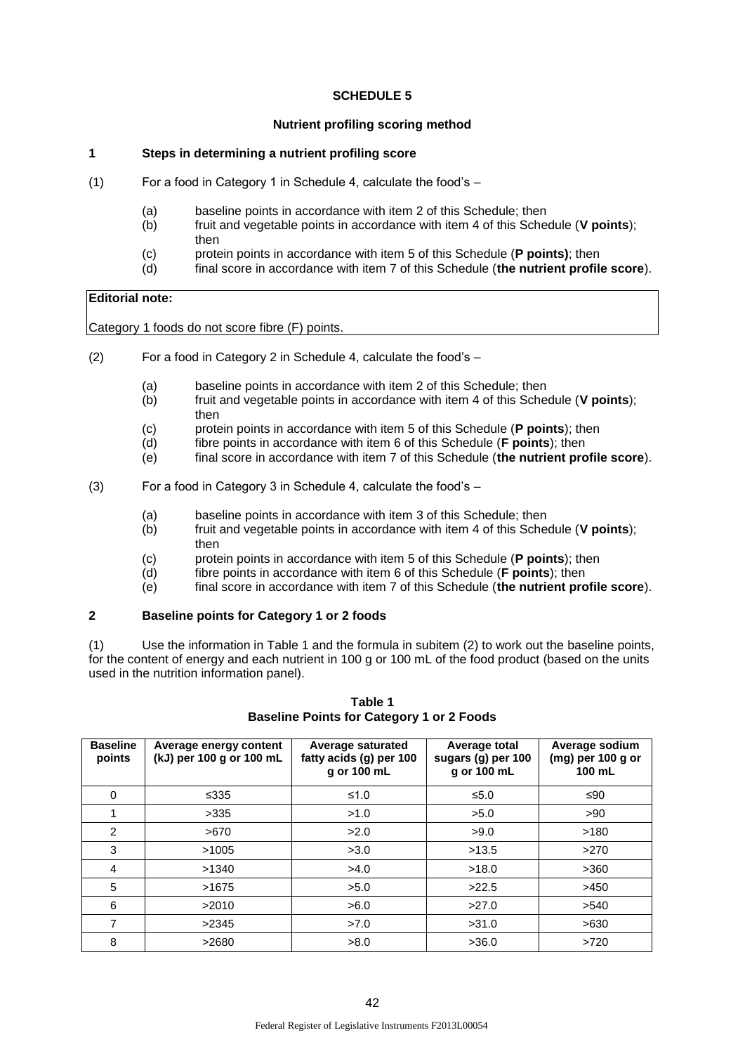## **SCHEDULE 5**

### **Nutrient profiling scoring method**

### **1 Steps in determining a nutrient profiling score**

- (1) For a food in Category 1 in Schedule 4, calculate the food's
	- (a) baseline points in accordance with item 2 of this Schedule; then<br>(b) fruit and vegetable points in accordance with item 4 of this Schee
	- fruit and vegetable points in accordance with item 4 of this Schedule (**V points**); then
	- (c) protein points in accordance with item 5 of this Schedule (**P points)**; then
	- (d) final score in accordance with item 7 of this Schedule (**the nutrient profile score**).

### **Editorial note:**

Category 1 foods do not score fibre (F) points.

- (2) For a food in Category 2 in Schedule 4, calculate the food's
	- (a) baseline points in accordance with item 2 of this Schedule; then
	- (b) fruit and vegetable points in accordance with item 4 of this Schedule (**V points**); then
	- (c) protein points in accordance with item 5 of this Schedule (**P points**); then
	- (d) fibre points in accordance with item 6 of this Schedule (**F points**); then
	- (e) final score in accordance with item 7 of this Schedule (**the nutrient profile score**).
- (3) For a food in Category 3 in Schedule 4, calculate the food's
	- (a) baseline points in accordance with item 3 of this Schedule; then
	- (b) fruit and vegetable points in accordance with item 4 of this Schedule (**V points**); then
	- (c) protein points in accordance with item 5 of this Schedule (**P points**); then
	- (d) fibre points in accordance with item 6 of this Schedule (**F points**); then
	- (e) final score in accordance with item 7 of this Schedule (**the nutrient profile score**).

### **2 Baseline points for Category 1 or 2 foods**

(1) Use the information in Table 1 and the formula in subitem (2) to work out the baseline points, for the content of energy and each nutrient in 100 g or 100 mL of the food product (based on the units used in the nutrition information panel).

| <b>Baseline</b><br>points | Average energy content<br>(kJ) per 100 g or 100 mL | Average saturated<br>fatty acids (q) per 100<br>g or 100 mL | Average total<br>sugars (g) per 100<br>g or 100 mL | Average sodium<br>(mg) per 100 g or<br>100 mL |
|---------------------------|----------------------------------------------------|-------------------------------------------------------------|----------------------------------------------------|-----------------------------------------------|
| $\Omega$                  | ≤335                                               | $≤1.0$                                                      | ≤5.0                                               | ≤90                                           |
|                           | >335                                               | >1.0                                                        | >5.0                                               | >90                                           |
| 2                         | >670                                               | >2.0                                                        | >9.0                                               | >180                                          |
| 3                         | >1005                                              | >3.0                                                        | >13.5                                              | >270                                          |
| 4                         | >1340                                              | >4.0                                                        | >18.0                                              | >360                                          |
| 5                         | >1675                                              | >5.0                                                        | >22.5                                              | >450                                          |
| 6                         | >2010                                              | >6.0                                                        | >27.0                                              | >540                                          |
| 7                         | >2345                                              | >7.0                                                        | >31.0                                              | >630                                          |
| 8                         | >2680                                              | >8.0                                                        | >36.0                                              | >720                                          |

### **Table 1 Baseline Points for Category 1 or 2 Foods**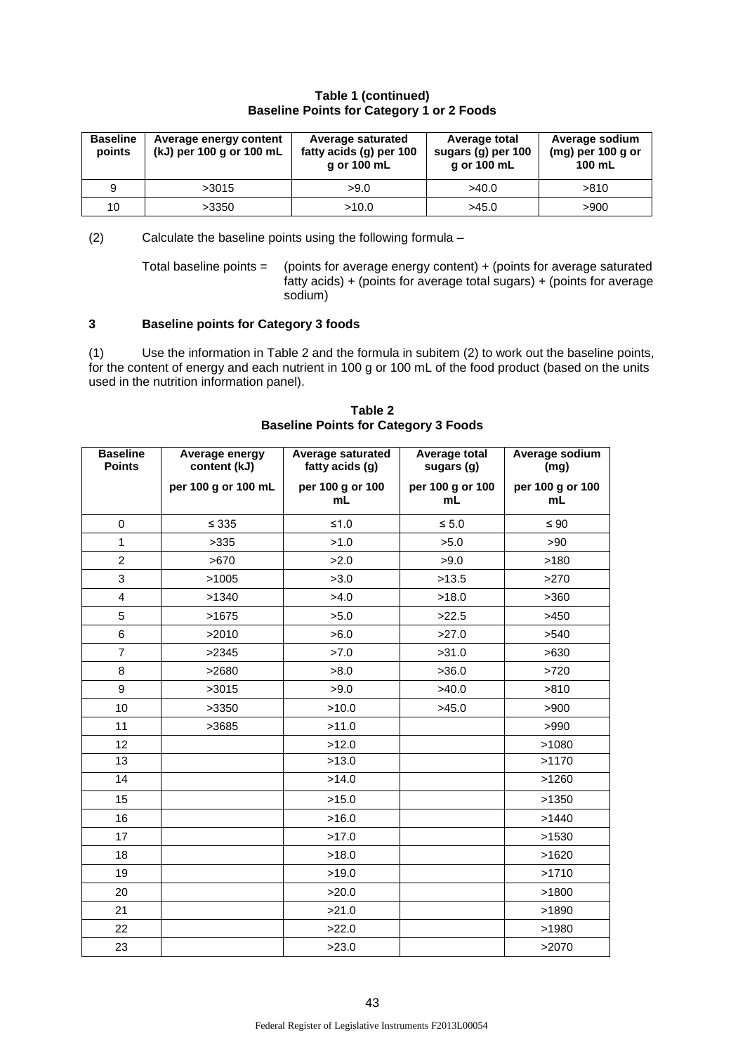### **Table 1 (continued) Baseline Points for Category 1 or 2 Foods**

| <b>Baseline</b><br>points | Average energy content<br>(kJ) per 100 g or 100 mL | <b>Average saturated</b><br>fatty acids (g) per 100<br>g or 100 mL | Average total<br>sugars (g) per 100<br>g or 100 mL | Average sodium<br>$(mg)$ per 100 g or<br>100 mL |
|---------------------------|----------------------------------------------------|--------------------------------------------------------------------|----------------------------------------------------|-------------------------------------------------|
| 9                         | >3015                                              | >9.0                                                               | >40.0                                              | >810                                            |
| 10                        | >3350                                              | >10.0                                                              | >45.0                                              | >900                                            |

(2) Calculate the baseline points using the following formula –

Total baseline points = (points for average energy content)  $+$  (points for average saturated  $f$  fatty acids) + (points for average total sugars) + (points for average sodium)

### **3 Baseline points for Category 3 foods**

(1) Use the information in Table 2 and the formula in subitem (2) to work out the baseline points, for the content of energy and each nutrient in 100 g or 100 mL of the food product (based on the units used in the nutrition information panel).

| <b>Baseline</b><br><b>Points</b> | Average energy<br>content (kJ) | <b>Average saturated</b><br>fatty acids (g) | Average total<br>sugars (g) | Average sodium<br>(mg) |
|----------------------------------|--------------------------------|---------------------------------------------|-----------------------------|------------------------|
|                                  | per 100 g or 100 mL            | per 100 g or 100<br>mL                      | per 100 g or 100<br>mL      | per 100 g or 100<br>mL |
| $\mathbf 0$                      | $\leq 335$                     | $≤1.0$                                      | $\leq 5.0$                  | $\leq 90$              |
| $\mathbf{1}$                     | >335                           | >1.0                                        | >5.0                        | >90                    |
| $\overline{2}$                   | >670                           | >2.0                                        | >9.0                        | >180                   |
| 3                                | >1005                          | >3.0                                        | >13.5                       | >270                   |
| $\overline{4}$                   | >1340                          | >4.0                                        | >18.0                       | >360                   |
| 5                                | >1675                          | >5.0                                        | >22.5                       | >450                   |
| 6                                | >2010                          | >6.0                                        | >27.0                       | >540                   |
| $\overline{7}$                   | >2345                          | >7.0                                        | >31.0                       | >630                   |
| 8                                | >2680                          | >8.0                                        | >36.0                       | >720                   |
| 9                                | >3015                          | >9.0                                        | >40.0                       | >810                   |
| 10                               | >3350                          | >10.0                                       | >45.0                       | >900                   |
| 11                               | >3685                          | >11.0                                       |                             | >990                   |
| 12                               |                                | >12.0                                       |                             | >1080                  |
| 13                               |                                | >13.0                                       |                             | >1170                  |
| $\overline{14}$                  |                                | >14.0                                       |                             | >1260                  |
| 15                               |                                | >15.0                                       |                             | >1350                  |
| 16                               |                                | >16.0                                       |                             | >1440                  |
| 17                               |                                | >17.0                                       |                             | >1530                  |
| 18                               |                                | >18.0                                       |                             | >1620                  |
| 19                               |                                | >19.0                                       |                             | >1710                  |
| 20                               |                                | >20.0                                       |                             | >1800                  |
| 21                               |                                | >21.0                                       |                             | >1890                  |
| 22                               |                                | >22.0                                       |                             | >1980                  |
| 23                               |                                | >23.0                                       |                             | >2070                  |

**Table 2 Baseline Points for Category 3 Foods**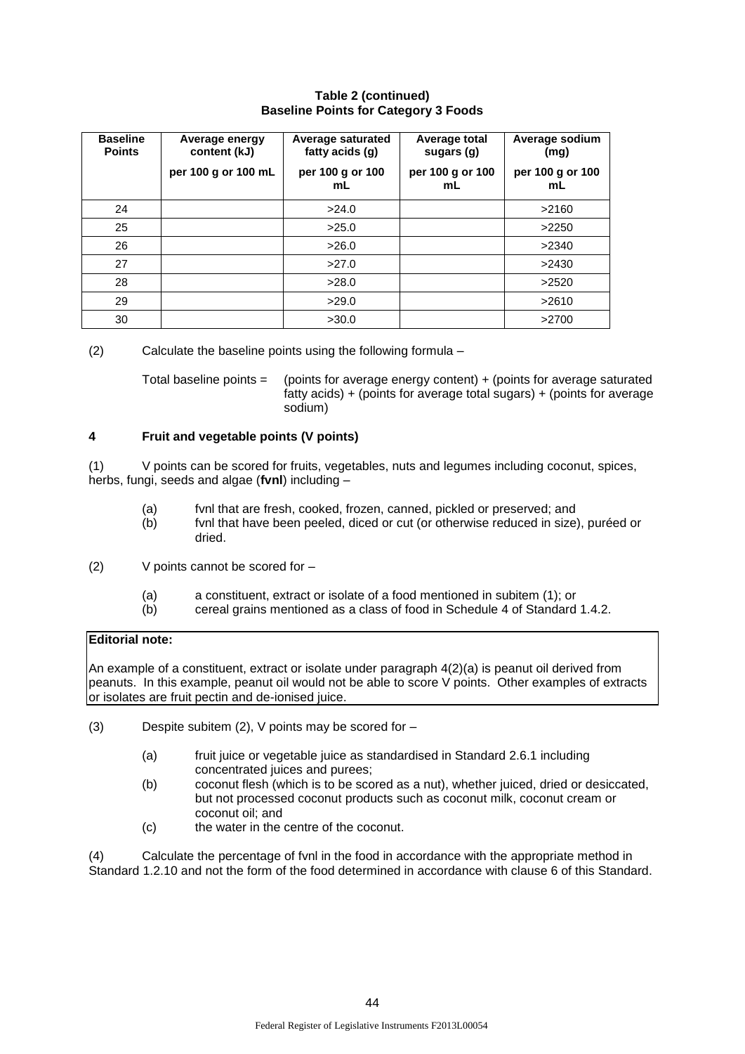### **Table 2 (continued) Baseline Points for Category 3 Foods**

| <b>Baseline</b><br><b>Points</b> | Average energy<br>content (kJ) | Average saturated<br>fatty acids (g) | Average total<br>sugars (g) | Average sodium<br>(mg) |
|----------------------------------|--------------------------------|--------------------------------------|-----------------------------|------------------------|
|                                  | per 100 g or 100 mL            | per 100 g or 100<br>mL               | per 100 g or 100<br>mL      | per 100 g or 100<br>mL |
| 24                               |                                | >24.0                                |                             | >2160                  |
| 25                               |                                | >25.0                                |                             | >2250                  |
| 26                               |                                | >26.0                                |                             | >2340                  |
| 27                               |                                | >27.0                                |                             | >2430                  |
| 28                               |                                | >28.0                                |                             | >2520                  |
| 29                               |                                | >29.0                                |                             | >2610                  |
| 30                               |                                | >30.0                                |                             | >2700                  |

(2) Calculate the baseline points using the following formula –

Total baseline points  $=$  (points for average energy content)  $+$  (points for average saturated fatty acids) + (points for average total sugars) + (points for average sodium)

## **4 Fruit and vegetable points (V points)**

(1) V points can be scored for fruits, vegetables, nuts and legumes including coconut, spices, herbs, fungi, seeds and algae (**fvnl**) including –

- (a) fvnl that are fresh, cooked, frozen, canned, pickled or preserved; and
- (b) fvnl that have been peeled, diced or cut (or otherwise reduced in size), puréed or dried.
- (2) V points cannot be scored for
	- (a) a constituent, extract or isolate of a food mentioned in subitem (1); or
	- cereal grains mentioned as a class of food in Schedule 4 of Standard 1.4.2.

## **Editorial note:**

An example of a constituent, extract or isolate under paragraph 4(2)(a) is peanut oil derived from peanuts. In this example, peanut oil would not be able to score V points. Other examples of extracts or isolates are fruit pectin and de-ionised juice.

- (3) Despite subitem (2), V points may be scored for
	- (a) fruit juice or vegetable juice as standardised in Standard 2.6.1 including concentrated juices and purees;
	- (b) coconut flesh (which is to be scored as a nut), whether juiced, dried or desiccated, but not processed coconut products such as coconut milk, coconut cream or coconut oil; and
	- (c) the water in the centre of the coconut.

(4) Calculate the percentage of fvnl in the food in accordance with the appropriate method in Standard 1.2.10 and not the form of the food determined in accordance with clause 6 of this Standard.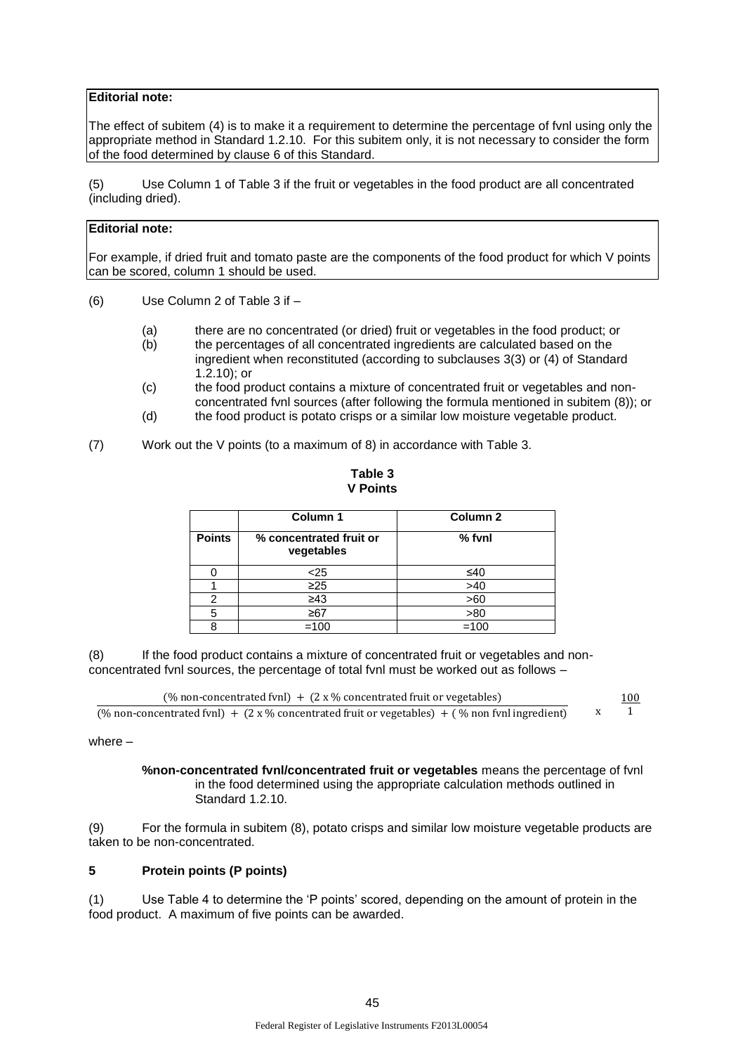## **Editorial note:**

The effect of subitem (4) is to make it a requirement to determine the percentage of fvnl using only the appropriate method in Standard 1.2.10. For this subitem only, it is not necessary to consider the form of the food determined by clause 6 of this Standard.

(5) Use Column 1 of Table 3 if the fruit or vegetables in the food product are all concentrated (including dried).

## **Editorial note:**

For example, if dried fruit and tomato paste are the components of the food product for which V points can be scored, column 1 should be used.

- (6) Use Column 2 of Table 3 if
	- (a) there are no concentrated (or dried) fruit or vegetables in the food product; or
	- (b) the percentages of all concentrated ingredients are calculated based on the ingredient when reconstituted (according to subclauses 3(3) or (4) of Standard 1.2.10); or
	- (c) the food product contains a mixture of concentrated fruit or vegetables and nonconcentrated fvnl sources (after following the formula mentioned in subitem (8)); or
	- (d) the food product is potato crisps or a similar low moisture vegetable product.

<sup>(7)</sup> Work out the V points (to a maximum of 8) in accordance with Table 3.

|               | <b>V</b> Points                       |          |  |  |  |
|---------------|---------------------------------------|----------|--|--|--|
|               | Column 1                              | Column 2 |  |  |  |
| <b>Points</b> | % concentrated fruit or<br>vegetables | $%$ fvnl |  |  |  |
|               | <25                                   | ≤40      |  |  |  |
|               | ≥25                                   | 540      |  |  |  |

**Table 3**

#### 1 ≥25 >40 2 <u>≥43</u> >60 5 ≥67 >80

(8) If the food product contains a mixture of concentrated fruit or vegetables and nonconcentrated fvnl sources, the percentage of total fvnl must be worked out as follows -

8 =100 =100

| (% non-concentrated fvnl) + $(2 \times \%$ concentrated fruit or vegetables)                           | 100 |
|--------------------------------------------------------------------------------------------------------|-----|
| (% non-concentrated fynl) + $(2 \times \%$ concentrated fruit or vegetables) + (% non fynl ingredient) |     |

where –

**%non-concentrated fvnl/concentrated fruit or vegetables** means the percentage of fvnl in the food determined using the appropriate calculation methods outlined in Standard 1.2.10.

(9) For the formula in subitem (8), potato crisps and similar low moisture vegetable products are taken to be non-concentrated.

## **5 Protein points (P points)**

(1) Use Table 4 to determine the 'P points' scored, depending on the amount of protein in the food product. A maximum of five points can be awarded.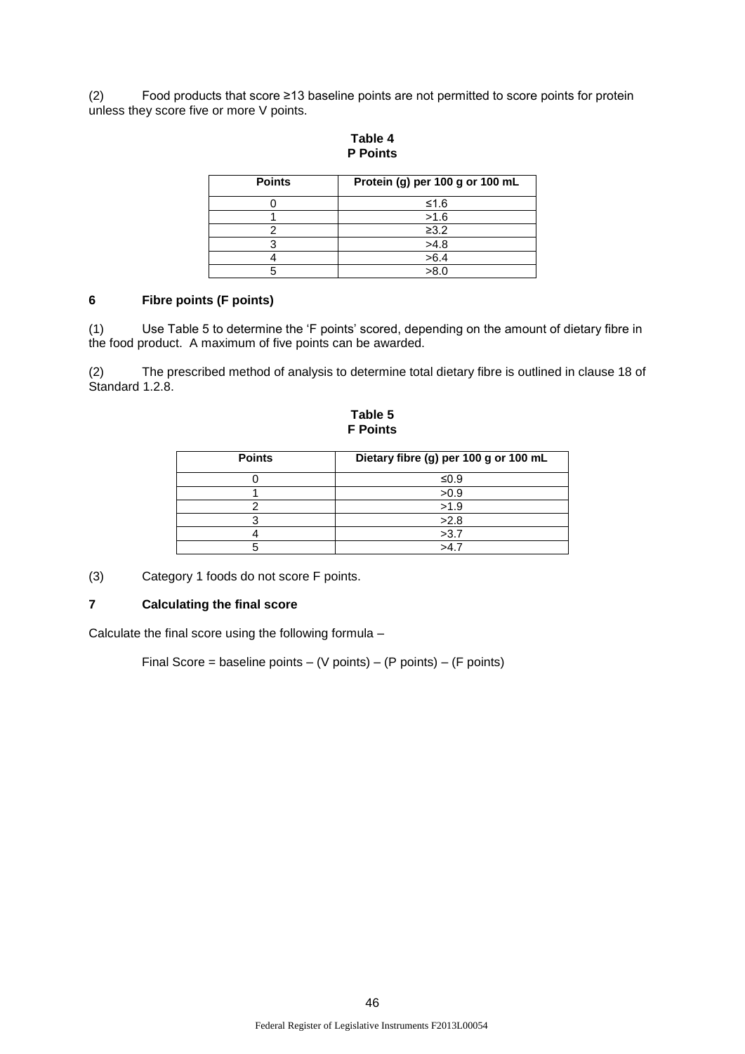(2) Food products that score ≥13 baseline points are not permitted to score points for protein unless they score five or more V points.

| <b>Points</b> | Protein (g) per 100 g or 100 mL |
|---------------|---------------------------------|
|               | ≤1.6                            |
|               | >1.6                            |
|               | $\geq 3.2$                      |
|               | >4.8                            |
|               | >6.4                            |
|               | >8.0                            |

**Table 4 P Points**

## **6 Fibre points (F points)**

(1) Use Table 5 to determine the 'F points' scored, depending on the amount of dietary fibre in the food product. A maximum of five points can be awarded.

The prescribed method of analysis to determine total dietary fibre is outlined in clause 18 of Standard 1.2.8.

**Table 5 F Points**

| <b>Points</b> | Dietary fibre (g) per 100 g or 100 mL |
|---------------|---------------------------------------|
|               | ≤0.9                                  |
|               | >0.9                                  |
|               | >1.9                                  |
|               | >2.8                                  |
|               | >3.7                                  |
|               | >47                                   |

(3) Category 1 foods do not score F points.

## **7 Calculating the final score**

Calculate the final score using the following formula –

Final Score = baseline points  $-$  (V points)  $-$  (P points)  $-$  (F points)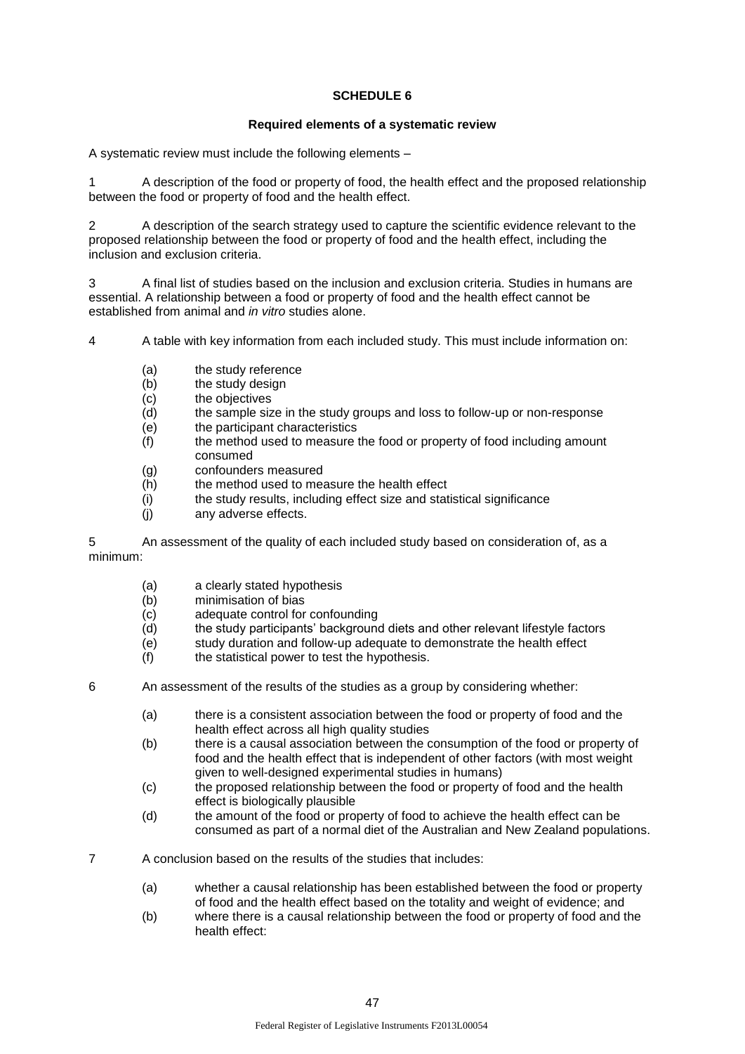## **SCHEDULE 6**

### **Required elements of a systematic review**

A systematic review must include the following elements –

1 A description of the food or property of food, the health effect and the proposed relationship between the food or property of food and the health effect.

2 A description of the search strategy used to capture the scientific evidence relevant to the proposed relationship between the food or property of food and the health effect, including the inclusion and exclusion criteria.

3 A final list of studies based on the inclusion and exclusion criteria. Studies in humans are essential. A relationship between a food or property of food and the health effect cannot be established from animal and *in vitro* studies alone.

4 A table with key information from each included study. This must include information on:

- (a) the study reference
- (b) the study design
- (c) the objectives
- (d) the sample size in the study groups and loss to follow-up or non-response
- (e) the participant characteristics
- (f) the method used to measure the food or property of food including amount consumed
- (g) confounders measured
- (h) the method used to measure the health effect
- (i) the study results, including effect size and statistical significance
- (j) any adverse effects.

5 An assessment of the quality of each included study based on consideration of, as a minimum:

- (a) a clearly stated hypothesis
- (b) minimisation of bias
- (c) adequate control for confounding
- (d) the study participants' background diets and other relevant lifestyle factors
- (e) study duration and follow-up adequate to demonstrate the health effect
- $(f)$  the statistical power to test the hypothesis.

6 An assessment of the results of the studies as a group by considering whether:

- (a) there is a consistent association between the food or property of food and the health effect across all high quality studies
- (b) there is a causal association between the consumption of the food or property of food and the health effect that is independent of other factors (with most weight given to well-designed experimental studies in humans)
- (c) the proposed relationship between the food or property of food and the health effect is biologically plausible
- (d) the amount of the food or property of food to achieve the health effect can be consumed as part of a normal diet of the Australian and New Zealand populations.
- 7 A conclusion based on the results of the studies that includes:
	- (a) whether a causal relationship has been established between the food or property of food and the health effect based on the totality and weight of evidence; and
	- (b) where there is a causal relationship between the food or property of food and the health effect: